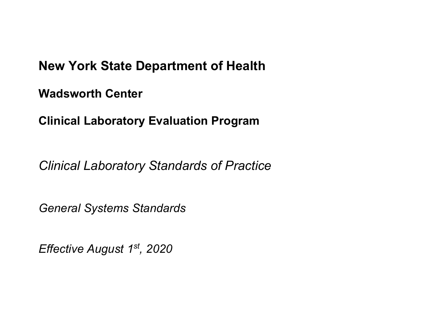# **New York State Department of Health**

**Wadsworth Center**

**Clinical Laboratory Evaluation Program**

*Clinical Laboratory Standards of Practice*

*General Systems Standards*

*Effective August 1st, 2020*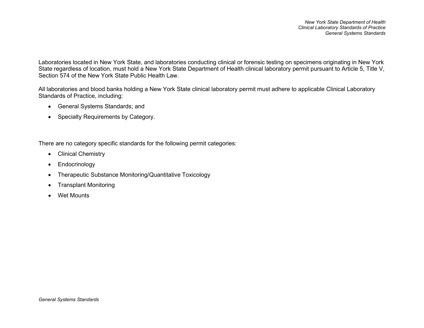*New York State Department of Health Clinical Laboratory Standards of Practice General Systems Standards*

Laboratories located in New York State, and laboratories conducting clinical or forensic testing on specimens originating in New York State regardless of location, must hold a New York State Department of Health clinical laboratory permit pursuant to Article 5, Title V, Section 574 of the New York State Public Health Law.

All laboratories and blood banks holding a New York State clinical laboratory permit must adhere to applicable Clinical Laboratory Standards of Practice, including:

- General Systems Standards; and
- Specialty Requirements by Category.

There are no category specific standards for the following permit categories:

- Clinical Chemistry
- Endocrinology
- Therapeutic Substance Monitoring/Quantitative Toxicology
- Transplant Monitoring
- Wet Mounts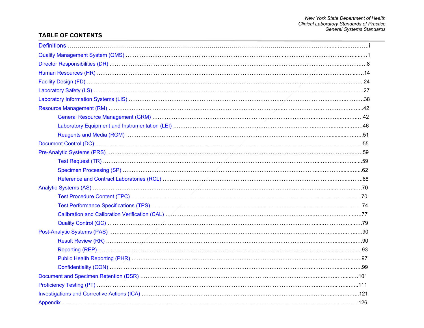### **TABLE OF CONTENTS**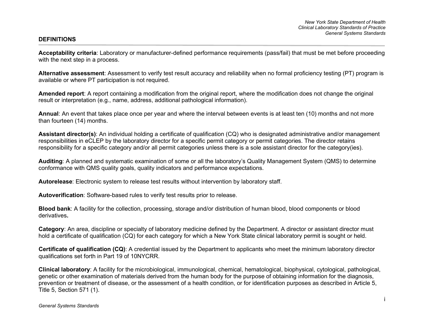<span id="page-3-0"></span>**Acceptability criteria**: Laboratory or manufacturer-defined performance requirements (pass/fail) that must be met before proceeding with the next step in a process.

**Alternative assessment**: Assessment to verify test result accuracy and reliability when no formal proficiency testing (PT) program is available or where PT participation is not required.

**Amended report**: A report containing a modification from the original report, where the modification does not change the original result or interpretation (e.g., name, address, additional pathological information).

**Annual**: An event that takes place once per year and where the interval between events is at least ten (10) months and not more than fourteen (14) months.

**Assistant director(s)**: An individual holding a certificate of qualification (CQ) who is designated administrative and/or management responsibilities in eCLEP by the laboratory director for a specific permit category or permit categories. The director retains responsibility for a specific category and/or all permit categories unless there is a sole assistant director for the category(ies).

**Auditing**: A planned and systematic examination of some or all the laboratory's Quality Management System (QMS) to determine conformance with QMS quality goals, quality indicators and performance expectations.

**Autorelease**: Electronic system to release test results without intervention by laboratory staff.

**Autoverification**: Software-based rules to verify test results prior to release.

**Blood bank**: A facility for the collection, processing, storage and/or distribution of human blood, blood components or blood derivatives**.** 

**Category**: An area, discipline or specialty of laboratory medicine defined by the Department. A director or assistant director must hold a certificate of qualification (CQ) for each category for which a New York State clinical laboratory permit is sought or held.

**Certificate of qualification (CQ)**: A credential issued by the Department to applicants who meet the minimum laboratory director qualifications set forth in Part 19 of 10NYCRR.

**Clinical laboratory**: A facility for the microbiological, immunological, chemical, hematological, biophysical, cytological, pathological, genetic or other examination of materials derived from the human body for the purpose of obtaining information for the diagnosis, prevention or treatment of disease, or the assessment of a health condition, or for identification purposes as described in Article 5, Title 5, Section 571 (1).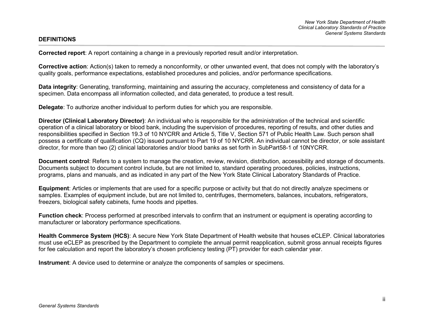**Corrected report**: A report containing a change in a previously reported result and/or interpretation.

**Corrective action**: Action(s) taken to remedy a nonconformity, or other unwanted event, that does not comply with the laboratory's quality goals, performance expectations, established procedures and policies, and/or performance specifications.

**Data integrity**: Generating, transforming, maintaining and assuring the accuracy, completeness and consistency of data for a specimen. Data encompass all information collected, and data generated, to produce a test result.

**Delegate:** To authorize another individual to perform duties for which you are responsible.

**Director (Clinical Laboratory Director)**: An individual who is responsible for the administration of the technical and scientific operation of a clinical laboratory or blood bank, including the supervision of procedures, reporting of results, and other duties and responsibilities specified in Section 19.3 of 10 NYCRR and Article 5, Title V, Section 571 of Public Health Law. Such person shall possess a certificate of qualification (CQ) issued pursuant to Part 19 of 10 NYCRR. An individual cannot be director, or sole assistant director, for more than two (2) clinical laboratories and/or blood banks as set forth in SubPart58-1 of 10NYCRR.

**Document control**: Refers to a system to manage the creation, review, revision, distribution, accessibility and storage of documents. Documents subject to document control include, but are not limited to, standard operating procedures, policies, instructions, programs, plans and manuals, and as indicated in any part of the New York State Clinical Laboratory Standards of Practice.

**Equipment**: Articles or implements that are used for a specific purpose or activity but that do not directly analyze specimens or samples. Examples of equipment include, but are not limited to, centrifuges, thermometers, balances, incubators, refrigerators, freezers, biological safety cabinets, fume hoods and pipettes.

**Function check**: Process performed at prescribed intervals to confirm that an instrument or equipment is operating according to manufacturer or laboratory performance specifications.

**Health Commerce System (HCS)**: A secure New York State Department of Health website that houses eCLEP. Clinical laboratories must use eCLEP as prescribed by the Department to complete the annual permit reapplication, submit gross annual receipts figures for fee calculation and report the laboratory's chosen proficiency testing (PT) provider for each calendar year.

**Instrument**: A device used to determine or analyze the components of samples or specimens.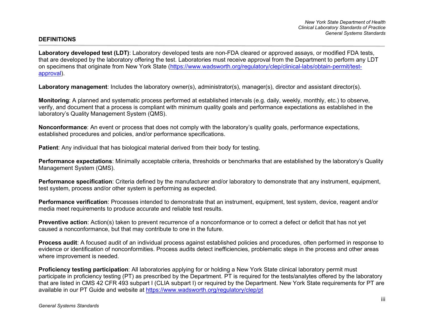**Laboratory developed test (LDT)**: Laboratory developed tests are non-FDA cleared or approved assays, or modified FDA tests, that are developed by the laboratory offering the test. Laboratories must receive approval from the Department to perform any LDT on specimens that originate from New York State [\(https://www.wadsworth.org/regulatory/clep/clinical-labs/obtain-permit/test](https://www.wadsworth.org/regulatory/clep/clinical-labs/obtain-permit/test-approval)[approval\)](https://www.wadsworth.org/regulatory/clep/clinical-labs/obtain-permit/test-approval).

**Laboratory management**: Includes the laboratory owner(s), administrator(s), manager(s), director and assistant director(s).

**Monitoring**: A planned and systematic process performed at established intervals (e.g. daily, weekly, monthly, etc.) to observe, verify, and document that a process is compliant with minimum quality goals and performance expectations as established in the laboratory's Quality Management System (QMS).

**Nonconformance**: An event or process that does not comply with the laboratory's quality goals, performance expectations, established procedures and policies, and/or performance specifications.

**Patient**: Any individual that has biological material derived from their body for testing.

**Performance expectations**: Minimally acceptable criteria, thresholds or benchmarks that are established by the laboratory's Quality Management System (QMS).

**Performance specification**: Criteria defined by the manufacturer and/or laboratory to demonstrate that any instrument, equipment, test system, process and/or other system is performing as expected.

**Performance verification**: Processes intended to demonstrate that an instrument, equipment, test system, device, reagent and/or media meet requirements to produce accurate and reliable test results.

**Preventive action**: Action(s) taken to prevent recurrence of a nonconformance or to correct a defect or deficit that has not yet caused a nonconformance, but that may contribute to one in the future.

**Process audit**: A focused audit of an individual process against established policies and procedures, often performed in response to evidence or identification of nonconformities. Process audits detect inefficiencies, problematic steps in the process and other areas where improvement is needed.

**Proficiency testing participation**: All laboratories applying for or holding a New York State clinical laboratory permit must participate in proficiency testing (PT) as prescribed by the Department. PT is required for the tests/analytes offered by the laboratory that are listed in CMS 42 CFR 493 subpart I (CLIA subpart I) or required by the Department. New York State requirements for PT are available in our PT Guide and website at<https://www.wadsworth.org/regulatory/clep/pt>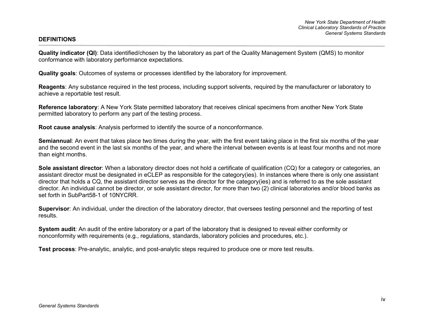**Quality indicator (QI)**: Data identified/chosen by the laboratory as part of the Quality Management System (QMS) to monitor conformance with laboratory performance expectations.

**Quality goals**: Outcomes of systems or processes identified by the laboratory for improvement.

**Reagents**: Any substance required in the test process, including support solvents, required by the manufacturer or laboratory to achieve a reportable test result.

**Reference laboratory**: A New York State permitted laboratory that receives clinical specimens from another New York State permitted laboratory to perform any part of the testing process.

**Root cause analysis**: Analysis performed to identify the source of a nonconformance.

**Semiannual**: An event that takes place two times during the year, with the first event taking place in the first six months of the year and the second event in the last six months of the year, and where the interval between events is at least four months and not more than eight months.

**Sole assistant director**: When a laboratory director does not hold a certificate of qualification (CQ) for a category or categories, an assistant director must be designated in eCLEP as responsible for the category(ies). In instances where there is only one assistant director that holds a CQ, the assistant director serves as the director for the category(ies) and is referred to as the sole assistant director. An individual cannot be director, or sole assistant director, for more than two (2) clinical laboratories and/or blood banks as set forth in SubPart58-1 of 10NYCRR.

**Supervisor**: An individual, under the direction of the laboratory director, that oversees testing personnel and the reporting of test results.

**System audit**: An audit of the entire laboratory or a part of the laboratory that is designed to reveal either conformity or nonconformity with requirements (e.g., regulations, standards, laboratory policies and procedures, etc.).

**Test process**: Pre-analytic, analytic, and post-analytic steps required to produce one or more test results.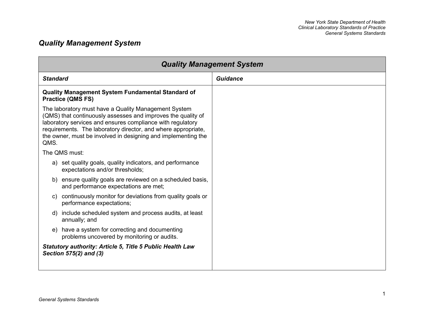## <span id="page-7-0"></span>*Quality Management System*

| <b>Quality Management System</b>                                                                                                                                                                                                                                                                                             |          |  |  |
|------------------------------------------------------------------------------------------------------------------------------------------------------------------------------------------------------------------------------------------------------------------------------------------------------------------------------|----------|--|--|
| <b>Standard</b>                                                                                                                                                                                                                                                                                                              | Guidance |  |  |
| <b>Quality Management System Fundamental Standard of</b><br><b>Practice (QMS FS)</b>                                                                                                                                                                                                                                         |          |  |  |
| The laboratory must have a Quality Management System<br>(QMS) that continuously assesses and improves the quality of<br>laboratory services and ensures compliance with regulatory<br>requirements. The laboratory director, and where appropriate,<br>the owner, must be involved in designing and implementing the<br>QMS. |          |  |  |
| The QMS must:                                                                                                                                                                                                                                                                                                                |          |  |  |
| a) set quality goals, quality indicators, and performance<br>expectations and/or thresholds;                                                                                                                                                                                                                                 |          |  |  |
| b) ensure quality goals are reviewed on a scheduled basis,<br>and performance expectations are met;                                                                                                                                                                                                                          |          |  |  |
| continuously monitor for deviations from quality goals or<br>C)<br>performance expectations;                                                                                                                                                                                                                                 |          |  |  |
| include scheduled system and process audits, at least<br>d)<br>annually; and                                                                                                                                                                                                                                                 |          |  |  |
| have a system for correcting and documenting<br>e)<br>problems uncovered by monitoring or audits.                                                                                                                                                                                                                            |          |  |  |
| <b>Statutory authority: Article 5, Title 5 Public Health Law</b><br>Section 575(2) and (3)                                                                                                                                                                                                                                   |          |  |  |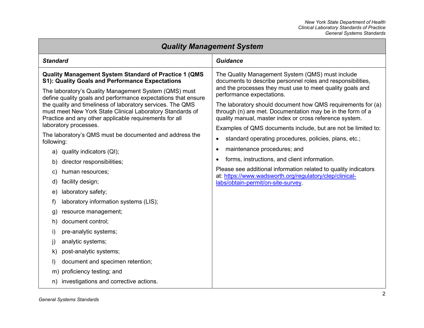| <b>Quality Management System</b>                                                                                                                                                  |                                                                                                                                                                                      |  |  |
|-----------------------------------------------------------------------------------------------------------------------------------------------------------------------------------|--------------------------------------------------------------------------------------------------------------------------------------------------------------------------------------|--|--|
| <b>Standard</b>                                                                                                                                                                   | <b>Guidance</b>                                                                                                                                                                      |  |  |
| <b>Quality Management System Standard of Practice 1 (QMS)</b><br>S1): Quality Goals and Performance Expectations                                                                  | The Quality Management System (QMS) must include<br>documents to describe personnel roles and responsibilities,                                                                      |  |  |
| The laboratory's Quality Management System (QMS) must<br>define quality goals and performance expectations that ensure                                                            | and the processes they must use to meet quality goals and<br>performance expectations.                                                                                               |  |  |
| the quality and timeliness of laboratory services. The QMS<br>must meet New York State Clinical Laboratory Standards of<br>Practice and any other applicable requirements for all | The laboratory should document how QMS requirements for (a)<br>through (n) are met. Documentation may be in the form of a<br>quality manual, master index or cross reference system. |  |  |
| laboratory processes.                                                                                                                                                             | Examples of QMS documents include, but are not be limited to:                                                                                                                        |  |  |
| The laboratory's QMS must be documented and address the<br>following:                                                                                                             | standard operating procedures, policies, plans, etc.;<br>$\bullet$                                                                                                                   |  |  |
| a) quality indicators (QI);                                                                                                                                                       | maintenance procedures; and<br>$\bullet$                                                                                                                                             |  |  |
| director responsibilities;<br>b)                                                                                                                                                  | forms, instructions, and client information.<br>$\bullet$                                                                                                                            |  |  |
| human resources;<br>C)                                                                                                                                                            | Please see additional information related to quality indicators<br>at: https://www.wadsworth.org/regulatory/clep/clinical-                                                           |  |  |
| facility design;<br>d)                                                                                                                                                            | labs/obtain-permit/on-site-survey.                                                                                                                                                   |  |  |
| laboratory safety;<br>e)                                                                                                                                                          |                                                                                                                                                                                      |  |  |
| laboratory information systems (LIS);<br>f)                                                                                                                                       |                                                                                                                                                                                      |  |  |
| resource management;<br>$\mathfrak{g}$                                                                                                                                            |                                                                                                                                                                                      |  |  |
| document control;<br>h)                                                                                                                                                           |                                                                                                                                                                                      |  |  |
| pre-analytic systems;<br>i)                                                                                                                                                       |                                                                                                                                                                                      |  |  |
| analytic systems;<br>j)                                                                                                                                                           |                                                                                                                                                                                      |  |  |
| post-analytic systems;<br>k)                                                                                                                                                      |                                                                                                                                                                                      |  |  |
| document and specimen retention;<br>I)                                                                                                                                            |                                                                                                                                                                                      |  |  |
| proficiency testing; and<br>m)                                                                                                                                                    |                                                                                                                                                                                      |  |  |
| investigations and corrective actions.<br>n)                                                                                                                                      |                                                                                                                                                                                      |  |  |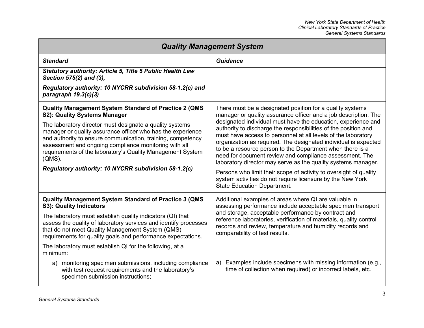| <b>Quality Management System</b>                                                                                                                                                                                                                                                                                                                                                   |                                                                                                                                                                                                                                                                                                                                                                                                                                                                                                                                                                                                                                        |  |  |
|------------------------------------------------------------------------------------------------------------------------------------------------------------------------------------------------------------------------------------------------------------------------------------------------------------------------------------------------------------------------------------|----------------------------------------------------------------------------------------------------------------------------------------------------------------------------------------------------------------------------------------------------------------------------------------------------------------------------------------------------------------------------------------------------------------------------------------------------------------------------------------------------------------------------------------------------------------------------------------------------------------------------------------|--|--|
| <b>Standard</b>                                                                                                                                                                                                                                                                                                                                                                    | <b>Guidance</b>                                                                                                                                                                                                                                                                                                                                                                                                                                                                                                                                                                                                                        |  |  |
| <b>Statutory authority: Article 5, Title 5 Public Health Law</b><br>Section 575(2) and (3),                                                                                                                                                                                                                                                                                        |                                                                                                                                                                                                                                                                                                                                                                                                                                                                                                                                                                                                                                        |  |  |
| Regulatory authority: 10 NYCRR subdivision 58-1.2(c) and<br>paragraph 19.3(c)(3)                                                                                                                                                                                                                                                                                                   |                                                                                                                                                                                                                                                                                                                                                                                                                                                                                                                                                                                                                                        |  |  |
| <b>Quality Management System Standard of Practice 2 (QMS</b><br>S2): Quality Systems Manager                                                                                                                                                                                                                                                                                       | There must be a designated position for a quality systems<br>manager or quality assurance officer and a job description. The                                                                                                                                                                                                                                                                                                                                                                                                                                                                                                           |  |  |
| The laboratory director must designate a quality systems<br>manager or quality assurance officer who has the experience<br>and authority to ensure communication, training, competency<br>assessment and ongoing compliance monitoring with all<br>requirements of the laboratory's Quality Management System<br>$(QMS)$ .<br>Regulatory authority: 10 NYCRR subdivision 58-1.2(c) | designated individual must have the education, experience and<br>authority to discharge the responsibilities of the position and<br>must have access to personnel at all levels of the laboratory<br>organization as required. The designated individual is expected<br>to be a resource person to the Department when there is a<br>need for document review and compliance assessment. The<br>laboratory director may serve as the quality systems manager.<br>Persons who limit their scope of activity to oversight of quality<br>system activities do not require licensure by the New York<br><b>State Education Department.</b> |  |  |
| <b>Quality Management System Standard of Practice 3 (QMS</b><br>S3): Quality Indicators                                                                                                                                                                                                                                                                                            | Additional examples of areas where QI are valuable in<br>assessing performance include acceptable specimen transport                                                                                                                                                                                                                                                                                                                                                                                                                                                                                                                   |  |  |
| The laboratory must establish quality indicators (QI) that<br>assess the quality of laboratory services and identify processes<br>that do not meet Quality Management System (QMS)<br>requirements for quality goals and performance expectations.                                                                                                                                 | and storage, acceptable performance by contract and<br>reference laboratories, verification of materials, quality control<br>records and review, temperature and humidity records and<br>comparability of test results.                                                                                                                                                                                                                                                                                                                                                                                                                |  |  |
| The laboratory must establish QI for the following, at a<br>minimum:                                                                                                                                                                                                                                                                                                               |                                                                                                                                                                                                                                                                                                                                                                                                                                                                                                                                                                                                                                        |  |  |
| monitoring specimen submissions, including compliance<br>a)<br>with test request requirements and the laboratory's<br>specimen submission instructions;                                                                                                                                                                                                                            | Examples include specimens with missing information (e.g.,<br>a)<br>time of collection when required) or incorrect labels, etc.                                                                                                                                                                                                                                                                                                                                                                                                                                                                                                        |  |  |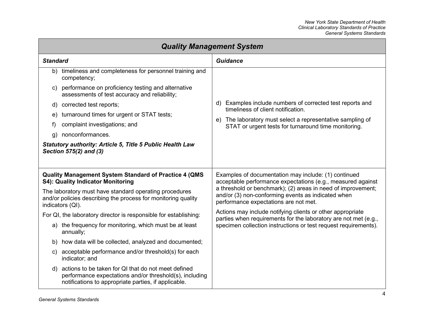| <b>Quality Management System</b> |                                                                                                                                                                           |                                                                                                                                                             |  |  |
|----------------------------------|---------------------------------------------------------------------------------------------------------------------------------------------------------------------------|-------------------------------------------------------------------------------------------------------------------------------------------------------------|--|--|
| <b>Standard</b>                  |                                                                                                                                                                           | <b>Guidance</b>                                                                                                                                             |  |  |
|                                  | b) timeliness and completeness for personnel training and<br>competency;                                                                                                  |                                                                                                                                                             |  |  |
| C)                               | performance on proficiency testing and alternative<br>assessments of test accuracy and reliability;                                                                       |                                                                                                                                                             |  |  |
| d)                               | corrected test reports;                                                                                                                                                   | Examples include numbers of corrected test reports and<br>d)<br>timeliness of client notification.                                                          |  |  |
| e)                               | turnaround times for urgent or STAT tests;                                                                                                                                | e) The laboratory must select a representative sampling of                                                                                                  |  |  |
| f)                               | complaint investigations; and                                                                                                                                             | STAT or urgent tests for turnaround time monitoring.                                                                                                        |  |  |
| g)                               | nonconformances.                                                                                                                                                          |                                                                                                                                                             |  |  |
|                                  | <b>Statutory authority: Article 5, Title 5 Public Health Law</b><br>Section 575(2) and (3)                                                                                |                                                                                                                                                             |  |  |
|                                  | <b>Quality Management System Standard of Practice 4 (QMS)</b><br>S4): Quality Indicator Monitoring                                                                        | Examples of documentation may include: (1) continued<br>acceptable performance expectations (e.g., measured against                                         |  |  |
|                                  | The laboratory must have standard operating procedures<br>and/or policies describing the process for monitoring quality<br>indicators (QI).                               | a threshold or benchmark); (2) areas in need of improvement;<br>and/or (3) non-conforming events as indicated when<br>performance expectations are not met. |  |  |
|                                  | For QI, the laboratory director is responsible for establishing:                                                                                                          | Actions may include notifying clients or other appropriate                                                                                                  |  |  |
|                                  | a) the frequency for monitoring, which must be at least<br>annually;                                                                                                      | parties when requirements for the laboratory are not met (e.g.,<br>specimen collection instructions or test request requirements).                          |  |  |
|                                  | b) how data will be collected, analyzed and documented;                                                                                                                   |                                                                                                                                                             |  |  |
| C)                               | acceptable performance and/or threshold(s) for each<br>indicator; and                                                                                                     |                                                                                                                                                             |  |  |
|                                  | d) actions to be taken for QI that do not meet defined<br>performance expectations and/or threshold(s), including<br>notifications to appropriate parties, if applicable. |                                                                                                                                                             |  |  |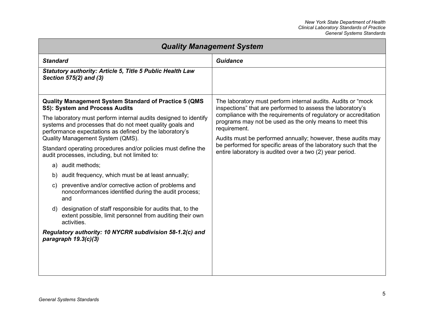| <b>Quality Management System</b>                                                                                                                                                                                                                                                                                                                                                                                                                                                                                                                                                                                                                                                                                                                                                                                                                                                                 |                                                                                                                                                                                                                                                                                                                                                                                                                                                                         |  |  |
|--------------------------------------------------------------------------------------------------------------------------------------------------------------------------------------------------------------------------------------------------------------------------------------------------------------------------------------------------------------------------------------------------------------------------------------------------------------------------------------------------------------------------------------------------------------------------------------------------------------------------------------------------------------------------------------------------------------------------------------------------------------------------------------------------------------------------------------------------------------------------------------------------|-------------------------------------------------------------------------------------------------------------------------------------------------------------------------------------------------------------------------------------------------------------------------------------------------------------------------------------------------------------------------------------------------------------------------------------------------------------------------|--|--|
| <b>Standard</b>                                                                                                                                                                                                                                                                                                                                                                                                                                                                                                                                                                                                                                                                                                                                                                                                                                                                                  | Guidance                                                                                                                                                                                                                                                                                                                                                                                                                                                                |  |  |
| Statutory authority: Article 5, Title 5 Public Health Law<br>Section 575(2) and (3)                                                                                                                                                                                                                                                                                                                                                                                                                                                                                                                                                                                                                                                                                                                                                                                                              |                                                                                                                                                                                                                                                                                                                                                                                                                                                                         |  |  |
| <b>Quality Management System Standard of Practice 5 (QMS</b><br>S5): System and Process Audits<br>The laboratory must perform internal audits designed to identify<br>systems and processes that do not meet quality goals and<br>performance expectations as defined by the laboratory's<br>Quality Management System (QMS).<br>Standard operating procedures and/or policies must define the<br>audit processes, including, but not limited to:<br>a) audit methods;<br>audit frequency, which must be at least annually;<br>b)<br>preventive and/or corrective action of problems and<br>C)<br>nonconformances identified during the audit process;<br>and<br>designation of staff responsible for audits that, to the<br>d)<br>extent possible, limit personnel from auditing their own<br>activities.<br>Regulatory authority: 10 NYCRR subdivision 58-1.2(c) and<br>paragraph $19.3(c)(3)$ | The laboratory must perform internal audits. Audits or "mock<br>inspections" that are performed to assess the laboratory's<br>compliance with the requirements of regulatory or accreditation<br>programs may not be used as the only means to meet this<br>requirement.<br>Audits must be performed annually; however, these audits may<br>be performed for specific areas of the laboratory such that the<br>entire laboratory is audited over a two (2) year period. |  |  |
|                                                                                                                                                                                                                                                                                                                                                                                                                                                                                                                                                                                                                                                                                                                                                                                                                                                                                                  |                                                                                                                                                                                                                                                                                                                                                                                                                                                                         |  |  |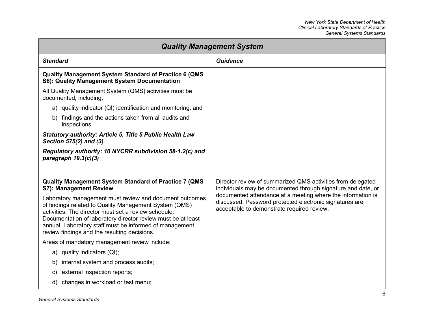| <b>Quality Management System</b>                                                                                                                                                                                                                                                                                                                     |                                                                                                                                                                      |  |  |
|------------------------------------------------------------------------------------------------------------------------------------------------------------------------------------------------------------------------------------------------------------------------------------------------------------------------------------------------------|----------------------------------------------------------------------------------------------------------------------------------------------------------------------|--|--|
| <b>Standard</b>                                                                                                                                                                                                                                                                                                                                      | <b>Guidance</b>                                                                                                                                                      |  |  |
| <b>Quality Management System Standard of Practice 6 (QMS</b><br>S6): Quality Management System Documentation                                                                                                                                                                                                                                         |                                                                                                                                                                      |  |  |
| All Quality Management System (QMS) activities must be<br>documented, including:                                                                                                                                                                                                                                                                     |                                                                                                                                                                      |  |  |
| a) quality indicator (QI) identification and monitoring; and                                                                                                                                                                                                                                                                                         |                                                                                                                                                                      |  |  |
| b) findings and the actions taken from all audits and<br>inspections.                                                                                                                                                                                                                                                                                |                                                                                                                                                                      |  |  |
| <b>Statutory authority: Article 5, Title 5 Public Health Law</b><br>Section 575(2) and (3)                                                                                                                                                                                                                                                           |                                                                                                                                                                      |  |  |
| Regulatory authority: 10 NYCRR subdivision 58-1.2(c) and<br>paragraph $19.3(c)(3)$                                                                                                                                                                                                                                                                   |                                                                                                                                                                      |  |  |
|                                                                                                                                                                                                                                                                                                                                                      |                                                                                                                                                                      |  |  |
| <b>Quality Management System Standard of Practice 7 (QMS</b><br>S7): Management Review                                                                                                                                                                                                                                                               | Director review of summarized QMS activities from delegated<br>individuals may be documented through signature and date, or                                          |  |  |
| Laboratory management must review and document outcomes<br>of findings related to Quality Management System (QMS)<br>activities. The director must set a review schedule.<br>Documentation of laboratory director review must be at least<br>annual. Laboratory staff must be informed of management<br>review findings and the resulting decisions. | documented attendance at a meeting where the information is<br>discussed. Password protected electronic signatures are<br>acceptable to demonstrate required review. |  |  |
| Areas of mandatory management review include:                                                                                                                                                                                                                                                                                                        |                                                                                                                                                                      |  |  |
| a) quality indicators (QI);                                                                                                                                                                                                                                                                                                                          |                                                                                                                                                                      |  |  |
| internal system and process audits;<br>b)                                                                                                                                                                                                                                                                                                            |                                                                                                                                                                      |  |  |
| external inspection reports;<br>$\mathsf{c}$                                                                                                                                                                                                                                                                                                         |                                                                                                                                                                      |  |  |
| changes in workload or test menu;<br>d)                                                                                                                                                                                                                                                                                                              |                                                                                                                                                                      |  |  |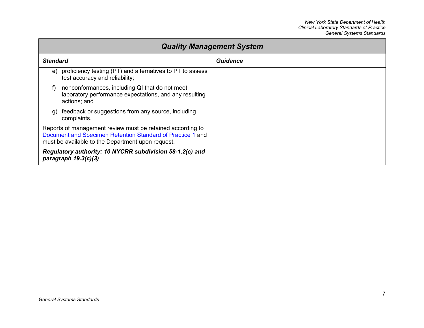| <b>Quality Management System</b>                                                                                                                                              |                 |  |  |
|-------------------------------------------------------------------------------------------------------------------------------------------------------------------------------|-----------------|--|--|
| <b>Standard</b>                                                                                                                                                               | <b>Guidance</b> |  |  |
| proficiency testing (PT) and alternatives to PT to assess<br>e)<br>test accuracy and reliability;                                                                             |                 |  |  |
| nonconformances, including QI that do not meet<br>laboratory performance expectations, and any resulting<br>actions; and                                                      |                 |  |  |
| feedback or suggestions from any source, including<br>q)<br>complaints.                                                                                                       |                 |  |  |
| Reports of management review must be retained according to<br>Document and Specimen Retention Standard of Practice 1 and<br>must be available to the Department upon request. |                 |  |  |
| Regulatory authority: 10 NYCRR subdivision 58-1.2(c) and<br>paragraph $19.3(c)(3)$                                                                                            |                 |  |  |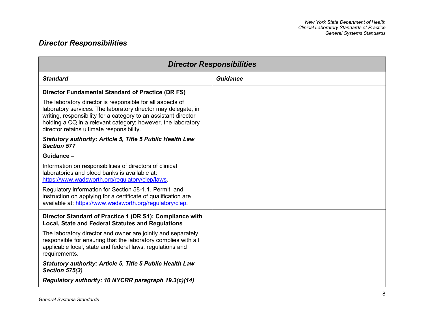## <span id="page-14-0"></span>*Director Responsibilities*

| <b>Director Responsibilities</b>                                                                                                                                                                                                                                                                           |                 |  |
|------------------------------------------------------------------------------------------------------------------------------------------------------------------------------------------------------------------------------------------------------------------------------------------------------------|-----------------|--|
| <b>Standard</b>                                                                                                                                                                                                                                                                                            | <b>Guidance</b> |  |
| <b>Director Fundamental Standard of Practice (DR FS)</b>                                                                                                                                                                                                                                                   |                 |  |
| The laboratory director is responsible for all aspects of<br>laboratory services. The laboratory director may delegate, in<br>writing, responsibility for a category to an assistant director<br>holding a CQ in a relevant category; however, the laboratory<br>director retains ultimate responsibility. |                 |  |
| <b>Statutory authority: Article 5, Title 5 Public Health Law</b><br><b>Section 577</b>                                                                                                                                                                                                                     |                 |  |
| Guidance-                                                                                                                                                                                                                                                                                                  |                 |  |
| Information on responsibilities of directors of clinical<br>laboratories and blood banks is available at:<br>https://www.wadsworth.org/regulatory/clep/laws.                                                                                                                                               |                 |  |
| Regulatory information for Section 58-1.1, Permit, and<br>instruction on applying for a certificate of qualification are<br>available at: https://www.wadsworth.org/regulatory/clep.                                                                                                                       |                 |  |
| Director Standard of Practice 1 (DR S1): Compliance with<br>Local, State and Federal Statutes and Regulations                                                                                                                                                                                              |                 |  |
| The laboratory director and owner are jointly and separately<br>responsible for ensuring that the laboratory complies with all<br>applicable local, state and federal laws, regulations and<br>requirements.                                                                                               |                 |  |
| <b>Statutory authority: Article 5, Title 5 Public Health Law</b><br><b>Section 575(3)</b>                                                                                                                                                                                                                  |                 |  |
| Regulatory authority: 10 NYCRR paragraph 19.3(c)(14)                                                                                                                                                                                                                                                       |                 |  |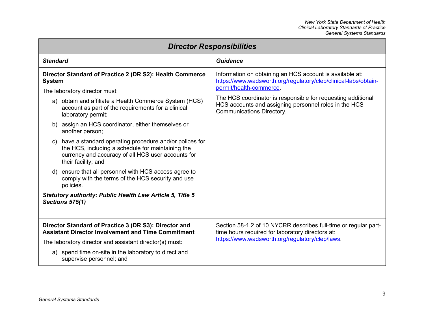| <b>Director Responsibilities</b>                                                                                                                                                                                                                                                                                                                                                                                                                                                                                                                                                                                                                                                                                                                     |                                                                                                                                                                                                                                                                                                              |  |  |
|------------------------------------------------------------------------------------------------------------------------------------------------------------------------------------------------------------------------------------------------------------------------------------------------------------------------------------------------------------------------------------------------------------------------------------------------------------------------------------------------------------------------------------------------------------------------------------------------------------------------------------------------------------------------------------------------------------------------------------------------------|--------------------------------------------------------------------------------------------------------------------------------------------------------------------------------------------------------------------------------------------------------------------------------------------------------------|--|--|
| <b>Standard</b>                                                                                                                                                                                                                                                                                                                                                                                                                                                                                                                                                                                                                                                                                                                                      | Guidance                                                                                                                                                                                                                                                                                                     |  |  |
| Director Standard of Practice 2 (DR S2): Health Commerce<br><b>System</b><br>The laboratory director must:<br>a) obtain and affiliate a Health Commerce System (HCS)<br>account as part of the requirements for a clinical<br>laboratory permit;<br>b) assign an HCS coordinator, either themselves or<br>another person;<br>have a standard operating procedure and/or polices for<br>C)<br>the HCS, including a schedule for maintaining the<br>currency and accuracy of all HCS user accounts for<br>their facility; and<br>d) ensure that all personnel with HCS access agree to<br>comply with the terms of the HCS security and use<br>policies.<br><b>Statutory authority: Public Health Law Article 5, Title 5</b><br><b>Sections 575(1)</b> | Information on obtaining an HCS account is available at:<br>https://www.wadsworth.org/regulatory/clep/clinical-labs/obtain-<br>permit/health-commerce.<br>The HCS coordinator is responsible for requesting additional<br>HCS accounts and assigning personnel roles in the HCS<br>Communications Directory. |  |  |
| Director Standard of Practice 3 (DR S3): Director and<br><b>Assistant Director Involvement and Time Commitment</b>                                                                                                                                                                                                                                                                                                                                                                                                                                                                                                                                                                                                                                   | Section 58-1.2 of 10 NYCRR describes full-time or regular part-<br>time hours required for laboratory directors at:                                                                                                                                                                                          |  |  |
| The laboratory director and assistant director(s) must:                                                                                                                                                                                                                                                                                                                                                                                                                                                                                                                                                                                                                                                                                              | https://www.wadsworth.org/regulatory/clep/laws.                                                                                                                                                                                                                                                              |  |  |
| a) spend time on-site in the laboratory to direct and<br>supervise personnel; and                                                                                                                                                                                                                                                                                                                                                                                                                                                                                                                                                                                                                                                                    |                                                                                                                                                                                                                                                                                                              |  |  |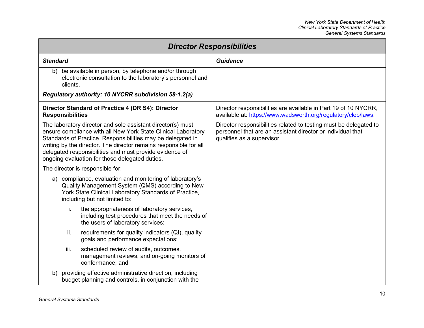| <b>Director Responsibilities</b>                                                                                                                                                                                                                                                                                                                                              |                                                                                                                                                                |  |  |
|-------------------------------------------------------------------------------------------------------------------------------------------------------------------------------------------------------------------------------------------------------------------------------------------------------------------------------------------------------------------------------|----------------------------------------------------------------------------------------------------------------------------------------------------------------|--|--|
| <b>Standard</b>                                                                                                                                                                                                                                                                                                                                                               | <b>Guidance</b>                                                                                                                                                |  |  |
| be available in person, by telephone and/or through<br>b)<br>electronic consultation to the laboratory's personnel and<br>clients.                                                                                                                                                                                                                                            |                                                                                                                                                                |  |  |
| Regulatory authority: 10 NYCRR subdivision 58-1.2(a)                                                                                                                                                                                                                                                                                                                          |                                                                                                                                                                |  |  |
| Director Standard of Practice 4 (DR S4): Director<br><b>Responsibilities</b>                                                                                                                                                                                                                                                                                                  | Director responsibilities are available in Part 19 of 10 NYCRR,<br>available at: https://www.wadsworth.org/regulatory/clep/laws.                               |  |  |
| The laboratory director and sole assistant director(s) must<br>ensure compliance with all New York State Clinical Laboratory<br>Standards of Practice. Responsibilities may be delegated in<br>writing by the director. The director remains responsible for all<br>delegated responsibilities and must provide evidence of<br>ongoing evaluation for those delegated duties. | Director responsibilities related to testing must be delegated to<br>personnel that are an assistant director or individual that<br>qualifies as a supervisor. |  |  |
| The director is responsible for:                                                                                                                                                                                                                                                                                                                                              |                                                                                                                                                                |  |  |
| a) compliance, evaluation and monitoring of laboratory's<br>Quality Management System (QMS) according to New<br>York State Clinical Laboratory Standards of Practice,<br>including but not limited to:                                                                                                                                                                        |                                                                                                                                                                |  |  |
| the appropriateness of laboratory services,<br>i.<br>including test procedures that meet the needs of<br>the users of laboratory services;                                                                                                                                                                                                                                    |                                                                                                                                                                |  |  |
| ii.<br>requirements for quality indicators (QI), quality<br>goals and performance expectations;                                                                                                                                                                                                                                                                               |                                                                                                                                                                |  |  |
| iii.<br>scheduled review of audits, outcomes,<br>management reviews, and on-going monitors of<br>conformance; and                                                                                                                                                                                                                                                             |                                                                                                                                                                |  |  |
| providing effective administrative direction, including<br>b)<br>budget planning and controls, in conjunction with the                                                                                                                                                                                                                                                        |                                                                                                                                                                |  |  |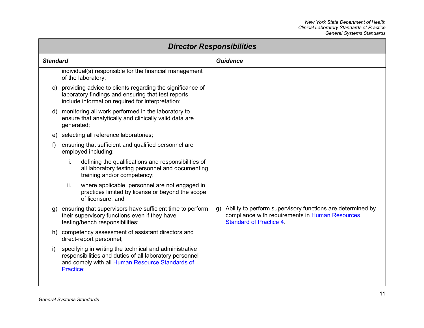| <b>Director Responsibilities</b> |            |                                                                                                                                                                      |  |                                                                                                                                                    |
|----------------------------------|------------|----------------------------------------------------------------------------------------------------------------------------------------------------------------------|--|----------------------------------------------------------------------------------------------------------------------------------------------------|
| <b>Standard</b>                  |            |                                                                                                                                                                      |  | <b>Guidance</b>                                                                                                                                    |
|                                  |            | individual(s) responsible for the financial management<br>of the laboratory;                                                                                         |  |                                                                                                                                                    |
| C)                               |            | providing advice to clients regarding the significance of<br>laboratory findings and ensuring that test reports<br>include information required for interpretation;  |  |                                                                                                                                                    |
| d)                               | generated; | monitoring all work performed in the laboratory to<br>ensure that analytically and clinically valid data are                                                         |  |                                                                                                                                                    |
| e)                               |            | selecting all reference laboratories;                                                                                                                                |  |                                                                                                                                                    |
| f)                               |            | ensuring that sufficient and qualified personnel are<br>employed including:                                                                                          |  |                                                                                                                                                    |
|                                  | i.         | defining the qualifications and responsibilities of<br>all laboratory testing personnel and documenting<br>training and/or competency;                               |  |                                                                                                                                                    |
|                                  | ii.        | where applicable, personnel are not engaged in<br>practices limited by license or beyond the scope<br>of licensure; and                                              |  |                                                                                                                                                    |
| g)                               |            | ensuring that supervisors have sufficient time to perform<br>their supervisory functions even if they have<br>testing/bench responsibilities;                        |  | g) Ability to perform supervisory functions are determined by<br>compliance with requirements in Human Resources<br><b>Standard of Practice 4.</b> |
| h)                               |            | competency assessment of assistant directors and<br>direct-report personnel;                                                                                         |  |                                                                                                                                                    |
| i)                               | Practice:  | specifying in writing the technical and administrative<br>responsibilities and duties of all laboratory personnel<br>and comply with all Human Resource Standards of |  |                                                                                                                                                    |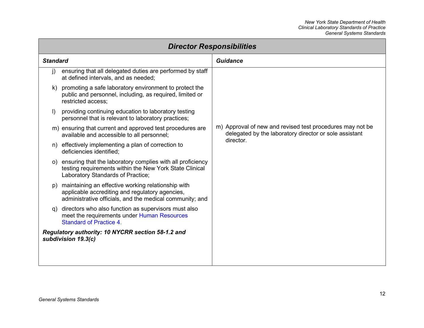| <b>Director Responsibilities</b>                                         |                                                                                                                                                                      |                                                                                                                     |  |
|--------------------------------------------------------------------------|----------------------------------------------------------------------------------------------------------------------------------------------------------------------|---------------------------------------------------------------------------------------------------------------------|--|
| <b>Standard</b>                                                          |                                                                                                                                                                      | <b>Guidance</b>                                                                                                     |  |
| $\mathsf{I}$                                                             | ensuring that all delegated duties are performed by staff<br>at defined intervals, and as needed;                                                                    |                                                                                                                     |  |
| k)                                                                       | promoting a safe laboratory environment to protect the<br>public and personnel, including, as required, limited or<br>restricted access;                             |                                                                                                                     |  |
| $\mathbf{D}$                                                             | providing continuing education to laboratory testing<br>personnel that is relevant to laboratory practices;                                                          |                                                                                                                     |  |
|                                                                          | m) ensuring that current and approved test procedures are<br>available and accessible to all personnel;                                                              | m) Approval of new and revised test procedures may not be<br>delegated by the laboratory director or sole assistant |  |
| n)                                                                       | effectively implementing a plan of correction to<br>deficiencies identified;                                                                                         | director.                                                                                                           |  |
|                                                                          | o) ensuring that the laboratory complies with all proficiency<br>testing requirements within the New York State Clinical<br>Laboratory Standards of Practice;        |                                                                                                                     |  |
|                                                                          | p) maintaining an effective working relationship with<br>applicable accrediting and regulatory agencies,<br>administrative officials, and the medical community; and |                                                                                                                     |  |
| q)                                                                       | directors who also function as supervisors must also<br>meet the requirements under Human Resources<br><b>Standard of Practice 4.</b>                                |                                                                                                                     |  |
| Regulatory authority: 10 NYCRR section 58-1.2 and<br>subdivision 19.3(c) |                                                                                                                                                                      |                                                                                                                     |  |
|                                                                          |                                                                                                                                                                      |                                                                                                                     |  |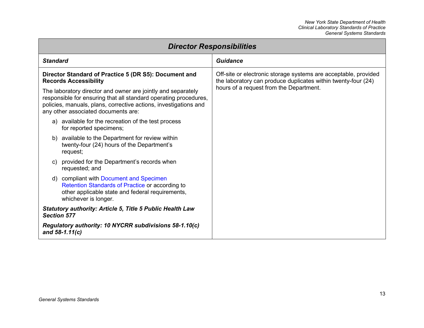| <b>Director Responsibilities</b>                                                                                                                                                                                                            |                                                                                                                                                                             |  |  |
|---------------------------------------------------------------------------------------------------------------------------------------------------------------------------------------------------------------------------------------------|-----------------------------------------------------------------------------------------------------------------------------------------------------------------------------|--|--|
| <b>Standard</b>                                                                                                                                                                                                                             | <b>Guidance</b>                                                                                                                                                             |  |  |
| Director Standard of Practice 5 (DR S5): Document and<br><b>Records Accessibility</b>                                                                                                                                                       | Off-site or electronic storage systems are acceptable, provided<br>the laboratory can produce duplicates within twenty-four (24)<br>hours of a request from the Department. |  |  |
| The laboratory director and owner are jointly and separately<br>responsible for ensuring that all standard operating procedures,<br>policies, manuals, plans, corrective actions, investigations and<br>any other associated documents are: |                                                                                                                                                                             |  |  |
| a) available for the recreation of the test process<br>for reported specimens;                                                                                                                                                              |                                                                                                                                                                             |  |  |
| available to the Department for review within<br>b)<br>twenty-four (24) hours of the Department's<br>request;                                                                                                                               |                                                                                                                                                                             |  |  |
| provided for the Department's records when<br>requested; and                                                                                                                                                                                |                                                                                                                                                                             |  |  |
| d) compliant with Document and Specimen<br>Retention Standards of Practice or according to<br>other applicable state and federal requirements,<br>whichever is longer.                                                                      |                                                                                                                                                                             |  |  |
| <b>Statutory authority: Article 5, Title 5 Public Health Law</b><br><b>Section 577</b>                                                                                                                                                      |                                                                                                                                                                             |  |  |
| Regulatory authority: 10 NYCRR subdivisions 58-1.10(c)<br>and $58-1.11(c)$                                                                                                                                                                  |                                                                                                                                                                             |  |  |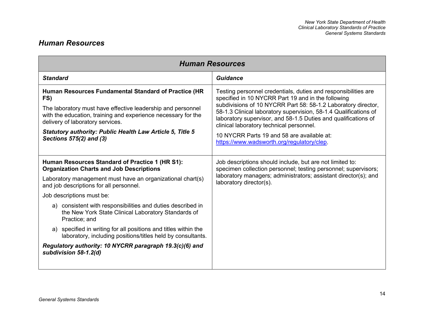### <span id="page-20-1"></span><span id="page-20-0"></span>*Human Resources*

| <b>Human Resources</b>                                                                                                                                                                                                                                                                                                                                                                                                                                                                                                                                                                                   |                                                                                                                                                                                                                                                                                                                                                                                                                                                                     |  |
|----------------------------------------------------------------------------------------------------------------------------------------------------------------------------------------------------------------------------------------------------------------------------------------------------------------------------------------------------------------------------------------------------------------------------------------------------------------------------------------------------------------------------------------------------------------------------------------------------------|---------------------------------------------------------------------------------------------------------------------------------------------------------------------------------------------------------------------------------------------------------------------------------------------------------------------------------------------------------------------------------------------------------------------------------------------------------------------|--|
| <b>Standard</b>                                                                                                                                                                                                                                                                                                                                                                                                                                                                                                                                                                                          | <b>Guidance</b>                                                                                                                                                                                                                                                                                                                                                                                                                                                     |  |
| Human Resources Fundamental Standard of Practice (HR<br>FS)<br>The laboratory must have effective leadership and personnel<br>with the education, training and experience necessary for the<br>delivery of laboratory services.<br><b>Statutory authority: Public Health Law Article 5, Title 5</b><br>Sections 575(2) and (3)                                                                                                                                                                                                                                                                           | Testing personnel credentials, duties and responsibilities are<br>specified in 10 NYCRR Part 19 and in the following<br>subdivisions of 10 NYCRR Part 58: 58-1.2 Laboratory director,<br>58-1.3 Clinical laboratory supervision, 58-1.4 Qualifications of<br>laboratory supervisor, and 58-1.5 Duties and qualifications of<br>clinical laboratory technical personnel.<br>10 NYCRR Parts 19 and 58 are available at:<br>https://www.wadsworth.org/regulatory/clep. |  |
| Human Resources Standard of Practice 1 (HR S1):<br><b>Organization Charts and Job Descriptions</b><br>Laboratory management must have an organizational chart(s)<br>and job descriptions for all personnel.<br>Job descriptions must be:<br>consistent with responsibilities and duties described in<br>a)<br>the New York State Clinical Laboratory Standards of<br>Practice; and<br>a) specified in writing for all positions and titles within the<br>laboratory, including positions/titles held by consultants.<br>Regulatory authority: 10 NYCRR paragraph 19.3(c)(6) and<br>subdivision 58-1.2(d) | Job descriptions should include, but are not limited to:<br>specimen collection personnel; testing personnel; supervisors;<br>laboratory managers; administrators; assistant director(s); and<br>laboratory director(s).                                                                                                                                                                                                                                            |  |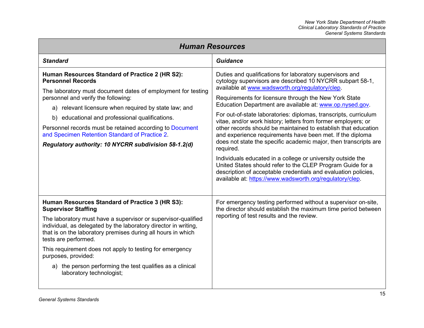| <b>Human Resources</b>                                                                                                                                                                                                                                                                                                                                                                                                                                                                |                                                                                                                                                                                                                                                                                                                                                                                                                                                                                                                                                                                                                                                                                                                                                                                                                                                                                                               |  |
|---------------------------------------------------------------------------------------------------------------------------------------------------------------------------------------------------------------------------------------------------------------------------------------------------------------------------------------------------------------------------------------------------------------------------------------------------------------------------------------|---------------------------------------------------------------------------------------------------------------------------------------------------------------------------------------------------------------------------------------------------------------------------------------------------------------------------------------------------------------------------------------------------------------------------------------------------------------------------------------------------------------------------------------------------------------------------------------------------------------------------------------------------------------------------------------------------------------------------------------------------------------------------------------------------------------------------------------------------------------------------------------------------------------|--|
| <b>Standard</b>                                                                                                                                                                                                                                                                                                                                                                                                                                                                       | <b>Guidance</b>                                                                                                                                                                                                                                                                                                                                                                                                                                                                                                                                                                                                                                                                                                                                                                                                                                                                                               |  |
| Human Resources Standard of Practice 2 (HR S2):<br><b>Personnel Records</b><br>The laboratory must document dates of employment for testing<br>personnel and verify the following:<br>a) relevant licensure when required by state law; and<br>b) educational and professional qualifications.<br>Personnel records must be retained according to Document<br>and Specimen Retention Standard of Practice 2.<br>Regulatory authority: 10 NYCRR subdivision 58-1.2(d)                  | Duties and qualifications for laboratory supervisors and<br>cytology supervisors are described 10 NYCRR subpart 58-1,<br>available at www.wadsworth.org/regulatory/clep.<br>Requirements for licensure through the New York State<br>Education Department are available at: www.op.nysed.gov.<br>For out-of-state laboratories: diplomas, transcripts, curriculum<br>vitae, and/or work history; letters from former employers; or<br>other records should be maintained to establish that education<br>and experience requirements have been met. If the diploma<br>does not state the specific academic major, then transcripts are<br>required.<br>Individuals educated in a college or university outside the<br>United States should refer to the CLEP Program Guide for a<br>description of acceptable credentials and evaluation policies,<br>available at: https://www.wadsworth.org/regulatory/clep. |  |
| Human Resources Standard of Practice 3 (HR S3):<br><b>Supervisor Staffing</b><br>The laboratory must have a supervisor or supervisor-qualified<br>individual, as delegated by the laboratory director in writing,<br>that is on the laboratory premises during all hours in which<br>tests are performed.<br>This requirement does not apply to testing for emergency<br>purposes, provided:<br>a) the person performing the test qualifies as a clinical<br>laboratory technologist; | For emergency testing performed without a supervisor on-site,<br>the director should establish the maximum time period between<br>reporting of test results and the review.                                                                                                                                                                                                                                                                                                                                                                                                                                                                                                                                                                                                                                                                                                                                   |  |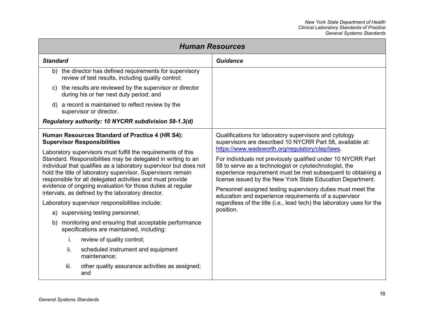<span id="page-22-0"></span>

| <b>Human Resources</b>                                                                                                                                                                                                                                                                                                                                                                                                                           |                                                                                                                                                                                                                                                                                                                                                                                                                                                                                                                       |  |  |
|--------------------------------------------------------------------------------------------------------------------------------------------------------------------------------------------------------------------------------------------------------------------------------------------------------------------------------------------------------------------------------------------------------------------------------------------------|-----------------------------------------------------------------------------------------------------------------------------------------------------------------------------------------------------------------------------------------------------------------------------------------------------------------------------------------------------------------------------------------------------------------------------------------------------------------------------------------------------------------------|--|--|
| <b>Standard</b>                                                                                                                                                                                                                                                                                                                                                                                                                                  | Guidance                                                                                                                                                                                                                                                                                                                                                                                                                                                                                                              |  |  |
| b) the director has defined requirements for supervisory<br>review of test results, including quality control;                                                                                                                                                                                                                                                                                                                                   |                                                                                                                                                                                                                                                                                                                                                                                                                                                                                                                       |  |  |
| c) the results are reviewed by the supervisor or director<br>during his or her next duty period; and                                                                                                                                                                                                                                                                                                                                             |                                                                                                                                                                                                                                                                                                                                                                                                                                                                                                                       |  |  |
| d) a record is maintained to reflect review by the<br>supervisor or director.                                                                                                                                                                                                                                                                                                                                                                    |                                                                                                                                                                                                                                                                                                                                                                                                                                                                                                                       |  |  |
| Regulatory authority: 10 NYCRR subdivision 58-1.3(d)                                                                                                                                                                                                                                                                                                                                                                                             |                                                                                                                                                                                                                                                                                                                                                                                                                                                                                                                       |  |  |
| Human Resources Standard of Practice 4 (HR S4):<br><b>Supervisor Responsibilities</b>                                                                                                                                                                                                                                                                                                                                                            | Qualifications for laboratory supervisors and cytology<br>supervisors are described 10 NYCRR Part 58, available at:                                                                                                                                                                                                                                                                                                                                                                                                   |  |  |
| Laboratory supervisors must fulfill the requirements of this<br>Standard. Responsibilities may be delegated in writing to an<br>individual that qualifies as a laboratory supervisor but does not<br>hold the title of laboratory supervisor. Supervisors remain<br>responsible for all delegated activities and must provide<br>evidence of ongoing evaluation for those duties at regular<br>intervals, as defined by the laboratory director. | https://www.wadsworth.org/regulatory/clep/laws.<br>For individuals not previously qualified under 10 NYCRR Part<br>58 to serve as a technologist or cytotechnologist, the<br>experience requirement must be met subsequent to obtaining a<br>license issued by the New York State Education Department.<br>Personnel assigned testing supervisory duties must meet the<br>education and experience requirements of a supervisor<br>regardless of the title (i.e., lead tech) the laboratory uses for the<br>position. |  |  |
| Laboratory supervisor responsibilities include:                                                                                                                                                                                                                                                                                                                                                                                                  |                                                                                                                                                                                                                                                                                                                                                                                                                                                                                                                       |  |  |
| a) supervising testing personnel;                                                                                                                                                                                                                                                                                                                                                                                                                |                                                                                                                                                                                                                                                                                                                                                                                                                                                                                                                       |  |  |
| monitoring and ensuring that acceptable performance<br>b)<br>specifications are maintained, including:                                                                                                                                                                                                                                                                                                                                           |                                                                                                                                                                                                                                                                                                                                                                                                                                                                                                                       |  |  |
| i.<br>review of quality control;                                                                                                                                                                                                                                                                                                                                                                                                                 |                                                                                                                                                                                                                                                                                                                                                                                                                                                                                                                       |  |  |
| ii.<br>scheduled instrument and equipment<br>maintenance;                                                                                                                                                                                                                                                                                                                                                                                        |                                                                                                                                                                                                                                                                                                                                                                                                                                                                                                                       |  |  |
| iii.<br>other quality assurance activities as assigned;<br>and                                                                                                                                                                                                                                                                                                                                                                                   |                                                                                                                                                                                                                                                                                                                                                                                                                                                                                                                       |  |  |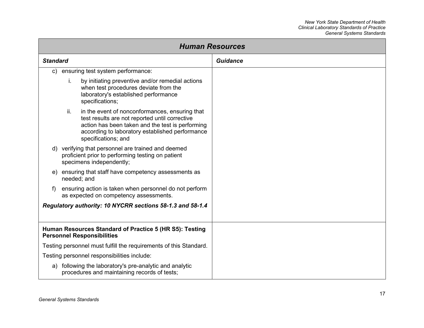<span id="page-23-0"></span>

| <b>Human Resources</b>                                                                                  |                 |                                                                                                                                                                                                                                |                 |
|---------------------------------------------------------------------------------------------------------|-----------------|--------------------------------------------------------------------------------------------------------------------------------------------------------------------------------------------------------------------------------|-----------------|
|                                                                                                         | <b>Standard</b> |                                                                                                                                                                                                                                | <b>Guidance</b> |
| $\mathsf{c})$                                                                                           |                 | ensuring test system performance:                                                                                                                                                                                              |                 |
|                                                                                                         | İ.              | by initiating preventive and/or remedial actions<br>when test procedures deviate from the<br>laboratory's established performance<br>specifications;                                                                           |                 |
|                                                                                                         | ii.             | in the event of nonconformances, ensuring that<br>test results are not reported until corrective<br>action has been taken and the test is performing<br>according to laboratory established performance<br>specifications; and |                 |
|                                                                                                         |                 | d) verifying that personnel are trained and deemed<br>proficient prior to performing testing on patient<br>specimens independently;                                                                                            |                 |
| e)                                                                                                      |                 | ensuring that staff have competency assessments as<br>needed; and                                                                                                                                                              |                 |
| ensuring action is taken when personnel do not perform<br>f<br>as expected on competency assessments.   |                 |                                                                                                                                                                                                                                |                 |
| Regulatory authority: 10 NYCRR sections 58-1.3 and 58-1.4                                               |                 |                                                                                                                                                                                                                                |                 |
| Human Resources Standard of Practice 5 (HR S5): Testing<br><b>Personnel Responsibilities</b>            |                 |                                                                                                                                                                                                                                |                 |
| Testing personnel must fulfill the requirements of this Standard.                                       |                 |                                                                                                                                                                                                                                |                 |
|                                                                                                         |                 | Testing personnel responsibilities include:                                                                                                                                                                                    |                 |
| a) following the laboratory's pre-analytic and analytic<br>procedures and maintaining records of tests; |                 |                                                                                                                                                                                                                                |                 |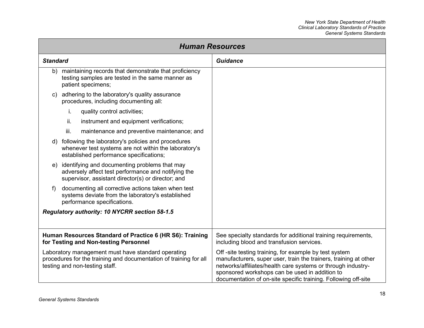| <b>Human Resources</b>                                                                                                                                    |                                                                                                                                                            |                                                                                                                                                                                                                                                                                                               |
|-----------------------------------------------------------------------------------------------------------------------------------------------------------|------------------------------------------------------------------------------------------------------------------------------------------------------------|---------------------------------------------------------------------------------------------------------------------------------------------------------------------------------------------------------------------------------------------------------------------------------------------------------------|
| <b>Standard</b>                                                                                                                                           |                                                                                                                                                            | Guidance                                                                                                                                                                                                                                                                                                      |
| b)                                                                                                                                                        | maintaining records that demonstrate that proficiency<br>testing samples are tested in the same manner as<br>patient specimens;                            |                                                                                                                                                                                                                                                                                                               |
| C)                                                                                                                                                        | adhering to the laboratory's quality assurance<br>procedures, including documenting all:                                                                   |                                                                                                                                                                                                                                                                                                               |
|                                                                                                                                                           | i.<br>quality control activities;                                                                                                                          |                                                                                                                                                                                                                                                                                                               |
|                                                                                                                                                           | ii.<br>instrument and equipment verifications;                                                                                                             |                                                                                                                                                                                                                                                                                                               |
|                                                                                                                                                           | iii.<br>maintenance and preventive maintenance; and                                                                                                        |                                                                                                                                                                                                                                                                                                               |
| d)                                                                                                                                                        | following the laboratory's policies and procedures<br>whenever test systems are not within the laboratory's<br>established performance specifications;     |                                                                                                                                                                                                                                                                                                               |
| e)                                                                                                                                                        | identifying and documenting problems that may<br>adversely affect test performance and notifying the<br>supervisor, assistant director(s) or director; and |                                                                                                                                                                                                                                                                                                               |
| f)                                                                                                                                                        | documenting all corrective actions taken when test<br>systems deviate from the laboratory's established<br>performance specifications.                     |                                                                                                                                                                                                                                                                                                               |
| Regulatory authority: 10 NYCRR section 58-1.5                                                                                                             |                                                                                                                                                            |                                                                                                                                                                                                                                                                                                               |
|                                                                                                                                                           |                                                                                                                                                            |                                                                                                                                                                                                                                                                                                               |
| Human Resources Standard of Practice 6 (HR S6): Training<br>for Testing and Non-testing Personnel                                                         |                                                                                                                                                            | See specialty standards for additional training requirements,<br>including blood and transfusion services.                                                                                                                                                                                                    |
| Laboratory management must have standard operating<br>procedures for the training and documentation of training for all<br>testing and non-testing staff. |                                                                                                                                                            | Off-site testing training, for example by test system<br>manufacturers, super user, train the trainers, training at other<br>networks/affiliates/health care systems or through industry-<br>sponsored workshops can be used in addition to<br>documentation of on-site specific training. Following off-site |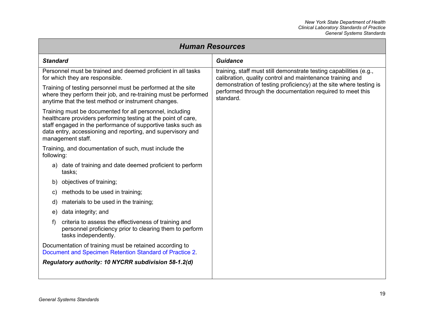| <b>Human Resources</b>                                                                                                                                                                                                                                                        |                                                                                                                                                                                                                                                                                 |  |  |
|-------------------------------------------------------------------------------------------------------------------------------------------------------------------------------------------------------------------------------------------------------------------------------|---------------------------------------------------------------------------------------------------------------------------------------------------------------------------------------------------------------------------------------------------------------------------------|--|--|
| <b>Standard</b>                                                                                                                                                                                                                                                               | <b>Guidance</b>                                                                                                                                                                                                                                                                 |  |  |
| Personnel must be trained and deemed proficient in all tasks<br>for which they are responsible.                                                                                                                                                                               | training, staff must still demonstrate testing capabilities (e.g.,<br>calibration, quality control and maintenance training and<br>demonstration of testing proficiency) at the site where testing is<br>performed through the documentation required to meet this<br>standard. |  |  |
| Training of testing personnel must be performed at the site<br>where they perform their job, and re-training must be performed<br>anytime that the test method or instrument changes.                                                                                         |                                                                                                                                                                                                                                                                                 |  |  |
| Training must be documented for all personnel, including<br>healthcare providers performing testing at the point of care,<br>staff engaged in the performance of supportive tasks such as<br>data entry, accessioning and reporting, and supervisory and<br>management staff. |                                                                                                                                                                                                                                                                                 |  |  |
| Training, and documentation of such, must include the<br>following:                                                                                                                                                                                                           |                                                                                                                                                                                                                                                                                 |  |  |
| a) date of training and date deemed proficient to perform<br>tasks;                                                                                                                                                                                                           |                                                                                                                                                                                                                                                                                 |  |  |
| objectives of training;<br>b)                                                                                                                                                                                                                                                 |                                                                                                                                                                                                                                                                                 |  |  |
| methods to be used in training;<br>C)                                                                                                                                                                                                                                         |                                                                                                                                                                                                                                                                                 |  |  |
| materials to be used in the training;<br>d)                                                                                                                                                                                                                                   |                                                                                                                                                                                                                                                                                 |  |  |
| data integrity; and<br>e)                                                                                                                                                                                                                                                     |                                                                                                                                                                                                                                                                                 |  |  |
| criteria to assess the effectiveness of training and<br>f)<br>personnel proficiency prior to clearing them to perform<br>tasks independently.                                                                                                                                 |                                                                                                                                                                                                                                                                                 |  |  |
| Documentation of training must be retained according to<br>Document and Specimen Retention Standard of Practice 2.                                                                                                                                                            |                                                                                                                                                                                                                                                                                 |  |  |
| Regulatory authority: 10 NYCRR subdivision 58-1.2(d)                                                                                                                                                                                                                          |                                                                                                                                                                                                                                                                                 |  |  |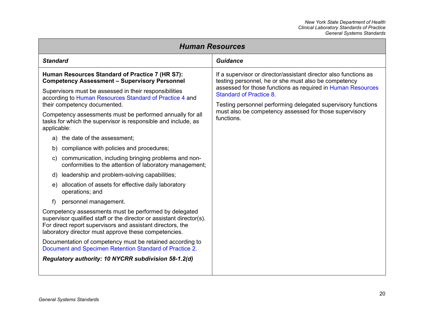| <b>Human Resources</b>                                                                                                                                                                                                                              |                                                                                                                                                                                                                                                                                                                                                                   |  |  |
|-----------------------------------------------------------------------------------------------------------------------------------------------------------------------------------------------------------------------------------------------------|-------------------------------------------------------------------------------------------------------------------------------------------------------------------------------------------------------------------------------------------------------------------------------------------------------------------------------------------------------------------|--|--|
| <b>Standard</b>                                                                                                                                                                                                                                     | <b>Guidance</b>                                                                                                                                                                                                                                                                                                                                                   |  |  |
| Human Resources Standard of Practice 7 (HR S7):<br><b>Competency Assessment - Supervisory Personnel</b>                                                                                                                                             | If a supervisor or director/assistant director also functions as<br>testing personnel, he or she must also be competency<br>assessed for those functions as required in Human Resources<br><b>Standard of Practice 8.</b><br>Testing personnel performing delegated supervisory functions<br>must also be competency assessed for those supervisory<br>functions. |  |  |
| Supervisors must be assessed in their responsibilities<br>according to Human Resources Standard of Practice 4 and<br>their competency documented.<br>Competency assessments must be performed annually for all                                      |                                                                                                                                                                                                                                                                                                                                                                   |  |  |
| tasks for which the supervisor is responsible and include, as<br>applicable:                                                                                                                                                                        |                                                                                                                                                                                                                                                                                                                                                                   |  |  |
| a) the date of the assessment;                                                                                                                                                                                                                      |                                                                                                                                                                                                                                                                                                                                                                   |  |  |
| compliance with policies and procedures;<br>b)                                                                                                                                                                                                      |                                                                                                                                                                                                                                                                                                                                                                   |  |  |
| communication, including bringing problems and non-<br>C)<br>conformities to the attention of laboratory management;                                                                                                                                |                                                                                                                                                                                                                                                                                                                                                                   |  |  |
| d) leadership and problem-solving capabilities;                                                                                                                                                                                                     |                                                                                                                                                                                                                                                                                                                                                                   |  |  |
| e) allocation of assets for effective daily laboratory<br>operations; and                                                                                                                                                                           |                                                                                                                                                                                                                                                                                                                                                                   |  |  |
| personnel management.<br>f)                                                                                                                                                                                                                         |                                                                                                                                                                                                                                                                                                                                                                   |  |  |
| Competency assessments must be performed by delegated<br>supervisor qualified staff or the director or assistant director(s).<br>For direct report supervisors and assistant directors, the<br>laboratory director must approve these competencies. |                                                                                                                                                                                                                                                                                                                                                                   |  |  |
| Documentation of competency must be retained according to<br>Document and Specimen Retention Standard of Practice 2.                                                                                                                                |                                                                                                                                                                                                                                                                                                                                                                   |  |  |
| Regulatory authority: 10 NYCRR subdivision 58-1.2(d)                                                                                                                                                                                                |                                                                                                                                                                                                                                                                                                                                                                   |  |  |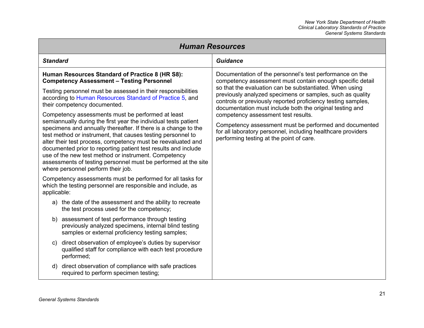<span id="page-27-0"></span>

| <b>Human Resources</b>                                                                                                                                                                                                                                                                                                                                                                                                                                                                             |  |                                                                                                                                                                                                                                                                                                                                                                           |
|----------------------------------------------------------------------------------------------------------------------------------------------------------------------------------------------------------------------------------------------------------------------------------------------------------------------------------------------------------------------------------------------------------------------------------------------------------------------------------------------------|--|---------------------------------------------------------------------------------------------------------------------------------------------------------------------------------------------------------------------------------------------------------------------------------------------------------------------------------------------------------------------------|
| <b>Standard</b>                                                                                                                                                                                                                                                                                                                                                                                                                                                                                    |  | <b>Guidance</b>                                                                                                                                                                                                                                                                                                                                                           |
| Human Resources Standard of Practice 8 (HR S8):<br><b>Competency Assessment - Testing Personnel</b>                                                                                                                                                                                                                                                                                                                                                                                                |  | Documentation of the personnel's test performance on the<br>competency assessment must contain enough specific detail<br>so that the evaluation can be substantiated. When using<br>previously analyzed specimens or samples, such as quality<br>controls or previously reported proficiency testing samples,<br>documentation must include both the original testing and |
| Testing personnel must be assessed in their responsibilities<br>according to Human Resources Standard of Practice 5, and<br>their competency documented.                                                                                                                                                                                                                                                                                                                                           |  |                                                                                                                                                                                                                                                                                                                                                                           |
| Competency assessments must be performed at least                                                                                                                                                                                                                                                                                                                                                                                                                                                  |  | competency assessment test results.                                                                                                                                                                                                                                                                                                                                       |
| semiannually during the first year the individual tests patient<br>specimens and annually thereafter. If there is a change to the<br>test method or instrument, that causes testing personnel to<br>alter their test process, competency must be reevaluated and<br>documented prior to reporting patient test results and include<br>use of the new test method or instrument. Competency<br>assessments of testing personnel must be performed at the site<br>where personnel perform their job. |  | Competency assessment must be performed and documented<br>for all laboratory personnel, including healthcare providers<br>performing testing at the point of care.                                                                                                                                                                                                        |
| Competency assessments must be performed for all tasks for<br>which the testing personnel are responsible and include, as<br>applicable:                                                                                                                                                                                                                                                                                                                                                           |  |                                                                                                                                                                                                                                                                                                                                                                           |
| a) the date of the assessment and the ability to recreate<br>the test process used for the competency;                                                                                                                                                                                                                                                                                                                                                                                             |  |                                                                                                                                                                                                                                                                                                                                                                           |
| assessment of test performance through testing<br>b)<br>previously analyzed specimens, internal blind testing<br>samples or external proficiency testing samples;                                                                                                                                                                                                                                                                                                                                  |  |                                                                                                                                                                                                                                                                                                                                                                           |
| direct observation of employee's duties by supervisor<br>C)<br>qualified staff for compliance with each test procedure<br>performed;                                                                                                                                                                                                                                                                                                                                                               |  |                                                                                                                                                                                                                                                                                                                                                                           |
| direct observation of compliance with safe practices<br>d)<br>required to perform specimen testing;                                                                                                                                                                                                                                                                                                                                                                                                |  |                                                                                                                                                                                                                                                                                                                                                                           |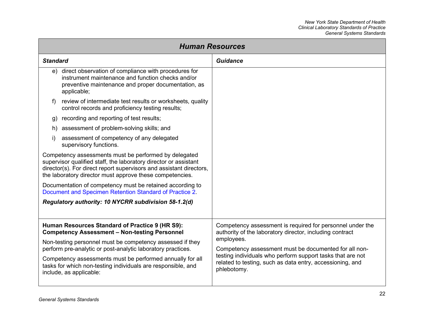| <b>Human Resources</b>                                                                                                                                                                                                                                       |                                                                                                                                                                                    |                                                                                                                                                                                                                                                                                                                                        |  |
|--------------------------------------------------------------------------------------------------------------------------------------------------------------------------------------------------------------------------------------------------------------|------------------------------------------------------------------------------------------------------------------------------------------------------------------------------------|----------------------------------------------------------------------------------------------------------------------------------------------------------------------------------------------------------------------------------------------------------------------------------------------------------------------------------------|--|
| <b>Standard</b>                                                                                                                                                                                                                                              |                                                                                                                                                                                    | <b>Guidance</b>                                                                                                                                                                                                                                                                                                                        |  |
|                                                                                                                                                                                                                                                              | e) direct observation of compliance with procedures for<br>instrument maintenance and function checks and/or<br>preventive maintenance and proper documentation, as<br>applicable; |                                                                                                                                                                                                                                                                                                                                        |  |
| $\ddot{\phantom{1}}$                                                                                                                                                                                                                                         | review of intermediate test results or worksheets, quality<br>control records and proficiency testing results;                                                                     |                                                                                                                                                                                                                                                                                                                                        |  |
| g)                                                                                                                                                                                                                                                           | recording and reporting of test results;                                                                                                                                           |                                                                                                                                                                                                                                                                                                                                        |  |
| h)                                                                                                                                                                                                                                                           | assessment of problem-solving skills; and                                                                                                                                          |                                                                                                                                                                                                                                                                                                                                        |  |
| i)                                                                                                                                                                                                                                                           | assessment of competency of any delegated<br>supervisory functions.                                                                                                                |                                                                                                                                                                                                                                                                                                                                        |  |
| Competency assessments must be performed by delegated<br>supervisor qualified staff, the laboratory director or assistant<br>director(s). For direct report supervisors and assistant directors,<br>the laboratory director must approve these competencies. |                                                                                                                                                                                    |                                                                                                                                                                                                                                                                                                                                        |  |
| Documentation of competency must be retained according to<br>Document and Specimen Retention Standard of Practice 2.                                                                                                                                         |                                                                                                                                                                                    |                                                                                                                                                                                                                                                                                                                                        |  |
| Regulatory authority: 10 NYCRR subdivision 58-1.2(d)                                                                                                                                                                                                         |                                                                                                                                                                                    |                                                                                                                                                                                                                                                                                                                                        |  |
|                                                                                                                                                                                                                                                              |                                                                                                                                                                                    |                                                                                                                                                                                                                                                                                                                                        |  |
| Human Resources Standard of Practice 9 (HR S9):<br><b>Competency Assessment - Non-testing Personnel</b>                                                                                                                                                      |                                                                                                                                                                                    | Competency assessment is required for personnel under the<br>authority of the laboratory director, including contract<br>employees.<br>Competency assessment must be documented for all non-<br>testing individuals who perform support tasks that are not<br>related to testing, such as data entry, accessioning, and<br>phlebotomy. |  |
| Non-testing personnel must be competency assessed if they<br>perform pre-analytic or post-analytic laboratory practices.                                                                                                                                     |                                                                                                                                                                                    |                                                                                                                                                                                                                                                                                                                                        |  |
| Competency assessments must be performed annually for all<br>tasks for which non-testing individuals are responsible, and<br>include, as applicable:                                                                                                         |                                                                                                                                                                                    |                                                                                                                                                                                                                                                                                                                                        |  |
|                                                                                                                                                                                                                                                              |                                                                                                                                                                                    |                                                                                                                                                                                                                                                                                                                                        |  |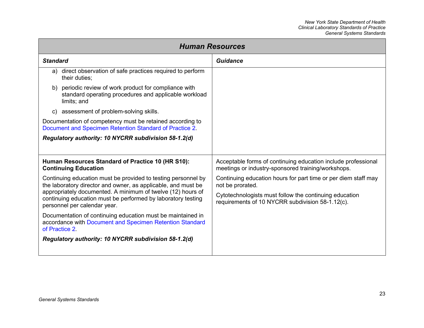| <b>Human Resources</b>                                                                                                                                      |                                                                                                                     |  |
|-------------------------------------------------------------------------------------------------------------------------------------------------------------|---------------------------------------------------------------------------------------------------------------------|--|
| <b>Standard</b>                                                                                                                                             | Guidance                                                                                                            |  |
| direct observation of safe practices required to perform<br>a)<br>their duties;                                                                             |                                                                                                                     |  |
| b) periodic review of work product for compliance with<br>standard operating procedures and applicable workload<br>limits; and                              |                                                                                                                     |  |
| c) assessment of problem-solving skills.                                                                                                                    |                                                                                                                     |  |
| Documentation of competency must be retained according to<br>Document and Specimen Retention Standard of Practice 2.                                        |                                                                                                                     |  |
| Regulatory authority: 10 NYCRR subdivision 58-1.2(d)                                                                                                        |                                                                                                                     |  |
|                                                                                                                                                             |                                                                                                                     |  |
| Human Resources Standard of Practice 10 (HR S10):<br><b>Continuing Education</b>                                                                            | Acceptable forms of continuing education include professional<br>meetings or industry-sponsored training/workshops. |  |
| Continuing education must be provided to testing personnel by<br>the laboratory director and owner, as applicable, and must be                              | Continuing education hours for part time or per diem staff may<br>not be prorated.                                  |  |
| appropriately documented. A minimum of twelve (12) hours of<br>continuing education must be performed by laboratory testing<br>personnel per calendar year. | Cytotechnologists must follow the continuing education<br>requirements of 10 NYCRR subdivision 58-1.12(c).          |  |
| Documentation of continuing education must be maintained in<br>accordance with Document and Specimen Retention Standard<br>of Practice 2.                   |                                                                                                                     |  |
| Regulatory authority: 10 NYCRR subdivision 58-1.2(d)                                                                                                        |                                                                                                                     |  |
|                                                                                                                                                             |                                                                                                                     |  |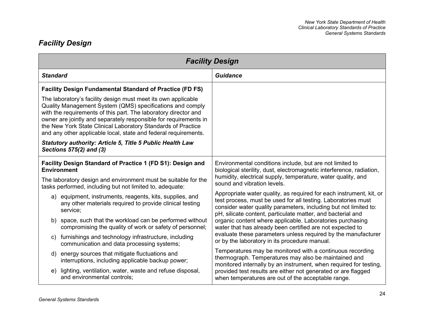## <span id="page-30-0"></span>*Facility Design*

| <b>Facility Design</b>                                                                                                                                                                                                                                                                                                                                                                               |                                                                                                                                                                                                                                                                                                                                                                                                                                                                                                                     |  |
|------------------------------------------------------------------------------------------------------------------------------------------------------------------------------------------------------------------------------------------------------------------------------------------------------------------------------------------------------------------------------------------------------|---------------------------------------------------------------------------------------------------------------------------------------------------------------------------------------------------------------------------------------------------------------------------------------------------------------------------------------------------------------------------------------------------------------------------------------------------------------------------------------------------------------------|--|
| <b>Standard</b>                                                                                                                                                                                                                                                                                                                                                                                      | <b>Guidance</b>                                                                                                                                                                                                                                                                                                                                                                                                                                                                                                     |  |
| <b>Facility Design Fundamental Standard of Practice (FD FS)</b>                                                                                                                                                                                                                                                                                                                                      |                                                                                                                                                                                                                                                                                                                                                                                                                                                                                                                     |  |
| The laboratory's facility design must meet its own applicable<br>Quality Management System (QMS) specifications and comply<br>with the requirements of this part. The laboratory director and<br>owner are jointly and separately responsible for requirements in<br>the New York State Clinical Laboratory Standards of Practice<br>and any other applicable local, state and federal requirements. |                                                                                                                                                                                                                                                                                                                                                                                                                                                                                                                     |  |
| Statutory authority: Article 5, Title 5 Public Health Law<br>Sections 575(2) and (3)                                                                                                                                                                                                                                                                                                                 |                                                                                                                                                                                                                                                                                                                                                                                                                                                                                                                     |  |
| Facility Design Standard of Practice 1 (FD S1): Design and<br><b>Environment</b>                                                                                                                                                                                                                                                                                                                     | Environmental conditions include, but are not limited to<br>biological sterility, dust, electromagnetic interference, radiation,                                                                                                                                                                                                                                                                                                                                                                                    |  |
| The laboratory design and environment must be suitable for the<br>tasks performed, including but not limited to, adequate:                                                                                                                                                                                                                                                                           | humidity, electrical supply, temperature, water quality, and<br>sound and vibration levels.                                                                                                                                                                                                                                                                                                                                                                                                                         |  |
| a) equipment, instruments, reagents, kits, supplies, and<br>any other materials required to provide clinical testing<br>service;                                                                                                                                                                                                                                                                     | Appropriate water quality, as required for each instrument, kit, or<br>test process, must be used for all testing. Laboratories must<br>consider water quality parameters, including but not limited to:<br>pH, silicate content, particulate matter, and bacterial and<br>organic content where applicable. Laboratories purchasing<br>water that has already been certified are not expected to<br>evaluate these parameters unless required by the manufacturer<br>or by the laboratory in its procedure manual. |  |
| space, such that the workload can be performed without<br>b)<br>compromising the quality of work or safety of personnel;                                                                                                                                                                                                                                                                             |                                                                                                                                                                                                                                                                                                                                                                                                                                                                                                                     |  |
| c) furnishings and technology infrastructure, including<br>communication and data processing systems;                                                                                                                                                                                                                                                                                                |                                                                                                                                                                                                                                                                                                                                                                                                                                                                                                                     |  |
| energy sources that mitigate fluctuations and<br>d)<br>interruptions, including applicable backup power;                                                                                                                                                                                                                                                                                             | Temperatures may be monitored with a continuous recording<br>thermograph. Temperatures may also be maintained and<br>monitored internally by an instrument, when required for testing,<br>provided test results are either not generated or are flagged<br>when temperatures are out of the acceptable range.                                                                                                                                                                                                       |  |
| lighting, ventilation, water, waste and refuse disposal,<br>e)<br>and environmental controls;                                                                                                                                                                                                                                                                                                        |                                                                                                                                                                                                                                                                                                                                                                                                                                                                                                                     |  |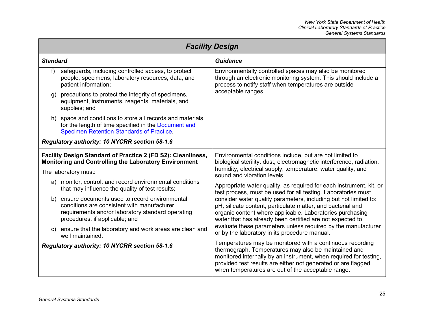| <b>Facility Design</b> |                                                                                                                                                                                     |                                                                                                                                                                                                                                                                                                                                                                                                                                                                                                                                                                                                                                                                                                                                                        |
|------------------------|-------------------------------------------------------------------------------------------------------------------------------------------------------------------------------------|--------------------------------------------------------------------------------------------------------------------------------------------------------------------------------------------------------------------------------------------------------------------------------------------------------------------------------------------------------------------------------------------------------------------------------------------------------------------------------------------------------------------------------------------------------------------------------------------------------------------------------------------------------------------------------------------------------------------------------------------------------|
| <b>Standard</b>        |                                                                                                                                                                                     | <b>Guidance</b>                                                                                                                                                                                                                                                                                                                                                                                                                                                                                                                                                                                                                                                                                                                                        |
| f)                     | safeguards, including controlled access, to protect<br>people, specimens, laboratory resources, data, and<br>patient information;                                                   | Environmentally controlled spaces may also be monitored<br>through an electronic monitoring system. This should include a<br>process to notify staff when temperatures are outside<br>acceptable ranges.                                                                                                                                                                                                                                                                                                                                                                                                                                                                                                                                               |
| g)                     | precautions to protect the integrity of specimens,<br>equipment, instruments, reagents, materials, and<br>supplies; and                                                             |                                                                                                                                                                                                                                                                                                                                                                                                                                                                                                                                                                                                                                                                                                                                                        |
|                        | h) space and conditions to store all records and materials<br>for the length of time specified in the Document and<br><b>Specimen Retention Standards of Practice.</b>              |                                                                                                                                                                                                                                                                                                                                                                                                                                                                                                                                                                                                                                                                                                                                                        |
|                        | Regulatory authority: 10 NYCRR section 58-1.6                                                                                                                                       |                                                                                                                                                                                                                                                                                                                                                                                                                                                                                                                                                                                                                                                                                                                                                        |
|                        | Facility Design Standard of Practice 2 (FD S2): Cleanliness,<br><b>Monitoring and Controlling the Laboratory Environment</b>                                                        | Environmental conditions include, but are not limited to<br>biological sterility, dust, electromagnetic interference, radiation,<br>humidity, electrical supply, temperature, water quality, and<br>sound and vibration levels.<br>Appropriate water quality, as required for each instrument, kit, or<br>test process, must be used for all testing. Laboratories must<br>consider water quality parameters, including but not limited to:<br>pH, silicate content, particulate matter, and bacterial and<br>organic content where applicable. Laboratories purchasing<br>water that has already been certified are not expected to<br>evaluate these parameters unless required by the manufacturer<br>or by the laboratory in its procedure manual. |
|                        | The laboratory must:                                                                                                                                                                |                                                                                                                                                                                                                                                                                                                                                                                                                                                                                                                                                                                                                                                                                                                                                        |
|                        | a) monitor, control, and record environmental conditions<br>that may influence the quality of test results;                                                                         |                                                                                                                                                                                                                                                                                                                                                                                                                                                                                                                                                                                                                                                                                                                                                        |
| b)                     | ensure documents used to record environmental<br>conditions are consistent with manufacturer<br>requirements and/or laboratory standard operating<br>procedures, if applicable; and |                                                                                                                                                                                                                                                                                                                                                                                                                                                                                                                                                                                                                                                                                                                                                        |
|                        | c) ensure that the laboratory and work areas are clean and<br>well maintained.                                                                                                      |                                                                                                                                                                                                                                                                                                                                                                                                                                                                                                                                                                                                                                                                                                                                                        |
|                        | Regulatory authority: 10 NYCRR section 58-1.6                                                                                                                                       | Temperatures may be monitored with a continuous recording<br>thermograph. Temperatures may also be maintained and<br>monitored internally by an instrument, when required for testing,<br>provided test results are either not generated or are flagged<br>when temperatures are out of the acceptable range.                                                                                                                                                                                                                                                                                                                                                                                                                                          |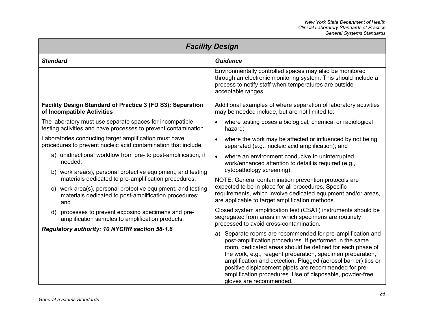| <b>Facility Design</b>                                                                                                         |                                                                                                                                                                                                                                                                                                                                                                                                                                                                                                                                                                                                                                                                                                                                                                                                                                                                                  |  |
|--------------------------------------------------------------------------------------------------------------------------------|----------------------------------------------------------------------------------------------------------------------------------------------------------------------------------------------------------------------------------------------------------------------------------------------------------------------------------------------------------------------------------------------------------------------------------------------------------------------------------------------------------------------------------------------------------------------------------------------------------------------------------------------------------------------------------------------------------------------------------------------------------------------------------------------------------------------------------------------------------------------------------|--|
| <b>Standard</b>                                                                                                                | <b>Guidance</b>                                                                                                                                                                                                                                                                                                                                                                                                                                                                                                                                                                                                                                                                                                                                                                                                                                                                  |  |
|                                                                                                                                | Environmentally controlled spaces may also be monitored<br>through an electronic monitoring system. This should include a<br>process to notify staff when temperatures are outside<br>acceptable ranges.                                                                                                                                                                                                                                                                                                                                                                                                                                                                                                                                                                                                                                                                         |  |
| Facility Design Standard of Practice 3 (FD S3): Separation<br>of Incompatible Activities                                       | Additional examples of where separation of laboratory activities<br>may be needed include, but are not limited to:                                                                                                                                                                                                                                                                                                                                                                                                                                                                                                                                                                                                                                                                                                                                                               |  |
| The laboratory must use separate spaces for incompatible<br>testing activities and have processes to prevent contamination.    | where testing poses a biological, chemical or radiological<br>$\bullet$<br>hazard:                                                                                                                                                                                                                                                                                                                                                                                                                                                                                                                                                                                                                                                                                                                                                                                               |  |
| Laboratories conducting target amplification must have<br>procedures to prevent nucleic acid contamination that include:       | where the work may be affected or influenced by not being<br>$\bullet$<br>separated (e.g., nucleic acid amplification); and                                                                                                                                                                                                                                                                                                                                                                                                                                                                                                                                                                                                                                                                                                                                                      |  |
| a) unidirectional workflow from pre- to post-amplification, if<br>needed;                                                      | where an environment conducive to uninterrupted<br>$\bullet$<br>work/enhanced attention to detail is required (e.g.,                                                                                                                                                                                                                                                                                                                                                                                                                                                                                                                                                                                                                                                                                                                                                             |  |
| b) work area(s), personal protective equipment, and testing<br>materials dedicated to pre-amplification procedures;            | cytopathology screening).                                                                                                                                                                                                                                                                                                                                                                                                                                                                                                                                                                                                                                                                                                                                                                                                                                                        |  |
| work area(s), personal protective equipment, and testing<br>C)<br>materials dedicated to post-amplification procedures;<br>and | NOTE: General contamination prevention protocols are<br>expected to be in place for all procedures. Specific<br>requirements, which involve dedicated equipment and/or areas,<br>are applicable to target amplification methods.<br>Closed system amplification test (CSAT) instruments should be<br>segregated from areas in which specimens are routinely<br>processed to avoid cross-contamination.<br>Separate rooms are recommended for pre-amplification and<br>a)<br>post-amplification procedures. If performed in the same<br>room, dedicated areas should be defined for each phase of<br>the work, e.g., reagent preparation, specimen preparation,<br>amplification and detection. Plugged (aerosol barrier) tips or<br>positive displacement pipets are recommended for pre-<br>amplification procedures. Use of disposable, powder-free<br>gloves are recommended. |  |
| d) processes to prevent exposing specimens and pre-<br>amplification samples to amplification products.                        |                                                                                                                                                                                                                                                                                                                                                                                                                                                                                                                                                                                                                                                                                                                                                                                                                                                                                  |  |
| Regulatory authority: 10 NYCRR section 58-1.6                                                                                  |                                                                                                                                                                                                                                                                                                                                                                                                                                                                                                                                                                                                                                                                                                                                                                                                                                                                                  |  |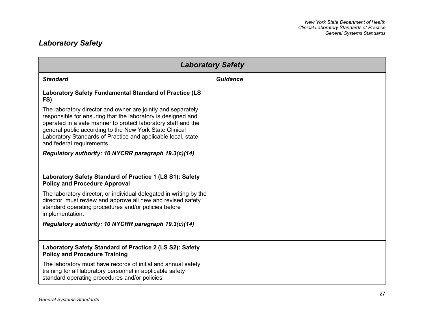## <span id="page-33-0"></span>*Laboratory Safety*

| <b>Laboratory Safety</b>                                                                                                                                                                                                                                                                                                                              |                 |
|-------------------------------------------------------------------------------------------------------------------------------------------------------------------------------------------------------------------------------------------------------------------------------------------------------------------------------------------------------|-----------------|
| <b>Standard</b>                                                                                                                                                                                                                                                                                                                                       | <b>Guidance</b> |
| Laboratory Safety Fundamental Standard of Practice (LS<br>FS)                                                                                                                                                                                                                                                                                         |                 |
| The laboratory director and owner are jointly and separately<br>responsible for ensuring that the laboratory is designed and<br>operated in a safe manner to protect laboratory staff and the<br>general public according to the New York State Clinical<br>Laboratory Standards of Practice and applicable local, state<br>and federal requirements. |                 |
| Regulatory authority: 10 NYCRR paragraph 19.3(c)(14)                                                                                                                                                                                                                                                                                                  |                 |
| Laboratory Safety Standard of Practice 1 (LS S1): Safety<br><b>Policy and Procedure Approval</b>                                                                                                                                                                                                                                                      |                 |
| The laboratory director, or individual delegated in writing by the<br>director, must review and approve all new and revised safety<br>standard operating procedures and/or policies before<br>implementation.                                                                                                                                         |                 |
| Regulatory authority: 10 NYCRR paragraph 19.3(c)(14)                                                                                                                                                                                                                                                                                                  |                 |
| Laboratory Safety Standard of Practice 2 (LS S2): Safety<br><b>Policy and Procedure Training</b>                                                                                                                                                                                                                                                      |                 |
| The laboratory must have records of initial and annual safety<br>training for all laboratory personnel in applicable safety<br>standard operating procedures and/or policies.                                                                                                                                                                         |                 |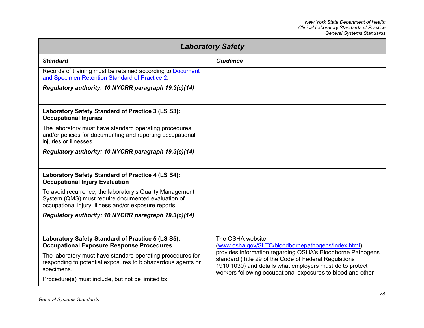| <b>Laboratory Safety</b>                                                                                                                                                |                                                                                                                                                                                                                                                                                                                          |  |
|-------------------------------------------------------------------------------------------------------------------------------------------------------------------------|--------------------------------------------------------------------------------------------------------------------------------------------------------------------------------------------------------------------------------------------------------------------------------------------------------------------------|--|
| <b>Standard</b>                                                                                                                                                         | <b>Guidance</b>                                                                                                                                                                                                                                                                                                          |  |
| Records of training must be retained according to Document<br>and Specimen Retention Standard of Practice 2.                                                            |                                                                                                                                                                                                                                                                                                                          |  |
| Regulatory authority: 10 NYCRR paragraph 19.3(c)(14)                                                                                                                    |                                                                                                                                                                                                                                                                                                                          |  |
| Laboratory Safety Standard of Practice 3 (LS S3):<br><b>Occupational Injuries</b>                                                                                       |                                                                                                                                                                                                                                                                                                                          |  |
| The laboratory must have standard operating procedures<br>and/or policies for documenting and reporting occupational<br>injuries or illnesses.                          |                                                                                                                                                                                                                                                                                                                          |  |
| Regulatory authority: 10 NYCRR paragraph 19.3(c)(14)                                                                                                                    |                                                                                                                                                                                                                                                                                                                          |  |
| Laboratory Safety Standard of Practice 4 (LS S4):<br><b>Occupational Injury Evaluation</b>                                                                              |                                                                                                                                                                                                                                                                                                                          |  |
| To avoid recurrence, the laboratory's Quality Management<br>System (QMS) must require documented evaluation of<br>occupational injury, illness and/or exposure reports. |                                                                                                                                                                                                                                                                                                                          |  |
| Regulatory authority: 10 NYCRR paragraph 19.3(c)(14)                                                                                                                    |                                                                                                                                                                                                                                                                                                                          |  |
| Laboratory Safety Standard of Practice 5 (LS S5):<br><b>Occupational Exposure Response Procedures</b>                                                                   | The OSHA website<br>(www.osha.gov/SLTC/bloodbornepathogens/index.html)<br>provides information regarding OSHA's Bloodborne Pathogens<br>standard (Title 29 of the Code of Federal Regulations<br>1910.1030) and details what employers must do to protect<br>workers following occupational exposures to blood and other |  |
| The laboratory must have standard operating procedures for<br>responding to potential exposures to biohazardous agents or<br>specimens.                                 |                                                                                                                                                                                                                                                                                                                          |  |
| Procedure(s) must include, but not be limited to:                                                                                                                       |                                                                                                                                                                                                                                                                                                                          |  |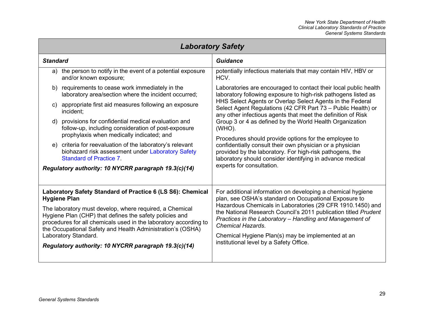| <b>Laboratory Safety</b>                                                                                                                                                                                                                                                                                                                                                                                                  |                                                                                                                                                                                                                                                                                                                                                                                                                                                                                                                                                                                                                                                      |  |  |
|---------------------------------------------------------------------------------------------------------------------------------------------------------------------------------------------------------------------------------------------------------------------------------------------------------------------------------------------------------------------------------------------------------------------------|------------------------------------------------------------------------------------------------------------------------------------------------------------------------------------------------------------------------------------------------------------------------------------------------------------------------------------------------------------------------------------------------------------------------------------------------------------------------------------------------------------------------------------------------------------------------------------------------------------------------------------------------------|--|--|
| <b>Standard</b>                                                                                                                                                                                                                                                                                                                                                                                                           | <b>Guidance</b>                                                                                                                                                                                                                                                                                                                                                                                                                                                                                                                                                                                                                                      |  |  |
| the person to notify in the event of a potential exposure<br>a)<br>and/or known exposure;                                                                                                                                                                                                                                                                                                                                 | potentially infectious materials that may contain HIV, HBV or<br>HCV.                                                                                                                                                                                                                                                                                                                                                                                                                                                                                                                                                                                |  |  |
| b) requirements to cease work immediately in the<br>laboratory area/section where the incident occurred;                                                                                                                                                                                                                                                                                                                  | Laboratories are encouraged to contact their local public health<br>laboratory following exposure to high-risk pathogens listed as<br>HHS Select Agents or Overlap Select Agents in the Federal<br>Select Agent Regulations (42 CFR Part 73 - Public Health) or<br>any other infectious agents that meet the definition of Risk<br>Group 3 or 4 as defined by the World Health Organization<br>(WHO).<br>Procedures should provide options for the employee to<br>confidentially consult their own physician or a physician<br>provided by the laboratory. For high-risk pathogens, the<br>laboratory should consider identifying in advance medical |  |  |
| appropriate first aid measures following an exposure<br>C)<br>incident;                                                                                                                                                                                                                                                                                                                                                   |                                                                                                                                                                                                                                                                                                                                                                                                                                                                                                                                                                                                                                                      |  |  |
| d) provisions for confidential medical evaluation and<br>follow-up, including consideration of post-exposure                                                                                                                                                                                                                                                                                                              |                                                                                                                                                                                                                                                                                                                                                                                                                                                                                                                                                                                                                                                      |  |  |
| prophylaxis when medically indicated; and<br>e) criteria for reevaluation of the laboratory's relevant<br>biohazard risk assessment under Laboratory Safety<br><b>Standard of Practice 7</b>                                                                                                                                                                                                                              |                                                                                                                                                                                                                                                                                                                                                                                                                                                                                                                                                                                                                                                      |  |  |
| Regulatory authority: 10 NYCRR paragraph 19.3(c)(14)                                                                                                                                                                                                                                                                                                                                                                      | experts for consultation.                                                                                                                                                                                                                                                                                                                                                                                                                                                                                                                                                                                                                            |  |  |
| Laboratory Safety Standard of Practice 6 (LS S6): Chemical<br><b>Hygiene Plan</b><br>The laboratory must develop, where required, a Chemical<br>Hygiene Plan (CHP) that defines the safety policies and<br>procedures for all chemicals used in the laboratory according to<br>the Occupational Safety and Health Administration's (OSHA)<br>Laboratory Standard.<br>Regulatory authority: 10 NYCRR paragraph 19.3(c)(14) | For additional information on developing a chemical hygiene<br>plan, see OSHA's standard on Occupational Exposure to<br>Hazardous Chemicals in Laboratories (29 CFR 1910.1450) and<br>the National Research Council's 2011 publication titled Prudent<br>Practices in the Laboratory - Handling and Management of<br><b>Chemical Hazards.</b><br>Chemical Hygiene Plan(s) may be implemented at an<br>institutional level by a Safety Office.                                                                                                                                                                                                        |  |  |
|                                                                                                                                                                                                                                                                                                                                                                                                                           |                                                                                                                                                                                                                                                                                                                                                                                                                                                                                                                                                                                                                                                      |  |  |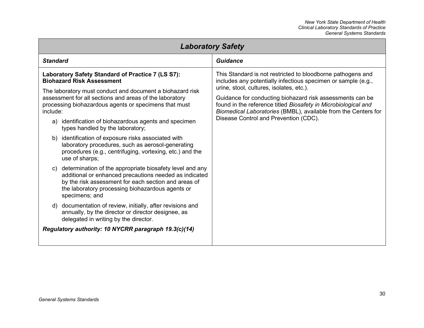### *New York State Department of Health Clinical Laboratory Standards of Practice General Systems Standards*

<span id="page-36-0"></span>

| <b>Laboratory Safety</b>                                                                                                                                                                                                                                                               |                                                                                                                                                                                                                                                                                    |  |
|----------------------------------------------------------------------------------------------------------------------------------------------------------------------------------------------------------------------------------------------------------------------------------------|------------------------------------------------------------------------------------------------------------------------------------------------------------------------------------------------------------------------------------------------------------------------------------|--|
| <b>Standard</b>                                                                                                                                                                                                                                                                        | <b>Guidance</b>                                                                                                                                                                                                                                                                    |  |
| Laboratory Safety Standard of Practice 7 (LS S7):<br><b>Biohazard Risk Assessment</b>                                                                                                                                                                                                  | This Standard is not restricted to bloodborne pathogens and<br>includes any potentially infectious specimen or sample (e.g.,                                                                                                                                                       |  |
| The laboratory must conduct and document a biohazard risk<br>assessment for all sections and areas of the laboratory<br>processing biohazardous agents or specimens that must<br>include:<br>a) identification of biohazardous agents and specimen<br>types handled by the laboratory; | urine, stool, cultures, isolates, etc.).<br>Guidance for conducting biohazard risk assessments can be<br>found in the reference titled Biosafety in Microbiological and<br>Biomedical Laboratories (BMBL), available from the Centers for<br>Disease Control and Prevention (CDC). |  |
| b) identification of exposure risks associated with<br>laboratory procedures, such as aerosol-generating<br>procedures (e.g., centrifuging, vortexing, etc.) and the<br>use of sharps;                                                                                                 |                                                                                                                                                                                                                                                                                    |  |
| determination of the appropriate biosafety level and any<br>C)<br>additional or enhanced precautions needed as indicated<br>by the risk assessment for each section and areas of<br>the laboratory processing biohazardous agents or<br>specimens; and                                 |                                                                                                                                                                                                                                                                                    |  |
| documentation of review, initially, after revisions and<br>d)<br>annually, by the director or director designee, as<br>delegated in writing by the director.                                                                                                                           |                                                                                                                                                                                                                                                                                    |  |
| Regulatory authority: 10 NYCRR paragraph 19.3(c)(14)                                                                                                                                                                                                                                   |                                                                                                                                                                                                                                                                                    |  |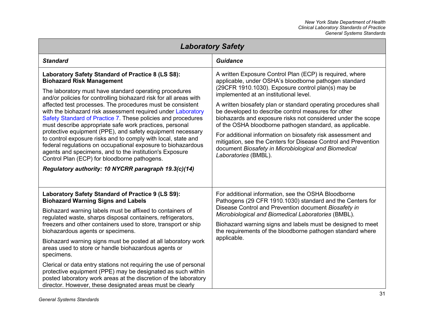| <b>Laboratory Safety</b>                                                                                                                                                                                                                                                                                                                                                                                                                                                                                                                                                                                                                                                                                                                                                                                                                        |                                                                                                                                                                                                                                                                                                                                                                                                                                                                                                                                                                                                                                                                                          |  |
|-------------------------------------------------------------------------------------------------------------------------------------------------------------------------------------------------------------------------------------------------------------------------------------------------------------------------------------------------------------------------------------------------------------------------------------------------------------------------------------------------------------------------------------------------------------------------------------------------------------------------------------------------------------------------------------------------------------------------------------------------------------------------------------------------------------------------------------------------|------------------------------------------------------------------------------------------------------------------------------------------------------------------------------------------------------------------------------------------------------------------------------------------------------------------------------------------------------------------------------------------------------------------------------------------------------------------------------------------------------------------------------------------------------------------------------------------------------------------------------------------------------------------------------------------|--|
| <b>Standard</b>                                                                                                                                                                                                                                                                                                                                                                                                                                                                                                                                                                                                                                                                                                                                                                                                                                 | Guidance                                                                                                                                                                                                                                                                                                                                                                                                                                                                                                                                                                                                                                                                                 |  |
| Laboratory Safety Standard of Practice 8 (LS S8):<br><b>Biohazard Risk Management</b><br>The laboratory must have standard operating procedures<br>and/or policies for controlling biohazard risk for all areas with<br>affected test processes. The procedures must be consistent<br>with the biohazard risk assessment required under Laboratory<br>Safety Standard of Practice 7. These policies and procedures<br>must describe appropriate safe work practices, personal<br>protective equipment (PPE), and safety equipment necessary<br>to control exposure risks and to comply with local, state and<br>federal regulations on occupational exposure to biohazardous<br>agents and specimens, and to the institution's Exposure<br>Control Plan (ECP) for bloodborne pathogens.<br>Regulatory authority: 10 NYCRR paragraph 19.3(c)(14) | A written Exposure Control Plan (ECP) is required, where<br>applicable, under OSHA's bloodborne pathogen standard<br>(29CFR 1910.1030). Exposure control plan(s) may be<br>implemented at an institutional level.<br>A written biosafety plan or standard operating procedures shall<br>be developed to describe control measures for other<br>biohazards and exposure risks not considered under the scope<br>of the OSHA bloodborne pathogen standard, as applicable.<br>For additional information on biosafety risk assessment and<br>mitigation, see the Centers for Disease Control and Prevention<br>document Biosafety in Microbiological and Biomedical<br>Laboratories (BMBL). |  |
| Laboratory Safety Standard of Practice 9 (LS S9):<br><b>Biohazard Warning Signs and Labels</b><br>Biohazard warning labels must be affixed to containers of<br>regulated waste, sharps disposal containers, refrigerators,<br>freezers and other containers used to store, transport or ship<br>biohazardous agents or specimens.<br>Biohazard warning signs must be posted at all laboratory work<br>areas used to store or handle biohazardous agents or<br>specimens.<br>Clerical or data entry stations not requiring the use of personal                                                                                                                                                                                                                                                                                                   | For additional information, see the OSHA Bloodborne<br>Pathogens (29 CFR 1910.1030) standard and the Centers for<br>Disease Control and Prevention document Biosafety in<br>Microbiological and Biomedical Laboratories (BMBL).<br>Biohazard warning signs and labels must be designed to meet<br>the requirements of the bloodborne pathogen standard where<br>applicable.                                                                                                                                                                                                                                                                                                              |  |
| protective equipment (PPE) may be designated as such within<br>posted laboratory work areas at the discretion of the laboratory<br>director. However, these designated areas must be clearly                                                                                                                                                                                                                                                                                                                                                                                                                                                                                                                                                                                                                                                    |                                                                                                                                                                                                                                                                                                                                                                                                                                                                                                                                                                                                                                                                                          |  |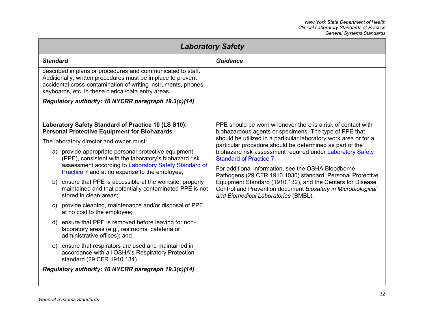| <b>Laboratory Safety</b>                                                                                                                                                                                                                                                                                                                                                                                                                                                                                                                                                                                                                                                                                                                                                                                                                                                                                                   |                                                                                                                                                                                                                                                                                                                                                                                                                                                                                                                                                                                                                                                 |  |
|----------------------------------------------------------------------------------------------------------------------------------------------------------------------------------------------------------------------------------------------------------------------------------------------------------------------------------------------------------------------------------------------------------------------------------------------------------------------------------------------------------------------------------------------------------------------------------------------------------------------------------------------------------------------------------------------------------------------------------------------------------------------------------------------------------------------------------------------------------------------------------------------------------------------------|-------------------------------------------------------------------------------------------------------------------------------------------------------------------------------------------------------------------------------------------------------------------------------------------------------------------------------------------------------------------------------------------------------------------------------------------------------------------------------------------------------------------------------------------------------------------------------------------------------------------------------------------------|--|
| <b>Standard</b>                                                                                                                                                                                                                                                                                                                                                                                                                                                                                                                                                                                                                                                                                                                                                                                                                                                                                                            | <b>Guidance</b>                                                                                                                                                                                                                                                                                                                                                                                                                                                                                                                                                                                                                                 |  |
| described in plans or procedures and communicated to staff.<br>Additionally, written procedures must be in place to prevent<br>accidental cross-contamination of writing instruments, phones,<br>keyboards, etc. in these clerical/data entry areas.                                                                                                                                                                                                                                                                                                                                                                                                                                                                                                                                                                                                                                                                       |                                                                                                                                                                                                                                                                                                                                                                                                                                                                                                                                                                                                                                                 |  |
| Regulatory authority: 10 NYCRR paragraph 19.3(c)(14)                                                                                                                                                                                                                                                                                                                                                                                                                                                                                                                                                                                                                                                                                                                                                                                                                                                                       |                                                                                                                                                                                                                                                                                                                                                                                                                                                                                                                                                                                                                                                 |  |
| Laboratory Safety Standard of Practice 10 (LS S10):<br><b>Personal Protective Equipment for Biohazards</b><br>The laboratory director and owner must:<br>a) provide appropriate personal protective equipment<br>(PPE), consistent with the laboratory's biohazard risk<br>assessment according to Laboratory Safety Standard of<br>Practice 7 and at no expense to the employee;<br>ensure that PPE is accessible at the worksite, properly<br>b)<br>maintained and that potentially contaminated PPE is not<br>stored in clean areas:<br>provide cleaning, maintenance and/or disposal of PPE<br>at no cost to the employee;<br>d) ensure that PPE is removed before leaving for non-<br>laboratory areas (e.g., restrooms, cafeteria or<br>administrative offices); and<br>ensure that respirators are used and maintained in<br>e)<br>accordance with all OSHA's Respiratory Protection<br>standard (29 CFR 1910.134). | PPE should be worn whenever there is a risk of contact with<br>biohazardous agents or specimens. The type of PPE that<br>should be utilized in a particular laboratory work area or for a<br>particular procedure should be determined as part of the<br>biohazard risk assessment required under Laboratory Safety<br><b>Standard of Practice 7.</b><br>For additional information, see the OSHA Bloodborne<br>Pathogens (29 CFR 1910.1030) standard, Personal Protective<br>Equipment Standard (1910.132), and the Centers for Disease<br>Control and Prevention document Biosafety in Microbiological<br>and Biomedical Laboratories (BMBL). |  |
| Regulatory authority: 10 NYCRR paragraph 19.3(c)(14)                                                                                                                                                                                                                                                                                                                                                                                                                                                                                                                                                                                                                                                                                                                                                                                                                                                                       |                                                                                                                                                                                                                                                                                                                                                                                                                                                                                                                                                                                                                                                 |  |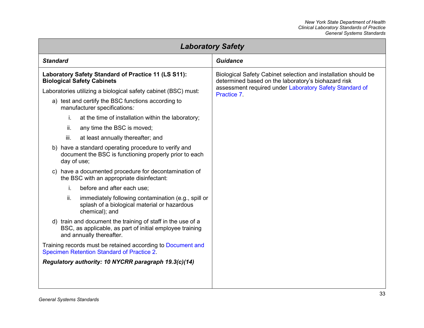| <b>Laboratory Safety</b>                                                                                                                            |                                                                                                                       |
|-----------------------------------------------------------------------------------------------------------------------------------------------------|-----------------------------------------------------------------------------------------------------------------------|
| <b>Standard</b>                                                                                                                                     | <b>Guidance</b>                                                                                                       |
| Laboratory Safety Standard of Practice 11 (LS S11):<br><b>Biological Safety Cabinets</b>                                                            | Biological Safety Cabinet selection and installation should be<br>determined based on the laboratory's biohazard risk |
| Laboratories utilizing a biological safety cabinet (BSC) must:                                                                                      | assessment required under Laboratory Safety Standard of<br>Practice 7.                                                |
| a) test and certify the BSC functions according to<br>manufacturer specifications:                                                                  |                                                                                                                       |
| at the time of installation within the laboratory;<br>İ.                                                                                            |                                                                                                                       |
| ii.<br>any time the BSC is moved;                                                                                                                   |                                                                                                                       |
| iii.<br>at least annually thereafter; and                                                                                                           |                                                                                                                       |
| b) have a standard operating procedure to verify and<br>document the BSC is functioning properly prior to each<br>day of use;                       |                                                                                                                       |
| c) have a documented procedure for decontamination of<br>the BSC with an appropriate disinfectant:                                                  |                                                                                                                       |
| before and after each use;<br>i.                                                                                                                    |                                                                                                                       |
| ii.<br>immediately following contamination (e.g., spill or<br>splash of a biological material or hazardous<br>chemical); and                        |                                                                                                                       |
| d) train and document the training of staff in the use of a<br>BSC, as applicable, as part of initial employee training<br>and annually thereafter. |                                                                                                                       |
| Training records must be retained according to Document and<br>Specimen Retention Standard of Practice 2.                                           |                                                                                                                       |
| Regulatory authority: 10 NYCRR paragraph 19.3(c)(14)                                                                                                |                                                                                                                       |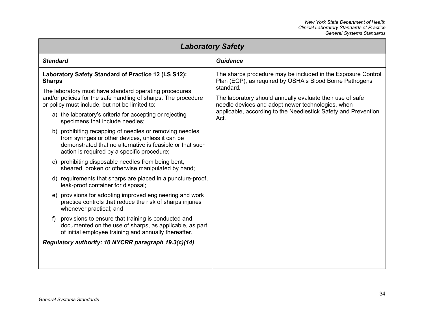| <b>Laboratory Safety</b>                                                                                                                                                                                                                                                                                                                                                                                                                                                                                                                                                                                                                                                                                                                                                                                                                                                                                                                                                                                                                                                                                                                                                                 |                                                                                                                                                                                                                                                                                                                                  |
|------------------------------------------------------------------------------------------------------------------------------------------------------------------------------------------------------------------------------------------------------------------------------------------------------------------------------------------------------------------------------------------------------------------------------------------------------------------------------------------------------------------------------------------------------------------------------------------------------------------------------------------------------------------------------------------------------------------------------------------------------------------------------------------------------------------------------------------------------------------------------------------------------------------------------------------------------------------------------------------------------------------------------------------------------------------------------------------------------------------------------------------------------------------------------------------|----------------------------------------------------------------------------------------------------------------------------------------------------------------------------------------------------------------------------------------------------------------------------------------------------------------------------------|
| <b>Standard</b>                                                                                                                                                                                                                                                                                                                                                                                                                                                                                                                                                                                                                                                                                                                                                                                                                                                                                                                                                                                                                                                                                                                                                                          | Guidance                                                                                                                                                                                                                                                                                                                         |
| Laboratory Safety Standard of Practice 12 (LS S12):<br><b>Sharps</b><br>The laboratory must have standard operating procedures<br>and/or policies for the safe handling of sharps. The procedure<br>or policy must include, but not be limited to:<br>a) the laboratory's criteria for accepting or rejecting<br>specimens that include needles;<br>b) prohibiting recapping of needles or removing needles<br>from syringes or other devices, unless it can be<br>demonstrated that no alternative is feasible or that such<br>action is required by a specific procedure;<br>c) prohibiting disposable needles from being bent,<br>sheared, broken or otherwise manipulated by hand;<br>d) requirements that sharps are placed in a puncture-proof,<br>leak-proof container for disposal;<br>e) provisions for adopting improved engineering and work<br>practice controls that reduce the risk of sharps injuries<br>whenever practical; and<br>provisions to ensure that training is conducted and<br>f)<br>documented on the use of sharps, as applicable, as part<br>of initial employee training and annually thereafter.<br>Regulatory authority: 10 NYCRR paragraph 19.3(c)(14) | The sharps procedure may be included in the Exposure Control<br>Plan (ECP), as required by OSHA's Blood Borne Pathogens<br>standard.<br>The laboratory should annually evaluate their use of safe<br>needle devices and adopt newer technologies, when<br>applicable, according to the Needlestick Safety and Prevention<br>Act. |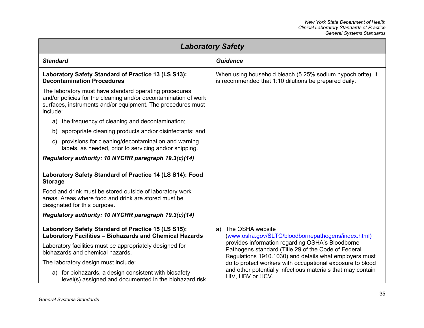| <b>Laboratory Safety</b>                                                                                                                                                                             |                                                                                                                                                                   |  |
|------------------------------------------------------------------------------------------------------------------------------------------------------------------------------------------------------|-------------------------------------------------------------------------------------------------------------------------------------------------------------------|--|
| <b>Standard</b>                                                                                                                                                                                      | <b>Guidance</b>                                                                                                                                                   |  |
| Laboratory Safety Standard of Practice 13 (LS S13):<br><b>Decontamination Procedures</b>                                                                                                             | When using household bleach (5.25% sodium hypochlorite), it<br>is recommended that 1:10 dilutions be prepared daily.                                              |  |
| The laboratory must have standard operating procedures<br>and/or policies for the cleaning and/or decontamination of work<br>surfaces, instruments and/or equipment. The procedures must<br>include: |                                                                                                                                                                   |  |
| a) the frequency of cleaning and decontamination;                                                                                                                                                    |                                                                                                                                                                   |  |
| appropriate cleaning products and/or disinfectants; and<br>b)                                                                                                                                        |                                                                                                                                                                   |  |
| provisions for cleaning/decontamination and warning<br>c)<br>labels, as needed, prior to servicing and/or shipping.                                                                                  |                                                                                                                                                                   |  |
| Regulatory authority: 10 NYCRR paragraph 19.3(c)(14)                                                                                                                                                 |                                                                                                                                                                   |  |
| Laboratory Safety Standard of Practice 14 (LS S14): Food<br><b>Storage</b>                                                                                                                           |                                                                                                                                                                   |  |
| Food and drink must be stored outside of laboratory work<br>areas. Areas where food and drink are stored must be<br>designated for this purpose.                                                     |                                                                                                                                                                   |  |
| Regulatory authority: 10 NYCRR paragraph 19.3(c)(14)                                                                                                                                                 |                                                                                                                                                                   |  |
| Laboratory Safety Standard of Practice 15 (LS S15):<br>Laboratory Facilities - Biohazards and Chemical Hazards                                                                                       | The OSHA website<br>a)<br>(www.osha.gov/SLTC/bloodbornepathogens/index.html)                                                                                      |  |
| Laboratory facilities must be appropriately designed for<br>biohazards and chemical hazards.                                                                                                         | provides information regarding OSHA's Bloodborne<br>Pathogens standard (Title 29 of the Code of Federal<br>Regulations 1910.1030) and details what employers must |  |
| The laboratory design must include:                                                                                                                                                                  | do to protect workers with occupational exposure to blood                                                                                                         |  |
| a) for biohazards, a design consistent with biosafety<br>level(s) assigned and documented in the biohazard risk                                                                                      | and other potentially infectious materials that may contain<br>HIV, HBV or HCV.                                                                                   |  |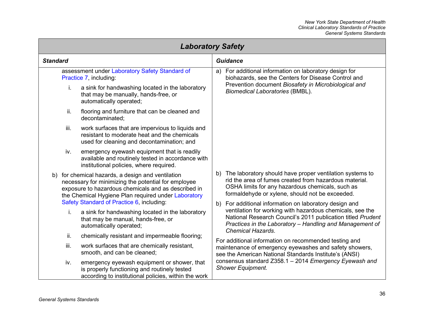| <b>Laboratory Safety</b>                                                                                                                                                                                               |                                                                                                                                                                                                                              |  |
|------------------------------------------------------------------------------------------------------------------------------------------------------------------------------------------------------------------------|------------------------------------------------------------------------------------------------------------------------------------------------------------------------------------------------------------------------------|--|
| <b>Standard</b>                                                                                                                                                                                                        | <b>Guidance</b>                                                                                                                                                                                                              |  |
| assessment under Laboratory Safety Standard of<br>Practice 7, including:                                                                                                                                               | For additional information on laboratory design for<br>a)<br>biohazards, see the Centers for Disease Control and                                                                                                             |  |
| a sink for handwashing located in the laboratory<br>i.<br>that may be manually, hands-free, or<br>automatically operated;                                                                                              | Prevention document Biosafety in Microbiological and<br><b>Biomedical Laboratories (BMBL).</b>                                                                                                                               |  |
| ii.<br>flooring and furniture that can be cleaned and<br>decontaminated;                                                                                                                                               |                                                                                                                                                                                                                              |  |
| iii.<br>work surfaces that are impervious to liquids and<br>resistant to moderate heat and the chemicals<br>used for cleaning and decontamination; and                                                                 |                                                                                                                                                                                                                              |  |
| iv.<br>emergency eyewash equipment that is readily<br>available and routinely tested in accordance with<br>institutional policies, where required.                                                                     |                                                                                                                                                                                                                              |  |
| b) for chemical hazards, a design and ventilation<br>necessary for minimizing the potential for employee<br>exposure to hazardous chemicals and as described in<br>the Chemical Hygiene Plan required under Laboratory | b) The laboratory should have proper ventilation systems to<br>rid the area of fumes created from hazardous material.<br>OSHA limits for any hazardous chemicals, such as<br>formaldehyde or xylene, should not be exceeded. |  |
| Safety Standard of Practice 6, including:                                                                                                                                                                              | For additional information on laboratory design and<br>b)                                                                                                                                                                    |  |
| a sink for handwashing located in the laboratory<br>i.<br>that may be manual, hands-free, or<br>automatically operated;                                                                                                | ventilation for working with hazardous chemicals, see the<br>National Research Council's 2011 publication titled Prudent<br>Practices in the Laboratory - Handling and Management of<br><b>Chemical Hazards.</b>             |  |
| ii.<br>chemically resistant and impermeable flooring;                                                                                                                                                                  | For additional information on recommended testing and                                                                                                                                                                        |  |
| iii.<br>work surfaces that are chemically resistant,<br>smooth, and can be cleaned;                                                                                                                                    | maintenance of emergency eyewashes and safety showers,<br>see the American National Standards Institute's (ANSI)                                                                                                             |  |
| emergency eyewash equipment or shower, that<br>iv.<br>is properly functioning and routinely tested<br>according to institutional policies, within the work                                                             | consensus standard Z358.1 - 2014 Emergency Eyewash and<br><b>Shower Equipment.</b>                                                                                                                                           |  |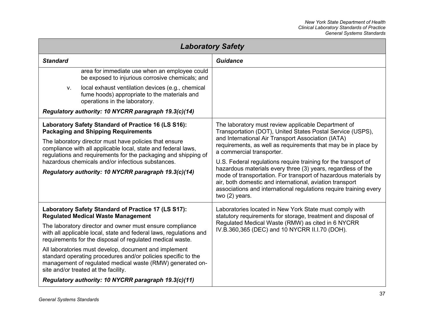| <b>Laboratory Safety</b>                                                                                                                                                                                                                                                                                                                                                                                                                                                                                                       |                                                                                                                                                                                                                                                                                                                                                                                                                                                                                                                                                                                                                               |
|--------------------------------------------------------------------------------------------------------------------------------------------------------------------------------------------------------------------------------------------------------------------------------------------------------------------------------------------------------------------------------------------------------------------------------------------------------------------------------------------------------------------------------|-------------------------------------------------------------------------------------------------------------------------------------------------------------------------------------------------------------------------------------------------------------------------------------------------------------------------------------------------------------------------------------------------------------------------------------------------------------------------------------------------------------------------------------------------------------------------------------------------------------------------------|
| <b>Standard</b>                                                                                                                                                                                                                                                                                                                                                                                                                                                                                                                | Guidance                                                                                                                                                                                                                                                                                                                                                                                                                                                                                                                                                                                                                      |
| area for immediate use when an employee could<br>be exposed to injurious corrosive chemicals; and                                                                                                                                                                                                                                                                                                                                                                                                                              |                                                                                                                                                                                                                                                                                                                                                                                                                                                                                                                                                                                                                               |
| local exhaust ventilation devices (e.g., chemical<br>V.<br>fume hoods) appropriate to the materials and<br>operations in the laboratory.                                                                                                                                                                                                                                                                                                                                                                                       |                                                                                                                                                                                                                                                                                                                                                                                                                                                                                                                                                                                                                               |
| Regulatory authority: 10 NYCRR paragraph 19.3(c)(14)                                                                                                                                                                                                                                                                                                                                                                                                                                                                           |                                                                                                                                                                                                                                                                                                                                                                                                                                                                                                                                                                                                                               |
| Laboratory Safety Standard of Practice 16 (LS S16):<br><b>Packaging and Shipping Requirements</b><br>The laboratory director must have policies that ensure<br>compliance with all applicable local, state and federal laws,<br>regulations and requirements for the packaging and shipping of<br>hazardous chemicals and/or infectious substances.<br>Regulatory authority: 10 NYCRR paragraph 19.3(c)(14)                                                                                                                    | The laboratory must review applicable Department of<br>Transportation (DOT), United States Postal Service (USPS),<br>and International Air Transport Association (IATA)<br>requirements, as well as requirements that may be in place by<br>a commercial transporter.<br>U.S. Federal regulations require training for the transport of<br>hazardous materials every three (3) years, regardless of the<br>mode of transportation. For transport of hazardous materials by<br>air, both domestic and international, aviation transport<br>associations and international regulations require training every<br>two (2) years. |
| Laboratory Safety Standard of Practice 17 (LS S17):<br><b>Regulated Medical Waste Management</b><br>The laboratory director and owner must ensure compliance<br>with all applicable local, state and federal laws, regulations and<br>requirements for the disposal of regulated medical waste.<br>All laboratories must develop, document and implement<br>standard operating procedures and/or policies specific to the<br>management of regulated medical waste (RMW) generated on-<br>site and/or treated at the facility. | Laboratories located in New York State must comply with<br>statutory requirements for storage, treatment and disposal of<br>Regulated Medical Waste (RMW) as cited in 6 NYCRR<br>IV.B.360,365 (DEC) and 10 NYCRR II.I.70 (DOH).                                                                                                                                                                                                                                                                                                                                                                                               |
| Regulatory authority: 10 NYCRR paragraph 19.3(c)(11)                                                                                                                                                                                                                                                                                                                                                                                                                                                                           |                                                                                                                                                                                                                                                                                                                                                                                                                                                                                                                                                                                                                               |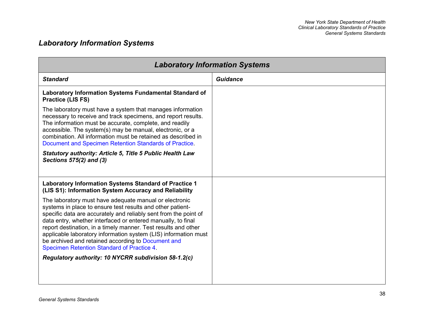# *Laboratory Information Systems*

| <b>Laboratory Information Systems</b>                                                                                                                                                                                                                                                                                                                                                                                                                                                             |                 |
|---------------------------------------------------------------------------------------------------------------------------------------------------------------------------------------------------------------------------------------------------------------------------------------------------------------------------------------------------------------------------------------------------------------------------------------------------------------------------------------------------|-----------------|
| <b>Standard</b>                                                                                                                                                                                                                                                                                                                                                                                                                                                                                   | <b>Guidance</b> |
| Laboratory Information Systems Fundamental Standard of<br><b>Practice (LIS FS)</b>                                                                                                                                                                                                                                                                                                                                                                                                                |                 |
| The laboratory must have a system that manages information<br>necessary to receive and track specimens, and report results.<br>The information must be accurate, complete, and readily<br>accessible. The system(s) may be manual, electronic, or a<br>combination. All information must be retained as described in<br>Document and Specimen Retention Standards of Practice.                                                                                                                    |                 |
| <b>Statutory authority: Article 5, Title 5 Public Health Law</b><br>Sections 575(2) and (3)                                                                                                                                                                                                                                                                                                                                                                                                       |                 |
| Laboratory Information Systems Standard of Practice 1<br>(LIS S1): Information System Accuracy and Reliability                                                                                                                                                                                                                                                                                                                                                                                    |                 |
| The laboratory must have adequate manual or electronic<br>systems in place to ensure test results and other patient-<br>specific data are accurately and reliably sent from the point of<br>data entry, whether interfaced or entered manually, to final<br>report destination, in a timely manner. Test results and other<br>applicable laboratory information system (LIS) information must<br>be archived and retained according to Document and<br>Specimen Retention Standard of Practice 4. |                 |
| Regulatory authority: 10 NYCRR subdivision 58-1.2(c)                                                                                                                                                                                                                                                                                                                                                                                                                                              |                 |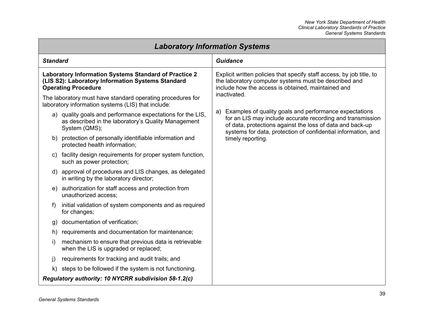| <b>Laboratory Information Systems</b> |                                                                                                                                                                                                                                                              |                                                                                                                                                                                                      |
|---------------------------------------|--------------------------------------------------------------------------------------------------------------------------------------------------------------------------------------------------------------------------------------------------------------|------------------------------------------------------------------------------------------------------------------------------------------------------------------------------------------------------|
| <b>Standard</b>                       |                                                                                                                                                                                                                                                              | <b>Guidance</b>                                                                                                                                                                                      |
|                                       | Laboratory Information Systems Standard of Practice 2<br>(LIS S2): Laboratory Information Systems Standard<br><b>Operating Procedure</b><br>The laboratory must have standard operating procedures for<br>laboratory information systems (LIS) that include: | Explicit written policies that specify staff access, by job title, to<br>the laboratory computer systems must be described and<br>include how the access is obtained, maintained and<br>inactivated. |
|                                       | a) quality goals and performance expectations for the LIS,<br>as described in the laboratory's Quality Management<br>System (QMS);                                                                                                                           | Examples of quality goals and performance expectations<br>a)<br>for an LIS may include accurate recording and transmission<br>of data, protections against the loss of data and back-up              |
| b)                                    | protection of personally identifiable information and<br>protected health information;                                                                                                                                                                       | systems for data, protection of confidential information, and<br>timely reporting.                                                                                                                   |
|                                       | c) facility design requirements for proper system function,<br>such as power protection;                                                                                                                                                                     |                                                                                                                                                                                                      |
|                                       | d) approval of procedures and LIS changes, as delegated<br>in writing by the laboratory director;                                                                                                                                                            |                                                                                                                                                                                                      |
| e)                                    | authorization for staff access and protection from<br>unauthorized access;                                                                                                                                                                                   |                                                                                                                                                                                                      |
| $\ddot{\phantom{1}}$                  | initial validation of system components and as required<br>for changes;                                                                                                                                                                                      |                                                                                                                                                                                                      |
| g)                                    | documentation of verification;                                                                                                                                                                                                                               |                                                                                                                                                                                                      |
| h)                                    | requirements and documentation for maintenance;                                                                                                                                                                                                              |                                                                                                                                                                                                      |
| i)                                    | mechanism to ensure that previous data is retrievable<br>when the LIS is upgraded or replaced;                                                                                                                                                               |                                                                                                                                                                                                      |
| $\mathbf{j}$                          | requirements for tracking and audit trails; and                                                                                                                                                                                                              |                                                                                                                                                                                                      |
| k)                                    | steps to be followed if the system is not functioning.                                                                                                                                                                                                       |                                                                                                                                                                                                      |
|                                       | Regulatory authority: 10 NYCRR subdivision 58-1.2(c)                                                                                                                                                                                                         |                                                                                                                                                                                                      |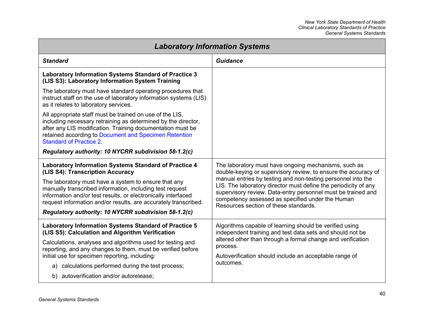| <b>Laboratory Information Systems</b>                                                                                                                                                                                                                                                                                                                 |                                                                                                                                                                                                                                                                                                                                                                                                                        |
|-------------------------------------------------------------------------------------------------------------------------------------------------------------------------------------------------------------------------------------------------------------------------------------------------------------------------------------------------------|------------------------------------------------------------------------------------------------------------------------------------------------------------------------------------------------------------------------------------------------------------------------------------------------------------------------------------------------------------------------------------------------------------------------|
| <b>Standard</b>                                                                                                                                                                                                                                                                                                                                       | <b>Guidance</b>                                                                                                                                                                                                                                                                                                                                                                                                        |
| <b>Laboratory Information Systems Standard of Practice 3</b><br>(LIS S3): Laboratory Information System Training                                                                                                                                                                                                                                      |                                                                                                                                                                                                                                                                                                                                                                                                                        |
| The laboratory must have standard operating procedures that<br>instruct staff on the use of laboratory information systems (LIS)<br>as it relates to laboratory services.                                                                                                                                                                             |                                                                                                                                                                                                                                                                                                                                                                                                                        |
| All appropriate staff must be trained on use of the LIS,<br>including necessary retraining as determined by the director,<br>after any LIS modification. Training documentation must be<br>retained according to Document and Specimen Retention<br><b>Standard of Practice 2.</b>                                                                    |                                                                                                                                                                                                                                                                                                                                                                                                                        |
| Regulatory authority: 10 NYCRR subdivision 58-1.2(c)                                                                                                                                                                                                                                                                                                  |                                                                                                                                                                                                                                                                                                                                                                                                                        |
| Laboratory Information Systems Standard of Practice 4<br>(LIS S4): Transcription Accuracy<br>The laboratory must have a system to ensure that any<br>manually transcribed information, including test request<br>information and/or test results, or electronically interfaced<br>request information and/or results, are accurately transcribed.     | The laboratory must have ongoing mechanisms, such as<br>double-keying or supervisory review, to ensure the accuracy of<br>manual entries by testing and non-testing personnel into the<br>LIS. The laboratory director must define the periodicity of any<br>supervisory review. Data-entry personnel must be trained and<br>competency assessed as specified under the Human<br>Resources section of these standards. |
| Regulatory authority: 10 NYCRR subdivision 58-1.2(c)                                                                                                                                                                                                                                                                                                  |                                                                                                                                                                                                                                                                                                                                                                                                                        |
| <b>Laboratory Information Systems Standard of Practice 5</b><br>(LIS S5): Calculation and Algorithm Verification<br>Calculations, analyses and algorithms used for testing and<br>reporting, and any changes to them, must be verified before<br>initial use for specimen reporting, including:<br>a) calculations performed during the test process; | Algorithms capable of learning should be verified using<br>independent training and test data sets and should not be<br>altered other than through a formal change and verification<br>process.<br>Autoverification should include an acceptable range of<br>outcomes.                                                                                                                                                 |
| b) autoverification and/or autorelease;                                                                                                                                                                                                                                                                                                               |                                                                                                                                                                                                                                                                                                                                                                                                                        |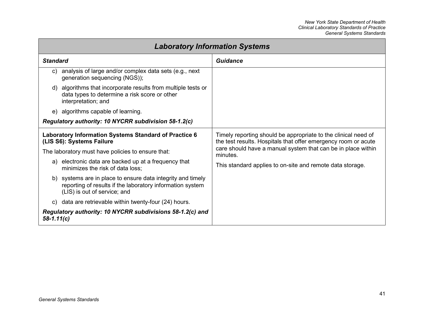| <b>Laboratory Information Systems</b>                                                                                                                    |                                                                                                                                  |
|----------------------------------------------------------------------------------------------------------------------------------------------------------|----------------------------------------------------------------------------------------------------------------------------------|
| <b>Standard</b>                                                                                                                                          | <b>Guidance</b>                                                                                                                  |
| analysis of large and/or complex data sets (e.g., next<br>C)<br>generation sequencing (NGS));                                                            |                                                                                                                                  |
| d) algorithms that incorporate results from multiple tests or<br>data types to determine a risk score or other<br>interpretation; and                    |                                                                                                                                  |
| e) algorithms capable of learning.                                                                                                                       |                                                                                                                                  |
| Regulatory authority: 10 NYCRR subdivision 58-1.2(c)                                                                                                     |                                                                                                                                  |
| Laboratory Information Systems Standard of Practice 6<br>(LIS S6): Systems Failure                                                                       | Timely reporting should be appropriate to the clinical need of<br>the test results. Hospitals that offer emergency room or acute |
| The laboratory must have policies to ensure that:                                                                                                        | care should have a manual system that can be in place within<br>minutes.                                                         |
| a) electronic data are backed up at a frequency that<br>minimizes the risk of data loss;                                                                 | This standard applies to on-site and remote data storage.                                                                        |
| b) systems are in place to ensure data integrity and timely<br>reporting of results if the laboratory information system<br>(LIS) is out of service; and |                                                                                                                                  |
| data are retrievable within twenty-four (24) hours.<br>C)                                                                                                |                                                                                                                                  |
| Regulatory authority: 10 NYCRR subdivisions 58-1.2(c) and<br>$58 - 1.11(c)$                                                                              |                                                                                                                                  |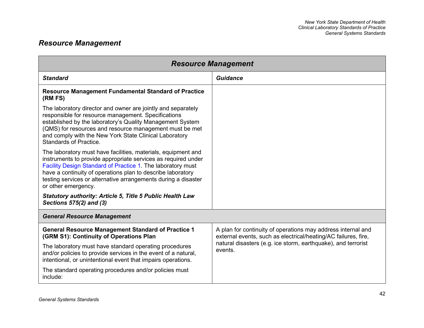# *Resource Management*

| <b>Resource Management</b>                                                                                                                                                                                                                                                                                                                            |                                                                                                                                |  |
|-------------------------------------------------------------------------------------------------------------------------------------------------------------------------------------------------------------------------------------------------------------------------------------------------------------------------------------------------------|--------------------------------------------------------------------------------------------------------------------------------|--|
| <b>Standard</b>                                                                                                                                                                                                                                                                                                                                       | <b>Guidance</b>                                                                                                                |  |
| <b>Resource Management Fundamental Standard of Practice</b><br>(RM FS)                                                                                                                                                                                                                                                                                |                                                                                                                                |  |
| The laboratory director and owner are jointly and separately<br>responsible for resource management. Specifications<br>established by the laboratory's Quality Management System<br>(QMS) for resources and resource management must be met<br>and comply with the New York State Clinical Laboratory<br>Standards of Practice.                       |                                                                                                                                |  |
| The laboratory must have facilities, materials, equipment and<br>instruments to provide appropriate services as required under<br>Facility Design Standard of Practice 1. The laboratory must<br>have a continuity of operations plan to describe laboratory<br>testing services or alternative arrangements during a disaster<br>or other emergency. |                                                                                                                                |  |
| <b>Statutory authority: Article 5, Title 5 Public Health Law</b><br>Sections 575(2) and (3)                                                                                                                                                                                                                                                           |                                                                                                                                |  |
| <b>General Resource Management</b>                                                                                                                                                                                                                                                                                                                    |                                                                                                                                |  |
| <b>General Resource Management Standard of Practice 1</b><br>(GRM S1): Continuity of Operations Plan                                                                                                                                                                                                                                                  | A plan for continuity of operations may address internal and<br>external events, such as electrical/heating/AC failures, fire, |  |
| The laboratory must have standard operating procedures<br>and/or policies to provide services in the event of a natural,<br>intentional, or unintentional event that impairs operations.                                                                                                                                                              | natural disasters (e.g. ice storm, earthquake), and terrorist<br>events.                                                       |  |
| The standard operating procedures and/or policies must<br>include:                                                                                                                                                                                                                                                                                    |                                                                                                                                |  |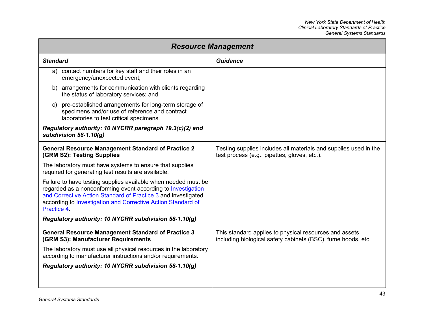| <b>Resource Management</b>                                                                                                                                                                                                                                                     |                                                                                                                        |
|--------------------------------------------------------------------------------------------------------------------------------------------------------------------------------------------------------------------------------------------------------------------------------|------------------------------------------------------------------------------------------------------------------------|
| <b>Standard</b>                                                                                                                                                                                                                                                                | <b>Guidance</b>                                                                                                        |
| contact numbers for key staff and their roles in an<br>a)<br>emergency/unexpected event;                                                                                                                                                                                       |                                                                                                                        |
| b) arrangements for communication with clients regarding<br>the status of laboratory services; and                                                                                                                                                                             |                                                                                                                        |
| c) pre-established arrangements for long-term storage of<br>specimens and/or use of reference and contract<br>laboratories to test critical specimens.                                                                                                                         |                                                                                                                        |
| Regulatory authority: 10 NYCRR paragraph 19.3(c)(2) and<br>subdivision $58-1.10(g)$                                                                                                                                                                                            |                                                                                                                        |
| <b>General Resource Management Standard of Practice 2</b><br>(GRM S2): Testing Supplies                                                                                                                                                                                        | Testing supplies includes all materials and supplies used in the<br>test process (e.g., pipettes, gloves, etc.).       |
| The laboratory must have systems to ensure that supplies<br>required for generating test results are available.                                                                                                                                                                |                                                                                                                        |
| Failure to have testing supplies available when needed must be<br>regarded as a nonconforming event according to Investigation<br>and Corrective Action Standard of Practice 3 and investigated<br>according to Investigation and Corrective Action Standard of<br>Practice 4. |                                                                                                                        |
| Regulatory authority: 10 NYCRR subdivision 58-1.10(g)                                                                                                                                                                                                                          |                                                                                                                        |
| <b>General Resource Management Standard of Practice 3</b><br>(GRM S3): Manufacturer Requirements                                                                                                                                                                               | This standard applies to physical resources and assets<br>including biological safety cabinets (BSC), fume hoods, etc. |
| The laboratory must use all physical resources in the laboratory<br>according to manufacturer instructions and/or requirements.                                                                                                                                                |                                                                                                                        |
| Regulatory authority: 10 NYCRR subdivision 58-1.10(g)                                                                                                                                                                                                                          |                                                                                                                        |
|                                                                                                                                                                                                                                                                                |                                                                                                                        |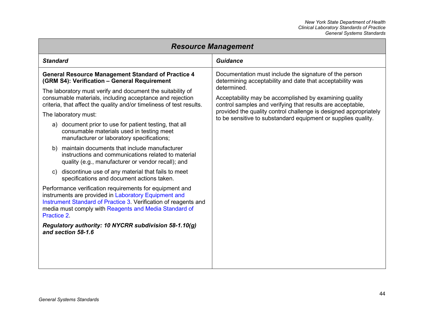| <b>Resource Management</b>                                                                                                                                                                                                                                                                                                                                                                                                                                                                                                                                                                                                                                                                                                                                                                                                                                                                                                                                                                                                                                                                                        |                                                                                                                                                                                                                                                                                                                                                                                                 |  |
|-------------------------------------------------------------------------------------------------------------------------------------------------------------------------------------------------------------------------------------------------------------------------------------------------------------------------------------------------------------------------------------------------------------------------------------------------------------------------------------------------------------------------------------------------------------------------------------------------------------------------------------------------------------------------------------------------------------------------------------------------------------------------------------------------------------------------------------------------------------------------------------------------------------------------------------------------------------------------------------------------------------------------------------------------------------------------------------------------------------------|-------------------------------------------------------------------------------------------------------------------------------------------------------------------------------------------------------------------------------------------------------------------------------------------------------------------------------------------------------------------------------------------------|--|
| <b>Standard</b>                                                                                                                                                                                                                                                                                                                                                                                                                                                                                                                                                                                                                                                                                                                                                                                                                                                                                                                                                                                                                                                                                                   | <b>Guidance</b>                                                                                                                                                                                                                                                                                                                                                                                 |  |
| <b>General Resource Management Standard of Practice 4</b><br>(GRM S4): Verification - General Requirement<br>The laboratory must verify and document the suitability of<br>consumable materials, including acceptance and rejection<br>criteria, that affect the quality and/or timeliness of test results.<br>The laboratory must:<br>a) document prior to use for patient testing, that all<br>consumable materials used in testing meet<br>manufacturer or laboratory specifications;<br>maintain documents that include manufacturer<br>b)<br>instructions and communications related to material<br>quality (e.g., manufacturer or vendor recall); and<br>discontinue use of any material that fails to meet<br>C)<br>specifications and document actions taken.<br>Performance verification requirements for equipment and<br>instruments are provided in Laboratory Equipment and<br>Instrument Standard of Practice 3. Verification of reagents and<br>media must comply with Reagents and Media Standard of<br>Practice 2<br>Regulatory authority: 10 NYCRR subdivision 58-1.10(g)<br>and section 58-1.6 | Documentation must include the signature of the person<br>determining acceptability and date that acceptability was<br>determined.<br>Acceptability may be accomplished by examining quality<br>control samples and verifying that results are acceptable,<br>provided the quality control challenge is designed appropriately<br>to be sensitive to substandard equipment or supplies quality. |  |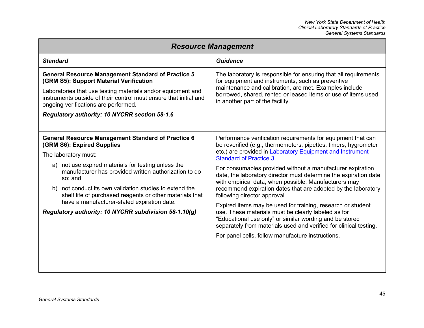| <b>Resource Management</b>                                                                                                                                                |                                                                                                                                                                                                                                                    |  |
|---------------------------------------------------------------------------------------------------------------------------------------------------------------------------|----------------------------------------------------------------------------------------------------------------------------------------------------------------------------------------------------------------------------------------------------|--|
| <b>Standard</b>                                                                                                                                                           | Guidance                                                                                                                                                                                                                                           |  |
| <b>General Resource Management Standard of Practice 5</b><br>(GRM S5): Support Material Verification                                                                      | The laboratory is responsible for ensuring that all requirements<br>for equipment and instruments, such as preventive                                                                                                                              |  |
| Laboratories that use testing materials and/or equipment and<br>instruments outside of their control must ensure that initial and<br>ongoing verifications are performed. | maintenance and calibration, are met. Examples include<br>borrowed, shared, rented or leased items or use of items used<br>in another part of the facility.                                                                                        |  |
| Regulatory authority: 10 NYCRR section 58-1.6                                                                                                                             |                                                                                                                                                                                                                                                    |  |
|                                                                                                                                                                           |                                                                                                                                                                                                                                                    |  |
| <b>General Resource Management Standard of Practice 6</b><br>(GRM S6): Expired Supplies                                                                                   | Performance verification requirements for equipment that can<br>be reverified (e.g., thermometers, pipettes, timers, hygrometer                                                                                                                    |  |
| The laboratory must:                                                                                                                                                      | etc.) are provided in Laboratory Equipment and Instrument<br><b>Standard of Practice 3.</b>                                                                                                                                                        |  |
| a) not use expired materials for testing unless the<br>manufacturer has provided written authorization to do<br>so; and                                                   | For consumables provided without a manufacturer expiration<br>date, the laboratory director must determine the expiration date<br>with empirical data, when possible. Manufacturers may                                                            |  |
| b) not conduct its own validation studies to extend the<br>shelf life of purchased reagents or other materials that                                                       | recommend expiration dates that are adopted by the laboratory<br>following director approval.                                                                                                                                                      |  |
| have a manufacturer-stated expiration date.<br>Regulatory authority: 10 NYCRR subdivision 58-1.10(g)                                                                      | Expired items may be used for training, research or student<br>use. These materials must be clearly labeled as for<br>"Educational use only" or similar wording and be stored<br>separately from materials used and verified for clinical testing. |  |
|                                                                                                                                                                           | For panel cells, follow manufacture instructions.                                                                                                                                                                                                  |  |
|                                                                                                                                                                           |                                                                                                                                                                                                                                                    |  |
|                                                                                                                                                                           |                                                                                                                                                                                                                                                    |  |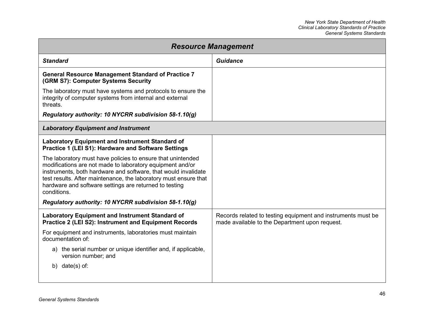| <b>Resource Management</b>                                                                                                                                                                                                                                                                                                              |                                                                                                                |  |
|-----------------------------------------------------------------------------------------------------------------------------------------------------------------------------------------------------------------------------------------------------------------------------------------------------------------------------------------|----------------------------------------------------------------------------------------------------------------|--|
| <b>Standard</b>                                                                                                                                                                                                                                                                                                                         | Guidance                                                                                                       |  |
| <b>General Resource Management Standard of Practice 7</b><br>(GRM S7): Computer Systems Security                                                                                                                                                                                                                                        |                                                                                                                |  |
| The laboratory must have systems and protocols to ensure the<br>integrity of computer systems from internal and external<br>threats.                                                                                                                                                                                                    |                                                                                                                |  |
| Regulatory authority: 10 NYCRR subdivision 58-1.10(g)                                                                                                                                                                                                                                                                                   |                                                                                                                |  |
| <b>Laboratory Equipment and Instrument</b>                                                                                                                                                                                                                                                                                              |                                                                                                                |  |
| <b>Laboratory Equipment and Instrument Standard of</b><br>Practice 1 (LEI S1): Hardware and Software Settings                                                                                                                                                                                                                           |                                                                                                                |  |
| The laboratory must have policies to ensure that unintended<br>modifications are not made to laboratory equipment and/or<br>instruments, both hardware and software, that would invalidate<br>test results. After maintenance, the laboratory must ensure that<br>hardware and software settings are returned to testing<br>conditions. |                                                                                                                |  |
| Regulatory authority: 10 NYCRR subdivision 58-1.10(g)                                                                                                                                                                                                                                                                                   |                                                                                                                |  |
| <b>Laboratory Equipment and Instrument Standard of</b><br><b>Practice 2 (LEI S2): Instrument and Equipment Records</b>                                                                                                                                                                                                                  | Records related to testing equipment and instruments must be<br>made available to the Department upon request. |  |
| For equipment and instruments, laboratories must maintain<br>documentation of:                                                                                                                                                                                                                                                          |                                                                                                                |  |
| a) the serial number or unique identifier and, if applicable,<br>version number; and                                                                                                                                                                                                                                                    |                                                                                                                |  |
| b) $date(s)$ of:                                                                                                                                                                                                                                                                                                                        |                                                                                                                |  |
|                                                                                                                                                                                                                                                                                                                                         |                                                                                                                |  |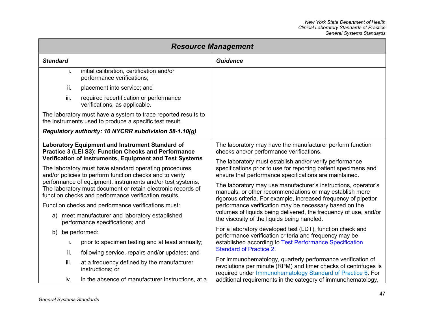<span id="page-53-0"></span>

| <b>Resource Management</b> |                                                                                                                                                                                                                                                                                                                                                                                                                                                                                                                                                                                                                              |                                                                                                                                                                                                                                                                                                                                                                                                                                                                                                                                                                                                                                                                            |
|----------------------------|------------------------------------------------------------------------------------------------------------------------------------------------------------------------------------------------------------------------------------------------------------------------------------------------------------------------------------------------------------------------------------------------------------------------------------------------------------------------------------------------------------------------------------------------------------------------------------------------------------------------------|----------------------------------------------------------------------------------------------------------------------------------------------------------------------------------------------------------------------------------------------------------------------------------------------------------------------------------------------------------------------------------------------------------------------------------------------------------------------------------------------------------------------------------------------------------------------------------------------------------------------------------------------------------------------------|
| <b>Standard</b>            |                                                                                                                                                                                                                                                                                                                                                                                                                                                                                                                                                                                                                              | Guidance                                                                                                                                                                                                                                                                                                                                                                                                                                                                                                                                                                                                                                                                   |
| i.                         | initial calibration, certification and/or<br>performance verifications;                                                                                                                                                                                                                                                                                                                                                                                                                                                                                                                                                      |                                                                                                                                                                                                                                                                                                                                                                                                                                                                                                                                                                                                                                                                            |
| ii.                        | placement into service; and                                                                                                                                                                                                                                                                                                                                                                                                                                                                                                                                                                                                  |                                                                                                                                                                                                                                                                                                                                                                                                                                                                                                                                                                                                                                                                            |
| iii.                       | required recertification or performance<br>verifications, as applicable.                                                                                                                                                                                                                                                                                                                                                                                                                                                                                                                                                     |                                                                                                                                                                                                                                                                                                                                                                                                                                                                                                                                                                                                                                                                            |
|                            | The laboratory must have a system to trace reported results to<br>the instruments used to produce a specific test result.                                                                                                                                                                                                                                                                                                                                                                                                                                                                                                    |                                                                                                                                                                                                                                                                                                                                                                                                                                                                                                                                                                                                                                                                            |
|                            | Regulatory authority: 10 NYCRR subdivision 58-1.10(g)                                                                                                                                                                                                                                                                                                                                                                                                                                                                                                                                                                        |                                                                                                                                                                                                                                                                                                                                                                                                                                                                                                                                                                                                                                                                            |
|                            | Laboratory Equipment and Instrument Standard of<br>Practice 3 (LEI S3): Function Checks and Performance<br>Verification of Instruments, Equipment and Test Systems<br>The laboratory must have standard operating procedures<br>and/or policies to perform function checks and to verify<br>performance of equipment, instruments and/or test systems.<br>The laboratory must document or retain electronic records of<br>function checks and performance verification results.<br>Function checks and performance verifications must:<br>a) meet manufacturer and laboratory established<br>performance specifications; and | The laboratory may have the manufacturer perform function<br>checks and/or performance verifications.<br>The laboratory must establish and/or verify performance<br>specifications prior to use for reporting patient specimens and<br>ensure that performance specifications are maintained.<br>The laboratory may use manufacturer's instructions, operator's<br>manuals, or other recommendations or may establish more<br>rigorous criteria. For example, increased frequency of pipettor<br>performance verification may be necessary based on the<br>volumes of liquids being delivered, the frequency of use, and/or<br>the viscosity of the liquids being handled. |
| b)                         | be performed:                                                                                                                                                                                                                                                                                                                                                                                                                                                                                                                                                                                                                | For a laboratory developed test (LDT), function check and<br>performance verification criteria and frequency may be                                                                                                                                                                                                                                                                                                                                                                                                                                                                                                                                                        |
| i.                         | prior to specimen testing and at least annually;                                                                                                                                                                                                                                                                                                                                                                                                                                                                                                                                                                             | established according to Test Performance Specification<br><b>Standard of Practice 2.</b>                                                                                                                                                                                                                                                                                                                                                                                                                                                                                                                                                                                  |
| ii.                        | following service, repairs and/or updates; and                                                                                                                                                                                                                                                                                                                                                                                                                                                                                                                                                                               | For immunohematology, quarterly performance verification of                                                                                                                                                                                                                                                                                                                                                                                                                                                                                                                                                                                                                |
| iii.                       | at a frequency defined by the manufacturer<br>instructions; or                                                                                                                                                                                                                                                                                                                                                                                                                                                                                                                                                               | revolutions per minute (RPM) and timer checks of centrifuges is<br>required under Immunohematology Standard of Practice 6. For                                                                                                                                                                                                                                                                                                                                                                                                                                                                                                                                             |
| iv.                        | in the absence of manufacturer instructions, at a                                                                                                                                                                                                                                                                                                                                                                                                                                                                                                                                                                            | additional requirements in the category of immunohematology,                                                                                                                                                                                                                                                                                                                                                                                                                                                                                                                                                                                                               |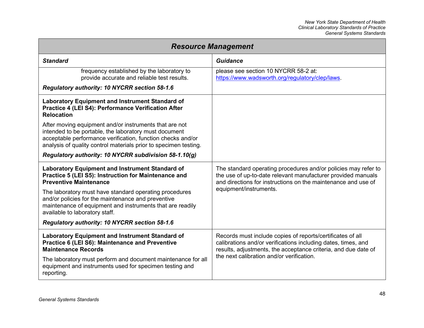| <b>Resource Management</b>                                                                                                                                                                                                                         |                                                                                                                                                                                                 |  |
|----------------------------------------------------------------------------------------------------------------------------------------------------------------------------------------------------------------------------------------------------|-------------------------------------------------------------------------------------------------------------------------------------------------------------------------------------------------|--|
| <b>Standard</b>                                                                                                                                                                                                                                    | <b>Guidance</b>                                                                                                                                                                                 |  |
| frequency established by the laboratory to<br>provide accurate and reliable test results.                                                                                                                                                          | please see section 10 NYCRR 58-2 at:<br>https://www.wadsworth.org/regulatory/clep/laws.                                                                                                         |  |
| Regulatory authority: 10 NYCRR section 58-1.6                                                                                                                                                                                                      |                                                                                                                                                                                                 |  |
| <b>Laboratory Equipment and Instrument Standard of</b><br>Practice 4 (LEI S4): Performance Verification After<br><b>Relocation</b>                                                                                                                 |                                                                                                                                                                                                 |  |
| After moving equipment and/or instruments that are not<br>intended to be portable, the laboratory must document<br>acceptable performance verification, function checks and/or<br>analysis of quality control materials prior to specimen testing. |                                                                                                                                                                                                 |  |
| Regulatory authority: 10 NYCRR subdivision 58-1.10(g)                                                                                                                                                                                              |                                                                                                                                                                                                 |  |
| <b>Laboratory Equipment and Instrument Standard of</b><br>Practice 5 (LEI S5): Instruction for Maintenance and<br><b>Preventive Maintenance</b>                                                                                                    | The standard operating procedures and/or policies may refer to<br>the use of up-to-date relevant manufacturer provided manuals<br>and directions for instructions on the maintenance and use of |  |
| The laboratory must have standard operating procedures<br>and/or policies for the maintenance and preventive<br>maintenance of equipment and instruments that are readily<br>available to laboratory staff.                                        | equipment/instruments.                                                                                                                                                                          |  |
| Regulatory authority: 10 NYCRR section 58-1.6                                                                                                                                                                                                      |                                                                                                                                                                                                 |  |
| <b>Laboratory Equipment and Instrument Standard of</b><br>Practice 6 (LEI S6): Maintenance and Preventive<br><b>Maintenance Records</b>                                                                                                            | Records must include copies of reports/certificates of all<br>calibrations and/or verifications including dates, times, and<br>results, adjustments, the acceptance criteria, and due date of   |  |
| The laboratory must perform and document maintenance for all<br>equipment and instruments used for specimen testing and<br>reporting.                                                                                                              | the next calibration and/or verification.                                                                                                                                                       |  |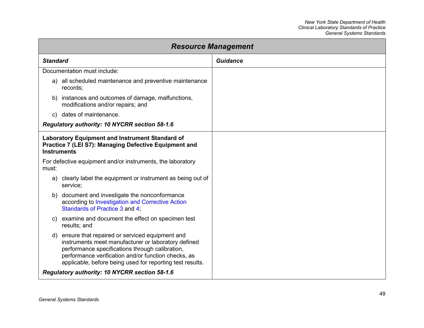| <b>Resource Management</b>                                                                                                                                                                                                                                                         |                 |
|------------------------------------------------------------------------------------------------------------------------------------------------------------------------------------------------------------------------------------------------------------------------------------|-----------------|
| <b>Standard</b>                                                                                                                                                                                                                                                                    | <b>Guidance</b> |
| Documentation must include:                                                                                                                                                                                                                                                        |                 |
| a) all scheduled maintenance and preventive maintenance<br>records;                                                                                                                                                                                                                |                 |
| b) instances and outcomes of damage, malfunctions,<br>modifications and/or repairs; and                                                                                                                                                                                            |                 |
| c) dates of maintenance.                                                                                                                                                                                                                                                           |                 |
| Regulatory authority: 10 NYCRR section 58-1.6                                                                                                                                                                                                                                      |                 |
| <b>Laboratory Equipment and Instrument Standard of</b><br>Practice 7 (LEI S7): Managing Defective Equipment and<br><b>Instruments</b>                                                                                                                                              |                 |
| For defective equipment and/or instruments, the laboratory<br>must:                                                                                                                                                                                                                |                 |
| clearly label the equipment or instrument as being out of<br>a)<br>service;                                                                                                                                                                                                        |                 |
| b) document and investigate the nonconformance<br>according to Investigation and Corrective Action<br>Standards of Practice 3 and 4;                                                                                                                                               |                 |
| c) examine and document the effect on specimen test<br>results; and                                                                                                                                                                                                                |                 |
| ensure that repaired or serviced equipment and<br>d)<br>instruments meet manufacturer or laboratory defined<br>performance specifications through calibration,<br>performance verification and/or function checks, as<br>applicable, before being used for reporting test results. |                 |
| Regulatory authority: 10 NYCRR section 58-1.6                                                                                                                                                                                                                                      |                 |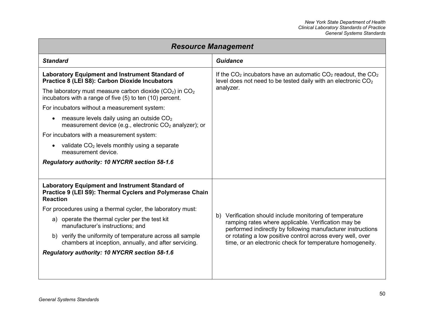| <b>Resource Management</b>                                                                                                             |                                                                                                                                                                                |
|----------------------------------------------------------------------------------------------------------------------------------------|--------------------------------------------------------------------------------------------------------------------------------------------------------------------------------|
| <b>Standard</b>                                                                                                                        | <b>Guidance</b>                                                                                                                                                                |
| <b>Laboratory Equipment and Instrument Standard of</b><br>Practice 8 (LEI S8): Carbon Dioxide Incubators                               | If the $CO2$ incubators have an automatic $CO2$ readout, the $CO2$<br>level does not need to be tested daily with an electronic CO <sub>2</sub>                                |
| The laboratory must measure carbon dioxide $(CO2)$ in $CO2$<br>incubators with a range of five (5) to ten (10) percent.                | analyzer.                                                                                                                                                                      |
| For incubators without a measurement system:                                                                                           |                                                                                                                                                                                |
| measure levels daily using an outside $CO2$<br>measurement device (e.g., electronic CO <sub>2</sub> analyzer); or                      |                                                                                                                                                                                |
| For incubators with a measurement system:                                                                                              |                                                                                                                                                                                |
| validate $CO2$ levels monthly using a separate<br>measurement device.                                                                  |                                                                                                                                                                                |
| Regulatory authority: 10 NYCRR section 58-1.6                                                                                          |                                                                                                                                                                                |
|                                                                                                                                        |                                                                                                                                                                                |
| <b>Laboratory Equipment and Instrument Standard of</b><br>Practice 9 (LEI S9): Thermal Cyclers and Polymerase Chain<br><b>Reaction</b> |                                                                                                                                                                                |
| For procedures using a thermal cycler, the laboratory must:                                                                            |                                                                                                                                                                                |
| a) operate the thermal cycler per the test kit<br>manufacturer's instructions; and                                                     | b) Verification should include monitoring of temperature<br>ramping rates where applicable. Verification may be<br>performed indirectly by following manufacturer instructions |
| b) verify the uniformity of temperature across all sample<br>chambers at inception, annually, and after servicing.                     | or rotating a low positive control across every well, over<br>time, or an electronic check for temperature homogeneity.                                                        |
| Regulatory authority: 10 NYCRR section 58-1.6                                                                                          |                                                                                                                                                                                |
|                                                                                                                                        |                                                                                                                                                                                |
|                                                                                                                                        |                                                                                                                                                                                |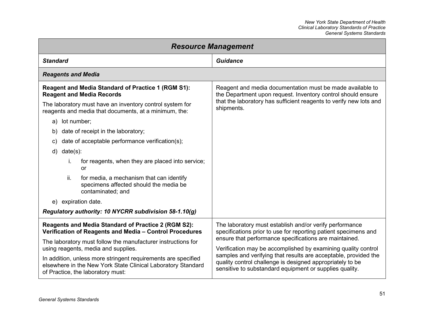<span id="page-57-0"></span>

| <b>Resource Management</b>                                                                                                                                                                                                                                                                                                                                                                             |                                                                                                                                                                                                                                                                                                                                                                                                                                                  |
|--------------------------------------------------------------------------------------------------------------------------------------------------------------------------------------------------------------------------------------------------------------------------------------------------------------------------------------------------------------------------------------------------------|--------------------------------------------------------------------------------------------------------------------------------------------------------------------------------------------------------------------------------------------------------------------------------------------------------------------------------------------------------------------------------------------------------------------------------------------------|
| <b>Standard</b>                                                                                                                                                                                                                                                                                                                                                                                        | <b>Guidance</b>                                                                                                                                                                                                                                                                                                                                                                                                                                  |
| <b>Reagents and Media</b>                                                                                                                                                                                                                                                                                                                                                                              |                                                                                                                                                                                                                                                                                                                                                                                                                                                  |
| Reagent and Media Standard of Practice 1 (RGM S1):<br><b>Reagent and Media Records</b><br>The laboratory must have an inventory control system for<br>reagents and media that documents, at a minimum, the:                                                                                                                                                                                            | Reagent and media documentation must be made available to<br>the Department upon request. Inventory control should ensure<br>that the laboratory has sufficient reagents to verify new lots and<br>shipments.                                                                                                                                                                                                                                    |
| a) lot number;<br>date of receipt in the laboratory;<br>b)<br>date of acceptable performance verification(s);<br>C)<br>$d)$ date(s):<br>for reagents, when they are placed into service;<br>i.<br>or<br>ii.<br>for media, a mechanism that can identify<br>specimens affected should the media be<br>contaminated; and<br>e) expiration date.<br>Regulatory authority: 10 NYCRR subdivision 58-1.10(g) |                                                                                                                                                                                                                                                                                                                                                                                                                                                  |
| Reagents and Media Standard of Practice 2 (RGM S2):<br>Verification of Reagents and Media - Control Procedures<br>The laboratory must follow the manufacturer instructions for<br>using reagents, media and supplies.<br>In addition, unless more stringent requirements are specified<br>elsewhere in the New York State Clinical Laboratory Standard<br>of Practice, the laboratory must:            | The laboratory must establish and/or verify performance<br>specifications prior to use for reporting patient specimens and<br>ensure that performance specifications are maintained.<br>Verification may be accomplished by examining quality control<br>samples and verifying that results are acceptable, provided the<br>quality control challenge is designed appropriately to be<br>sensitive to substandard equipment or supplies quality. |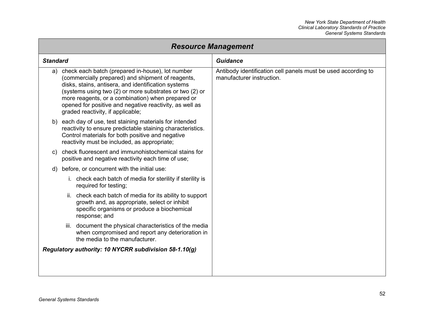| <b>Resource Management</b> |                                                                                                                                                                                                                                                                                                                                                                              |                                                                                            |
|----------------------------|------------------------------------------------------------------------------------------------------------------------------------------------------------------------------------------------------------------------------------------------------------------------------------------------------------------------------------------------------------------------------|--------------------------------------------------------------------------------------------|
| <b>Standard</b>            |                                                                                                                                                                                                                                                                                                                                                                              | <b>Guidance</b>                                                                            |
| a)                         | check each batch (prepared in-house), lot number<br>(commercially prepared) and shipment of reagents,<br>disks, stains, antisera, and identification systems<br>(systems using two (2) or more substrates or two (2) or<br>more reagents, or a combination) when prepared or<br>opened for positive and negative reactivity, as well as<br>graded reactivity, if applicable; | Antibody identification cell panels must be used according to<br>manufacturer instruction. |
|                            | b) each day of use, test staining materials for intended<br>reactivity to ensure predictable staining characteristics.<br>Control materials for both positive and negative<br>reactivity must be included, as appropriate;                                                                                                                                                   |                                                                                            |
| C)                         | check fluorescent and immunohistochemical stains for<br>positive and negative reactivity each time of use;                                                                                                                                                                                                                                                                   |                                                                                            |
| d)                         | before, or concurrent with the initial use:                                                                                                                                                                                                                                                                                                                                  |                                                                                            |
|                            | i. check each batch of media for sterility if sterility is<br>required for testing;                                                                                                                                                                                                                                                                                          |                                                                                            |
|                            | ii. check each batch of media for its ability to support<br>growth and, as appropriate, select or inhibit<br>specific organisms or produce a biochemical<br>response; and                                                                                                                                                                                                    |                                                                                            |
|                            | document the physical characteristics of the media<br>iii.<br>when compromised and report any deterioration in<br>the media to the manufacturer.                                                                                                                                                                                                                             |                                                                                            |
|                            | Regulatory authority: 10 NYCRR subdivision 58-1.10(g)                                                                                                                                                                                                                                                                                                                        |                                                                                            |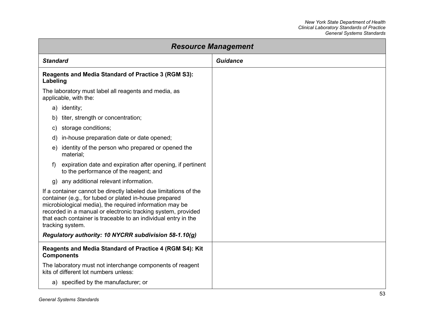| <b>Resource Management</b>                                                                                                                                                                                                                                                                                                                  |                 |
|---------------------------------------------------------------------------------------------------------------------------------------------------------------------------------------------------------------------------------------------------------------------------------------------------------------------------------------------|-----------------|
| <b>Standard</b>                                                                                                                                                                                                                                                                                                                             | <b>Guidance</b> |
| <b>Reagents and Media Standard of Practice 3 (RGM S3):</b><br>Labeling                                                                                                                                                                                                                                                                      |                 |
| The laboratory must label all reagents and media, as<br>applicable, with the:                                                                                                                                                                                                                                                               |                 |
| a) identity;                                                                                                                                                                                                                                                                                                                                |                 |
| titer, strength or concentration;<br>b)                                                                                                                                                                                                                                                                                                     |                 |
| storage conditions;<br>C)                                                                                                                                                                                                                                                                                                                   |                 |
| in-house preparation date or date opened;<br>d)                                                                                                                                                                                                                                                                                             |                 |
| e) identity of the person who prepared or opened the<br>material;                                                                                                                                                                                                                                                                           |                 |
| expiration date and expiration after opening, if pertinent<br>f)<br>to the performance of the reagent; and                                                                                                                                                                                                                                  |                 |
| g) any additional relevant information.                                                                                                                                                                                                                                                                                                     |                 |
| If a container cannot be directly labeled due limitations of the<br>container (e.g., for tubed or plated in-house prepared<br>microbiological media), the required information may be<br>recorded in a manual or electronic tracking system, provided<br>that each container is traceable to an individual entry in the<br>tracking system. |                 |
| Regulatory authority: 10 NYCRR subdivision 58-1.10(g)                                                                                                                                                                                                                                                                                       |                 |
| Reagents and Media Standard of Practice 4 (RGM S4): Kit<br><b>Components</b>                                                                                                                                                                                                                                                                |                 |
| The laboratory must not interchange components of reagent<br>kits of different lot numbers unless:                                                                                                                                                                                                                                          |                 |
| a) specified by the manufacturer; or                                                                                                                                                                                                                                                                                                        |                 |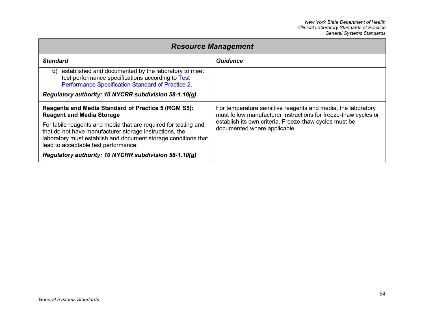| <b>Resource Management</b>                                                                                                                                                                                                           |                                                                                                                                 |
|--------------------------------------------------------------------------------------------------------------------------------------------------------------------------------------------------------------------------------------|---------------------------------------------------------------------------------------------------------------------------------|
| <b>Standard</b>                                                                                                                                                                                                                      | Guidance                                                                                                                        |
| established and documented by the laboratory to meet<br>b)<br>test performance specifications according to Test<br>Performance Specification Standard of Practice 2.                                                                 |                                                                                                                                 |
| Regulatory authority: 10 NYCRR subdivision 58-1.10(g)                                                                                                                                                                                |                                                                                                                                 |
| <b>Reagents and Media Standard of Practice 5 (RGM S5):</b><br><b>Reagent and Media Storage</b>                                                                                                                                       | For temperature sensitive reagents and media, the laboratory<br>must follow manufacturer instructions for freeze-thaw cycles or |
| For labile reagents and media that are required for testing and<br>that do not have manufacturer storage instructions, the<br>laboratory must establish and document storage conditions that<br>lead to acceptable test performance. | establish its own criteria. Freeze-thaw cycles must be<br>documented where applicable.                                          |
| Regulatory authority: 10 NYCRR subdivision 58-1.10(g)                                                                                                                                                                                |                                                                                                                                 |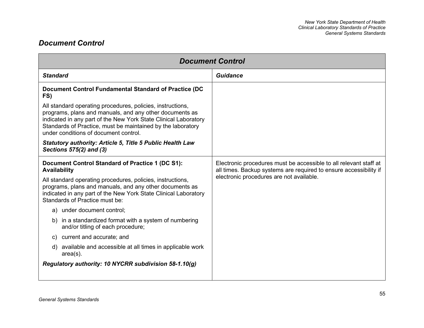### <span id="page-61-0"></span>*Document Control*

| <b>Document Control</b>                                                                                                                                                                                                                                                                          |                                                                                                                                        |
|--------------------------------------------------------------------------------------------------------------------------------------------------------------------------------------------------------------------------------------------------------------------------------------------------|----------------------------------------------------------------------------------------------------------------------------------------|
| <b>Standard</b>                                                                                                                                                                                                                                                                                  | <b>Guidance</b>                                                                                                                        |
| Document Control Fundamental Standard of Practice (DC<br>FS)                                                                                                                                                                                                                                     |                                                                                                                                        |
| All standard operating procedures, policies, instructions,<br>programs, plans and manuals, and any other documents as<br>indicated in any part of the New York State Clinical Laboratory<br>Standards of Practice, must be maintained by the laboratory<br>under conditions of document control. |                                                                                                                                        |
| <b>Statutory authority: Article 5, Title 5 Public Health Law</b><br>Sections 575(2) and (3)                                                                                                                                                                                                      |                                                                                                                                        |
| Document Control Standard of Practice 1 (DC S1):<br><b>Availability</b>                                                                                                                                                                                                                          | Electronic procedures must be accessible to all relevant staff at<br>all times. Backup systems are required to ensure accessibility if |
| All standard operating procedures, policies, instructions,<br>programs, plans and manuals, and any other documents as<br>indicated in any part of the New York State Clinical Laboratory<br>Standards of Practice must be:                                                                       | electronic procedures are not available.                                                                                               |
| a) under document control;                                                                                                                                                                                                                                                                       |                                                                                                                                        |
| b) in a standardized format with a system of numbering<br>and/or titling of each procedure;                                                                                                                                                                                                      |                                                                                                                                        |
| current and accurate; and<br>C)                                                                                                                                                                                                                                                                  |                                                                                                                                        |
| d) available and accessible at all times in applicable work<br>$area(s)$ .                                                                                                                                                                                                                       |                                                                                                                                        |
| Regulatory authority: 10 NYCRR subdivision 58-1.10(g)                                                                                                                                                                                                                                            |                                                                                                                                        |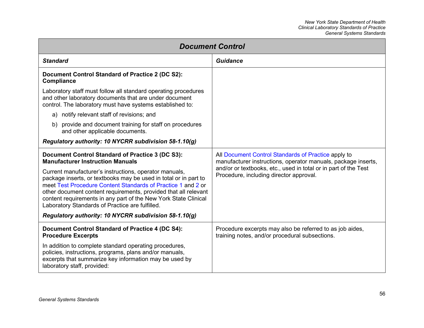| <b>Document Control</b>                                                                                                                                                                                                                                                                                                                                                             |                                                                                                                      |
|-------------------------------------------------------------------------------------------------------------------------------------------------------------------------------------------------------------------------------------------------------------------------------------------------------------------------------------------------------------------------------------|----------------------------------------------------------------------------------------------------------------------|
| <b>Standard</b>                                                                                                                                                                                                                                                                                                                                                                     | <b>Guidance</b>                                                                                                      |
| Document Control Standard of Practice 2 (DC S2):<br><b>Compliance</b>                                                                                                                                                                                                                                                                                                               |                                                                                                                      |
| Laboratory staff must follow all standard operating procedures<br>and other laboratory documents that are under document<br>control. The laboratory must have systems established to:                                                                                                                                                                                               |                                                                                                                      |
| a) notify relevant staff of revisions; and                                                                                                                                                                                                                                                                                                                                          |                                                                                                                      |
| b) provide and document training for staff on procedures<br>and other applicable documents.                                                                                                                                                                                                                                                                                         |                                                                                                                      |
| Regulatory authority: 10 NYCRR subdivision 58-1.10(g)                                                                                                                                                                                                                                                                                                                               |                                                                                                                      |
| <b>Document Control Standard of Practice 3 (DC S3):</b><br><b>Manufacturer Instruction Manuals</b>                                                                                                                                                                                                                                                                                  | All Document Control Standards of Practice apply to<br>manufacturer instructions, operator manuals, package inserts, |
| Current manufacturer's instructions, operator manuals,<br>package inserts, or textbooks may be used in total or in part to<br>meet Test Procedure Content Standards of Practice 1 and 2 or<br>other document content requirements, provided that all relevant<br>content requirements in any part of the New York State Clinical<br>Laboratory Standards of Practice are fulfilled. | and/or or textbooks, etc., used in total or in part of the Test<br>Procedure, including director approval.           |
| Regulatory authority: 10 NYCRR subdivision 58-1.10(g)                                                                                                                                                                                                                                                                                                                               |                                                                                                                      |
| Document Control Standard of Practice 4 (DC S4):<br><b>Procedure Excerpts</b>                                                                                                                                                                                                                                                                                                       | Procedure excerpts may also be referred to as job aides,<br>training notes, and/or procedural subsections.           |
| In addition to complete standard operating procedures,<br>policies, instructions, programs, plans and/or manuals,<br>excerpts that summarize key information may be used by<br>laboratory staff, provided:                                                                                                                                                                          |                                                                                                                      |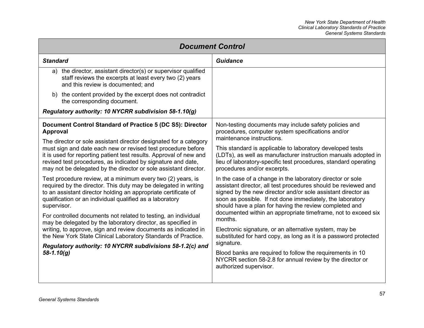| <b>Document Control</b>                                                                                                                                                                                                                                                                                                                                                                                                                                                                                                                                                                                                         |                                                                                                                                                                                                                                                                                                                                                                                                 |
|---------------------------------------------------------------------------------------------------------------------------------------------------------------------------------------------------------------------------------------------------------------------------------------------------------------------------------------------------------------------------------------------------------------------------------------------------------------------------------------------------------------------------------------------------------------------------------------------------------------------------------|-------------------------------------------------------------------------------------------------------------------------------------------------------------------------------------------------------------------------------------------------------------------------------------------------------------------------------------------------------------------------------------------------|
| <b>Standard</b>                                                                                                                                                                                                                                                                                                                                                                                                                                                                                                                                                                                                                 | Guidance                                                                                                                                                                                                                                                                                                                                                                                        |
| a) the director, assistant director(s) or supervisor qualified<br>staff reviews the excerpts at least every two (2) years<br>and this review is documented; and                                                                                                                                                                                                                                                                                                                                                                                                                                                                 |                                                                                                                                                                                                                                                                                                                                                                                                 |
| b) the content provided by the excerpt does not contradict<br>the corresponding document.                                                                                                                                                                                                                                                                                                                                                                                                                                                                                                                                       |                                                                                                                                                                                                                                                                                                                                                                                                 |
| Regulatory authority: 10 NYCRR subdivision 58-1.10(g)                                                                                                                                                                                                                                                                                                                                                                                                                                                                                                                                                                           |                                                                                                                                                                                                                                                                                                                                                                                                 |
| Document Control Standard of Practice 5 (DC S5): Director<br>Approval                                                                                                                                                                                                                                                                                                                                                                                                                                                                                                                                                           | Non-testing documents may include safety policies and<br>procedures, computer system specifications and/or<br>maintenance instructions.                                                                                                                                                                                                                                                         |
| The director or sole assistant director designated for a category<br>must sign and date each new or revised test procedure before<br>it is used for reporting patient test results. Approval of new and<br>revised test procedures, as indicated by signature and date,<br>may not be delegated by the director or sole assistant director.                                                                                                                                                                                                                                                                                     | This standard is applicable to laboratory developed tests<br>(LDTs), as well as manufacturer instruction manuals adopted in<br>lieu of laboratory-specific test procedures, standard operating<br>procedures and/or excerpts.                                                                                                                                                                   |
| Test procedure review, at a minimum every two (2) years, is<br>required by the director. This duty may be delegated in writing<br>to an assistant director holding an appropriate certificate of<br>qualification or an individual qualified as a laboratory<br>supervisor.<br>For controlled documents not related to testing, an individual<br>may be delegated by the laboratory director, as specified in<br>writing, to approve, sign and review documents as indicated in<br>the New York State Clinical Laboratory Standards of Practice.<br>Regulatory authority: 10 NYCRR subdivisions 58-1.2(c) and<br>$58 - 1.10(g)$ | In the case of a change in the laboratory director or sole<br>assistant director, all test procedures should be reviewed and<br>signed by the new director and/or sole assistant director as<br>soon as possible. If not done immediately, the laboratory<br>should have a plan for having the review completed and<br>documented within an appropriate timeframe, not to exceed six<br>months. |
|                                                                                                                                                                                                                                                                                                                                                                                                                                                                                                                                                                                                                                 | Electronic signature, or an alternative system, may be<br>substituted for hard copy, as long as it is a password protected<br>signature.<br>Blood banks are required to follow the requirements in 10<br>NYCRR section 58-2.8 for annual review by the director or<br>authorized supervisor.                                                                                                    |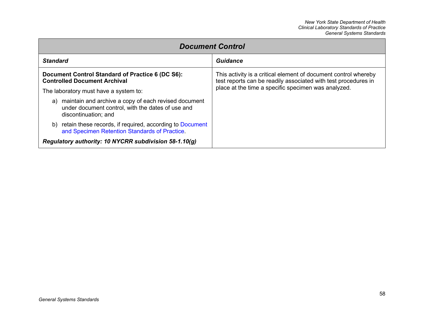| <b>Document Control</b>                                                                                                              |                                                                                                                                   |
|--------------------------------------------------------------------------------------------------------------------------------------|-----------------------------------------------------------------------------------------------------------------------------------|
| <b>Standard</b>                                                                                                                      | <b>Guidance</b>                                                                                                                   |
| Document Control Standard of Practice 6 (DC S6):<br><b>Controlled Document Archival</b>                                              | This activity is a critical element of document control whereby<br>test reports can be readily associated with test procedures in |
| The laboratory must have a system to:                                                                                                | place at the time a specific specimen was analyzed.                                                                               |
| a) maintain and archive a copy of each revised document<br>under document control, with the dates of use and<br>discontinuation; and |                                                                                                                                   |
| b) retain these records, if required, according to Document<br>and Specimen Retention Standards of Practice.                         |                                                                                                                                   |
| Regulatory authority: 10 NYCRR subdivision 58-1.10(g)                                                                                |                                                                                                                                   |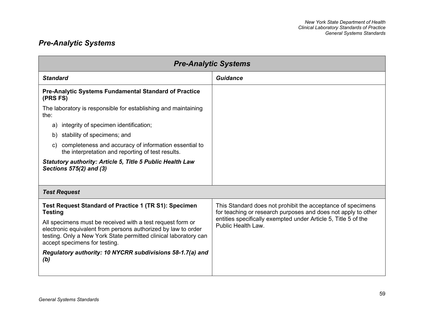# *Pre-Analytic Systems*

| <b>Pre-Analytic Systems</b>                                                                                                                                                                                                      |                                                                                                                              |
|----------------------------------------------------------------------------------------------------------------------------------------------------------------------------------------------------------------------------------|------------------------------------------------------------------------------------------------------------------------------|
| <b>Standard</b>                                                                                                                                                                                                                  | <b>Guidance</b>                                                                                                              |
| Pre-Analytic Systems Fundamental Standard of Practice<br>(PRS FS)                                                                                                                                                                |                                                                                                                              |
| The laboratory is responsible for establishing and maintaining<br>the:                                                                                                                                                           |                                                                                                                              |
| integrity of specimen identification;<br>a)                                                                                                                                                                                      |                                                                                                                              |
| stability of specimens; and<br>b)                                                                                                                                                                                                |                                                                                                                              |
| completeness and accuracy of information essential to<br>C)<br>the interpretation and reporting of test results.                                                                                                                 |                                                                                                                              |
| <b>Statutory authority: Article 5, Title 5 Public Health Law</b><br>Sections 575(2) and (3)                                                                                                                                      |                                                                                                                              |
| <b>Test Request</b>                                                                                                                                                                                                              |                                                                                                                              |
| Test Request Standard of Practice 1 (TR S1): Specimen<br><b>Testing</b>                                                                                                                                                          | This Standard does not prohibit the acceptance of specimens<br>for teaching or research purposes and does not apply to other |
| All specimens must be received with a test request form or<br>electronic equivalent from persons authorized by law to order<br>testing. Only a New York State permitted clinical laboratory can<br>accept specimens for testing. | entities specifically exempted under Article 5, Title 5 of the<br>Public Health Law.                                         |
| Regulatory authority: 10 NYCRR subdivisions 58-1.7(a) and<br>(b)                                                                                                                                                                 |                                                                                                                              |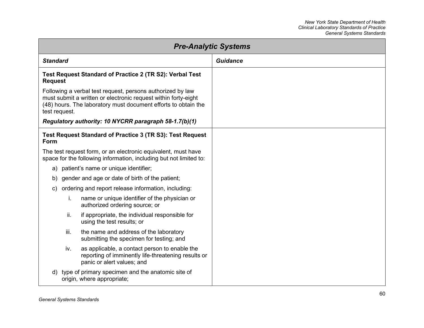| <b>Pre-Analytic Systems</b>                                                                                                                                                                                     |                 |
|-----------------------------------------------------------------------------------------------------------------------------------------------------------------------------------------------------------------|-----------------|
| <b>Standard</b>                                                                                                                                                                                                 | <b>Guidance</b> |
| Test Request Standard of Practice 2 (TR S2): Verbal Test<br><b>Request</b>                                                                                                                                      |                 |
| Following a verbal test request, persons authorized by law<br>must submit a written or electronic request within forty-eight<br>(48) hours. The laboratory must document efforts to obtain the<br>test request. |                 |
| Regulatory authority: 10 NYCRR paragraph 58-1.7(b)(1)                                                                                                                                                           |                 |
| Test Request Standard of Practice 3 (TR S3): Test Request<br>Form                                                                                                                                               |                 |
| The test request form, or an electronic equivalent, must have<br>space for the following information, including but not limited to:                                                                             |                 |
| patient's name or unique identifier;<br>a)                                                                                                                                                                      |                 |
| gender and age or date of birth of the patient;<br>b)                                                                                                                                                           |                 |
| ordering and report release information, including:<br>$\mathsf{c}$                                                                                                                                             |                 |
| name or unique identifier of the physician or<br>i.<br>authorized ordering source; or                                                                                                                           |                 |
| ii.<br>if appropriate, the individual responsible for<br>using the test results; or                                                                                                                             |                 |
| the name and address of the laboratory<br>iii.<br>submitting the specimen for testing; and                                                                                                                      |                 |
| as applicable, a contact person to enable the<br>iv.<br>reporting of imminently life-threatening results or<br>panic or alert values; and                                                                       |                 |
| type of primary specimen and the anatomic site of<br>d)<br>origin, where appropriate;                                                                                                                           |                 |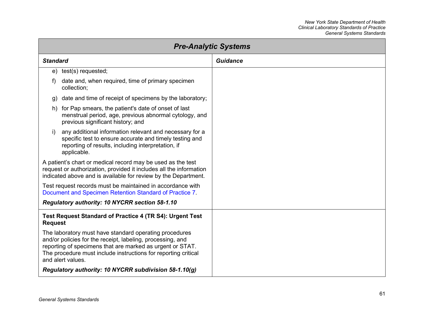| <b>Pre-Analytic Systems</b>                                                                                                                                                                                                                                              |                 |
|--------------------------------------------------------------------------------------------------------------------------------------------------------------------------------------------------------------------------------------------------------------------------|-----------------|
| <b>Standard</b>                                                                                                                                                                                                                                                          | <b>Guidance</b> |
| e) test(s) requested;                                                                                                                                                                                                                                                    |                 |
| date and, when required, time of primary specimen<br>f)<br>collection;                                                                                                                                                                                                   |                 |
| date and time of receipt of specimens by the laboratory;<br>g)                                                                                                                                                                                                           |                 |
| h) for Pap smears, the patient's date of onset of last<br>menstrual period, age, previous abnormal cytology, and<br>previous significant history; and                                                                                                                    |                 |
| any additional information relevant and necessary for a<br>i)<br>specific test to ensure accurate and timely testing and<br>reporting of results, including interpretation, if<br>applicable.                                                                            |                 |
| A patient's chart or medical record may be used as the test<br>request or authorization, provided it includes all the information<br>indicated above and is available for review by the Department.                                                                      |                 |
| Test request records must be maintained in accordance with<br>Document and Specimen Retention Standard of Practice 7.                                                                                                                                                    |                 |
| Regulatory authority: 10 NYCRR section 58-1.10                                                                                                                                                                                                                           |                 |
| Test Request Standard of Practice 4 (TR S4): Urgent Test<br><b>Request</b>                                                                                                                                                                                               |                 |
| The laboratory must have standard operating procedures<br>and/or policies for the receipt, labeling, processing, and<br>reporting of specimens that are marked as urgent or STAT.<br>The procedure must include instructions for reporting critical<br>and alert values. |                 |
| Regulatory authority: 10 NYCRR subdivision 58-1.10(g)                                                                                                                                                                                                                    |                 |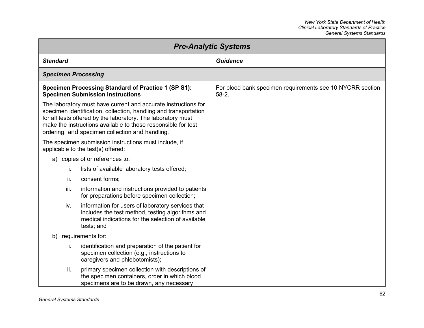| <b>Pre-Analytic Systems</b> |                                                                                                                                                                                                                                                                                                                        |                                                                      |
|-----------------------------|------------------------------------------------------------------------------------------------------------------------------------------------------------------------------------------------------------------------------------------------------------------------------------------------------------------------|----------------------------------------------------------------------|
| <b>Standard</b>             |                                                                                                                                                                                                                                                                                                                        | <b>Guidance</b>                                                      |
| <b>Specimen Processing</b>  |                                                                                                                                                                                                                                                                                                                        |                                                                      |
|                             | <b>Specimen Processing Standard of Practice 1 (SP S1):</b><br><b>Specimen Submission Instructions</b>                                                                                                                                                                                                                  | For blood bank specimen requirements see 10 NYCRR section<br>$58-2.$ |
|                             | The laboratory must have current and accurate instructions for<br>specimen identification, collection, handling and transportation<br>for all tests offered by the laboratory. The laboratory must<br>make the instructions available to those responsible for test<br>ordering, and specimen collection and handling. |                                                                      |
|                             | The specimen submission instructions must include, if<br>applicable to the test(s) offered:                                                                                                                                                                                                                            |                                                                      |
| a)                          | copies of or references to:                                                                                                                                                                                                                                                                                            |                                                                      |
| İ.                          | lists of available laboratory tests offered;                                                                                                                                                                                                                                                                           |                                                                      |
| ii.                         | consent forms;                                                                                                                                                                                                                                                                                                         |                                                                      |
| iii.                        | information and instructions provided to patients<br>for preparations before specimen collection;                                                                                                                                                                                                                      |                                                                      |
| iv.                         | information for users of laboratory services that<br>includes the test method, testing algorithms and<br>medical indications for the selection of available<br>tests; and                                                                                                                                              |                                                                      |
| b)                          | requirements for:                                                                                                                                                                                                                                                                                                      |                                                                      |
| İ.                          | identification and preparation of the patient for<br>specimen collection (e.g., instructions to<br>caregivers and phlebotomists);                                                                                                                                                                                      |                                                                      |
| ii.                         | primary specimen collection with descriptions of<br>the specimen containers, order in which blood<br>specimens are to be drawn, any necessary                                                                                                                                                                          |                                                                      |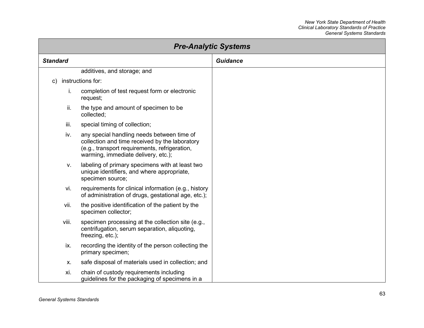| <b>Pre-Analytic Systems</b> |                                                                                                                                                                                      |                 |
|-----------------------------|--------------------------------------------------------------------------------------------------------------------------------------------------------------------------------------|-----------------|
| <b>Standard</b>             |                                                                                                                                                                                      | <b>Guidance</b> |
|                             | additives, and storage; and                                                                                                                                                          |                 |
| $\mathsf{c})$               | instructions for:                                                                                                                                                                    |                 |
| i.                          | completion of test request form or electronic<br>request;                                                                                                                            |                 |
| ii.                         | the type and amount of specimen to be<br>collected;                                                                                                                                  |                 |
| iii.                        | special timing of collection;                                                                                                                                                        |                 |
| iv.                         | any special handling needs between time of<br>collection and time received by the laboratory<br>(e.g., transport requirements, refrigeration,<br>warming, immediate delivery, etc.); |                 |
| V.                          | labeling of primary specimens with at least two<br>unique identifiers, and where appropriate,<br>specimen source;                                                                    |                 |
| vi.                         | requirements for clinical information (e.g., history<br>of administration of drugs, gestational age, etc.);                                                                          |                 |
| vii.                        | the positive identification of the patient by the<br>specimen collector;                                                                                                             |                 |
| viii.                       | specimen processing at the collection site (e.g.,<br>centrifugation, serum separation, aliquoting,<br>freezing, etc.);                                                               |                 |
| ix.                         | recording the identity of the person collecting the<br>primary specimen;                                                                                                             |                 |
| Х.                          | safe disposal of materials used in collection; and                                                                                                                                   |                 |
| xi.                         | chain of custody requirements including<br>guidelines for the packaging of specimens in a                                                                                            |                 |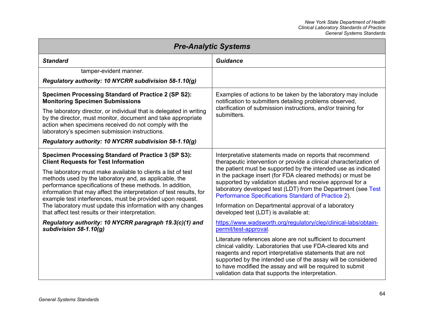| <b>Pre-Analytic Systems</b>                                                                                                                                                                                                                                                                                              |                                                                                                                                                                                                                                                                                                                                                                              |
|--------------------------------------------------------------------------------------------------------------------------------------------------------------------------------------------------------------------------------------------------------------------------------------------------------------------------|------------------------------------------------------------------------------------------------------------------------------------------------------------------------------------------------------------------------------------------------------------------------------------------------------------------------------------------------------------------------------|
| <b>Standard</b>                                                                                                                                                                                                                                                                                                          | <b>Guidance</b>                                                                                                                                                                                                                                                                                                                                                              |
| tamper-evident manner.                                                                                                                                                                                                                                                                                                   |                                                                                                                                                                                                                                                                                                                                                                              |
| Regulatory authority: 10 NYCRR subdivision 58-1.10(g)                                                                                                                                                                                                                                                                    |                                                                                                                                                                                                                                                                                                                                                                              |
| <b>Specimen Processing Standard of Practice 2 (SP S2):</b><br><b>Monitoring Specimen Submissions</b>                                                                                                                                                                                                                     | Examples of actions to be taken by the laboratory may include<br>notification to submitters detailing problems observed,                                                                                                                                                                                                                                                     |
| The laboratory director, or individual that is delegated in writing<br>by the director, must monitor, document and take appropriate<br>action when specimens received do not comply with the<br>laboratory's specimen submission instructions.                                                                           | clarification of submission instructions, and/or training for<br>submitters.                                                                                                                                                                                                                                                                                                 |
| Regulatory authority: 10 NYCRR subdivision 58-1.10(g)                                                                                                                                                                                                                                                                    |                                                                                                                                                                                                                                                                                                                                                                              |
| <b>Specimen Processing Standard of Practice 3 (SP S3):</b><br><b>Client Requests for Test Information</b>                                                                                                                                                                                                                | Interpretative statements made on reports that recommend<br>therapeutic intervention or provide a clinical characterization of                                                                                                                                                                                                                                               |
| The laboratory must make available to clients a list of test<br>methods used by the laboratory and, as applicable, the<br>performance specifications of these methods. In addition,<br>information that may affect the interpretation of test results, for<br>example test interferences, must be provided upon request. | the patient must be supported by the intended use as indicated<br>in the package insert (for FDA cleared methods) or must be<br>supported by validation studies and receive approval for a<br>laboratory developed test (LDT) from the Department (see Test<br>Performance Specifications Standard of Practice 2).                                                           |
| The laboratory must update this information with any changes<br>that affect test results or their interpretation.                                                                                                                                                                                                        | Information on Departmental approval of a laboratory<br>developed test (LDT) is available at:                                                                                                                                                                                                                                                                                |
| Regulatory authority: 10 NYCRR paragraph 19.3(c)(1) and<br>subdivision $58-1.10(g)$                                                                                                                                                                                                                                      | https://www.wadsworth.org/regulatory/clep/clinical-labs/obtain-<br>permit/test-approval.                                                                                                                                                                                                                                                                                     |
|                                                                                                                                                                                                                                                                                                                          | Literature references alone are not sufficient to document<br>clinical validity. Laboratories that use FDA-cleared kits and<br>reagents and report interpretative statements that are not<br>supported by the intended use of the assay will be considered<br>to have modified the assay and will be required to submit<br>validation data that supports the interpretation. |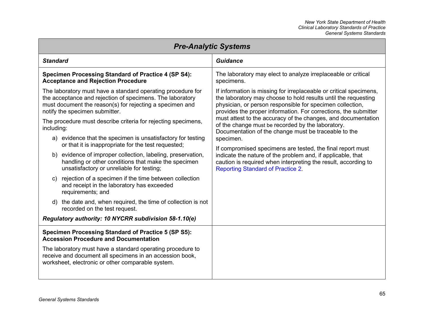| <b>Pre-Analytic Systems</b>                                                                                                                                                                                            |                                                                                                                                                                                                                                                                      |  |
|------------------------------------------------------------------------------------------------------------------------------------------------------------------------------------------------------------------------|----------------------------------------------------------------------------------------------------------------------------------------------------------------------------------------------------------------------------------------------------------------------|--|
| <b>Standard</b>                                                                                                                                                                                                        | <b>Guidance</b>                                                                                                                                                                                                                                                      |  |
| <b>Specimen Processing Standard of Practice 4 (SP S4):</b><br><b>Acceptance and Rejection Procedure</b>                                                                                                                | The laboratory may elect to analyze irreplaceable or critical<br>specimens.                                                                                                                                                                                          |  |
| The laboratory must have a standard operating procedure for<br>the acceptance and rejection of specimens. The laboratory<br>must document the reason(s) for rejecting a specimen and<br>notify the specimen submitter. | If information is missing for irreplaceable or critical specimens,<br>the laboratory may choose to hold results until the requesting<br>physician, or person responsible for specimen collection,<br>provides the proper information. For corrections, the submitter |  |
| The procedure must describe criteria for rejecting specimens,<br>including:                                                                                                                                            | must attest to the accuracy of the changes, and documentation<br>of the change must be recorded by the laboratory.<br>Documentation of the change must be traceable to the                                                                                           |  |
| a) evidence that the specimen is unsatisfactory for testing<br>or that it is inappropriate for the test requested;                                                                                                     | specimen.<br>If compromised specimens are tested, the final report must                                                                                                                                                                                              |  |
| b) evidence of improper collection, labeling, preservation,<br>handling or other conditions that make the specimen<br>unsatisfactory or unreliable for testing;                                                        | indicate the nature of the problem and, if applicable, that<br>caution is required when interpreting the result, according to<br><b>Reporting Standard of Practice 2.</b>                                                                                            |  |
| rejection of a specimen if the time between collection<br>C)<br>and receipt in the laboratory has exceeded<br>requirements; and                                                                                        |                                                                                                                                                                                                                                                                      |  |
| d) the date and, when required, the time of collection is not<br>recorded on the test request.                                                                                                                         |                                                                                                                                                                                                                                                                      |  |
| Regulatory authority: 10 NYCRR subdivision 58-1.10(e)                                                                                                                                                                  |                                                                                                                                                                                                                                                                      |  |
| <b>Specimen Processing Standard of Practice 5 (SP S5):</b><br><b>Accession Procedure and Documentation</b>                                                                                                             |                                                                                                                                                                                                                                                                      |  |
| The laboratory must have a standard operating procedure to<br>receive and document all specimens in an accession book,<br>worksheet, electronic or other comparable system.                                            |                                                                                                                                                                                                                                                                      |  |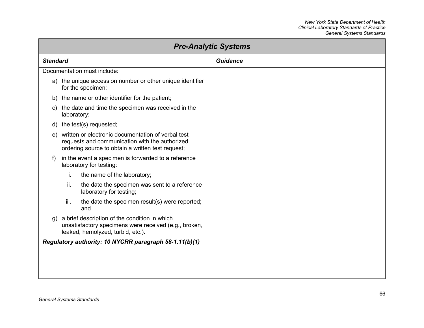| <b>Pre-Analytic Systems</b> |                                                                                                                                                           |                 |
|-----------------------------|-----------------------------------------------------------------------------------------------------------------------------------------------------------|-----------------|
| <b>Standard</b>             |                                                                                                                                                           | <b>Guidance</b> |
|                             | Documentation must include:                                                                                                                               |                 |
|                             | a) the unique accession number or other unique identifier<br>for the specimen;                                                                            |                 |
| b)                          | the name or other identifier for the patient;                                                                                                             |                 |
| C)                          | the date and time the specimen was received in the<br>laboratory;                                                                                         |                 |
| d)                          | the test(s) requested;                                                                                                                                    |                 |
| e)                          | written or electronic documentation of verbal test<br>requests and communication with the authorized<br>ordering source to obtain a written test request; |                 |
| f)                          | in the event a specimen is forwarded to a reference<br>laboratory for testing:                                                                            |                 |
|                             | i.<br>the name of the laboratory;                                                                                                                         |                 |
|                             | ii.<br>the date the specimen was sent to a reference<br>laboratory for testing;                                                                           |                 |
|                             | iii.<br>the date the specimen result(s) were reported;<br>and                                                                                             |                 |
| $\mathfrak{g}$ )            | a brief description of the condition in which<br>unsatisfactory specimens were received (e.g., broken,<br>leaked, hemolyzed, turbid, etc.).               |                 |
|                             | Regulatory authority: 10 NYCRR paragraph 58-1.11(b)(1)                                                                                                    |                 |
|                             |                                                                                                                                                           |                 |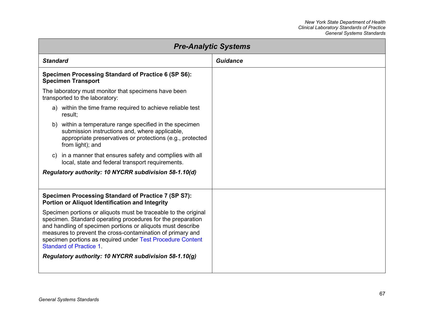| <b>Pre-Analytic Systems</b>                                                                                                                                                                                                                                                                                                                                 |                 |  |
|-------------------------------------------------------------------------------------------------------------------------------------------------------------------------------------------------------------------------------------------------------------------------------------------------------------------------------------------------------------|-----------------|--|
| <b>Standard</b>                                                                                                                                                                                                                                                                                                                                             | <b>Guidance</b> |  |
| Specimen Processing Standard of Practice 6 (SP S6):<br><b>Specimen Transport</b>                                                                                                                                                                                                                                                                            |                 |  |
| The laboratory must monitor that specimens have been<br>transported to the laboratory:                                                                                                                                                                                                                                                                      |                 |  |
| a) within the time frame required to achieve reliable test<br>result;                                                                                                                                                                                                                                                                                       |                 |  |
| b) within a temperature range specified in the specimen<br>submission instructions and, where applicable,<br>appropriate preservatives or protections (e.g., protected<br>from light); and                                                                                                                                                                  |                 |  |
| in a manner that ensures safety and complies with all<br>C)<br>local, state and federal transport requirements.                                                                                                                                                                                                                                             |                 |  |
| Regulatory authority: 10 NYCRR subdivision 58-1.10(d)                                                                                                                                                                                                                                                                                                       |                 |  |
| Specimen Processing Standard of Practice 7 (SP S7):<br>Portion or Aliquot Identification and Integrity                                                                                                                                                                                                                                                      |                 |  |
| Specimen portions or aliquots must be traceable to the original<br>specimen. Standard operating procedures for the preparation<br>and handling of specimen portions or aliquots must describe<br>measures to prevent the cross-contamination of primary and<br>specimen portions as required under Test Procedure Content<br><b>Standard of Practice 1.</b> |                 |  |
| Regulatory authority: 10 NYCRR subdivision 58-1.10(g)                                                                                                                                                                                                                                                                                                       |                 |  |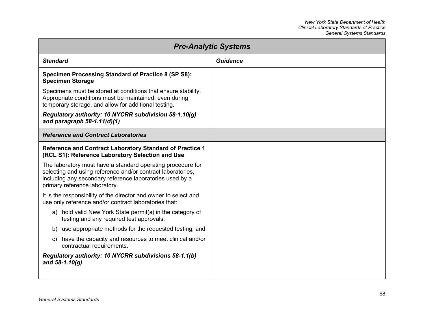| <b>Pre-Analytic Systems</b>                                                                                                                                                                                             |          |  |
|-------------------------------------------------------------------------------------------------------------------------------------------------------------------------------------------------------------------------|----------|--|
| <b>Standard</b>                                                                                                                                                                                                         | Guidance |  |
| <b>Specimen Processing Standard of Practice 8 (SP S8):</b><br><b>Specimen Storage</b>                                                                                                                                   |          |  |
| Specimens must be stored at conditions that ensure stability.<br>Appropriate conditions must be maintained, even during<br>temporary storage, and allow for additional testing.                                         |          |  |
| Regulatory authority: 10 NYCRR subdivision 58-1.10(g)<br>and paragraph $58-1.11(d)(1)$                                                                                                                                  |          |  |
| <b>Reference and Contract Laboratories</b>                                                                                                                                                                              |          |  |
| Reference and Contract Laboratory Standard of Practice 1<br>(RCL S1): Reference Laboratory Selection and Use                                                                                                            |          |  |
| The laboratory must have a standard operating procedure for<br>selecting and using reference and/or contract laboratories,<br>including any secondary reference laboratories used by a<br>primary reference laboratory. |          |  |
| It is the responsibility of the director and owner to select and<br>use only reference and/or contract laboratories that:                                                                                               |          |  |
| a) hold valid New York State permit(s) in the category of<br>testing and any required test approvals;                                                                                                                   |          |  |
| b) use appropriate methods for the requested testing; and                                                                                                                                                               |          |  |
| have the capacity and resources to meet clinical and/or<br>C)<br>contractual requirements.                                                                                                                              |          |  |
| Regulatory authority: 10 NYCRR subdivisions 58-1.1(b)<br>and $58-1.10(g)$                                                                                                                                               |          |  |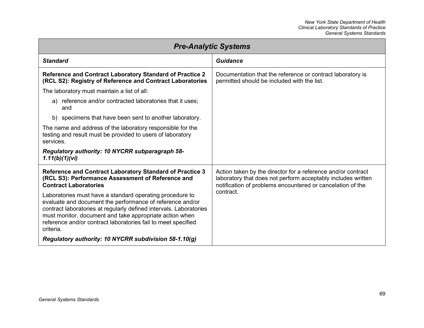| <b>Pre-Analytic Systems</b>                                                                                                                                                                                                                                                                                                          |                                                                                                                                                                                            |  |
|--------------------------------------------------------------------------------------------------------------------------------------------------------------------------------------------------------------------------------------------------------------------------------------------------------------------------------------|--------------------------------------------------------------------------------------------------------------------------------------------------------------------------------------------|--|
| <b>Standard</b>                                                                                                                                                                                                                                                                                                                      | <b>Guidance</b>                                                                                                                                                                            |  |
| Reference and Contract Laboratory Standard of Practice 2<br>(RCL S2): Registry of Reference and Contract Laboratories                                                                                                                                                                                                                | Documentation that the reference or contract laboratory is<br>permitted should be included with the list.                                                                                  |  |
| The laboratory must maintain a list of all:                                                                                                                                                                                                                                                                                          |                                                                                                                                                                                            |  |
| a) reference and/or contracted laboratories that it uses;<br>and                                                                                                                                                                                                                                                                     |                                                                                                                                                                                            |  |
| b) specimens that have been sent to another laboratory.                                                                                                                                                                                                                                                                              |                                                                                                                                                                                            |  |
| The name and address of the laboratory responsible for the<br>testing and result must be provided to users of laboratory<br>services.                                                                                                                                                                                                |                                                                                                                                                                                            |  |
| Regulatory authority: 10 NYCRR subparagraph 58-<br>1.11(b)(1)(vi)                                                                                                                                                                                                                                                                    |                                                                                                                                                                                            |  |
| Reference and Contract Laboratory Standard of Practice 3<br>(RCL S3): Performance Assessment of Reference and<br><b>Contract Laboratories</b>                                                                                                                                                                                        | Action taken by the director for a reference and/or contract<br>laboratory that does not perform acceptably includes written<br>notification of problems encountered or cancelation of the |  |
| Laboratories must have a standard operating procedure to<br>evaluate and document the performance of reference and/or<br>contract laboratories at regularly defined intervals. Laboratories<br>must monitor, document and take appropriate action when<br>reference and/or contract laboratories fail to meet specified<br>criteria. | contract.                                                                                                                                                                                  |  |
| Regulatory authority: 10 NYCRR subdivision 58-1.10(g)                                                                                                                                                                                                                                                                                |                                                                                                                                                                                            |  |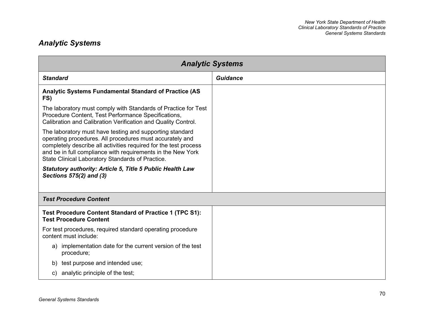## *Analytic Systems*

<span id="page-76-0"></span>

| <b>Analytic Systems</b>                                                                                                                                                                                                                                                                                     |                 |  |
|-------------------------------------------------------------------------------------------------------------------------------------------------------------------------------------------------------------------------------------------------------------------------------------------------------------|-----------------|--|
| <b>Standard</b>                                                                                                                                                                                                                                                                                             | <b>Guidance</b> |  |
| Analytic Systems Fundamental Standard of Practice (AS<br>FS)                                                                                                                                                                                                                                                |                 |  |
| The laboratory must comply with Standards of Practice for Test<br>Procedure Content, Test Performance Specifications,<br>Calibration and Calibration Verification and Quality Control.                                                                                                                      |                 |  |
| The laboratory must have testing and supporting standard<br>operating procedures. All procedures must accurately and<br>completely describe all activities required for the test process<br>and be in full compliance with requirements in the New York<br>State Clinical Laboratory Standards of Practice. |                 |  |
| <b>Statutory authority: Article 5, Title 5 Public Health Law</b><br>Sections 575(2) and (3)                                                                                                                                                                                                                 |                 |  |
| <b>Test Procedure Content</b>                                                                                                                                                                                                                                                                               |                 |  |
| Test Procedure Content Standard of Practice 1 (TPC S1):<br><b>Test Procedure Content</b>                                                                                                                                                                                                                    |                 |  |
| For test procedures, required standard operating procedure<br>content must include:                                                                                                                                                                                                                         |                 |  |
| implementation date for the current version of the test<br>a)<br>procedure;                                                                                                                                                                                                                                 |                 |  |
| test purpose and intended use;<br>b)                                                                                                                                                                                                                                                                        |                 |  |
| analytic principle of the test;<br>C)                                                                                                                                                                                                                                                                       |                 |  |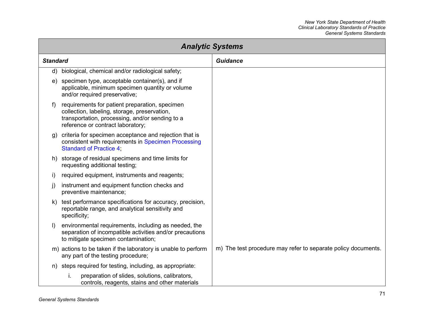| <b>Analytic Systems</b> |                                                                                                                                                                                        |                                                               |  |
|-------------------------|----------------------------------------------------------------------------------------------------------------------------------------------------------------------------------------|---------------------------------------------------------------|--|
| <b>Standard</b>         |                                                                                                                                                                                        | <b>Guidance</b>                                               |  |
| d)                      | biological, chemical and/or radiological safety;                                                                                                                                       |                                                               |  |
| e)                      | specimen type, acceptable container(s), and if<br>applicable, minimum specimen quantity or volume<br>and/or required preservative;                                                     |                                                               |  |
| f)                      | requirements for patient preparation, specimen<br>collection, labeling, storage, preservation,<br>transportation, processing, and/or sending to a<br>reference or contract laboratory; |                                                               |  |
| g)                      | criteria for specimen acceptance and rejection that is<br>consistent with requirements in Specimen Processing<br><b>Standard of Practice 4:</b>                                        |                                                               |  |
|                         | h) storage of residual specimens and time limits for<br>requesting additional testing;                                                                                                 |                                                               |  |
| I)                      | required equipment, instruments and reagents;                                                                                                                                          |                                                               |  |
| J)                      | instrument and equipment function checks and<br>preventive maintenance;                                                                                                                |                                                               |  |
| k)                      | test performance specifications for accuracy, precision,<br>reportable range, and analytical sensitivity and<br>specificity;                                                           |                                                               |  |
| $\vert$                 | environmental requirements, including as needed, the<br>separation of incompatible activities and/or precautions<br>to mitigate specimen contamination;                                |                                                               |  |
|                         | m) actions to be taken if the laboratory is unable to perform<br>any part of the testing procedure;                                                                                    | m) The test procedure may refer to separate policy documents. |  |
| n)                      | steps required for testing, including, as appropriate:                                                                                                                                 |                                                               |  |
|                         | preparation of slides, solutions, calibrators,<br>i.<br>controls, reagents, stains and other materials                                                                                 |                                                               |  |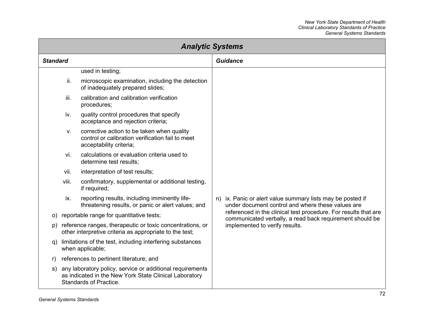| <b>Analytic Systems</b> |       |                                                                                                                                                      |                                                                                                                                                          |                                                                 |
|-------------------------|-------|------------------------------------------------------------------------------------------------------------------------------------------------------|----------------------------------------------------------------------------------------------------------------------------------------------------------|-----------------------------------------------------------------|
| <b>Standard</b>         |       |                                                                                                                                                      |                                                                                                                                                          | <b>Guidance</b>                                                 |
|                         |       | used in testing;                                                                                                                                     |                                                                                                                                                          |                                                                 |
|                         | ii.   | microscopic examination, including the detection<br>of inadequately prepared slides;                                                                 |                                                                                                                                                          |                                                                 |
|                         | iii.  | calibration and calibration verification<br>procedures;                                                                                              |                                                                                                                                                          |                                                                 |
|                         | iv.   | quality control procedures that specify<br>acceptance and rejection criteria;                                                                        |                                                                                                                                                          |                                                                 |
|                         | V.    | corrective action to be taken when quality<br>control or calibration verification fail to meet<br>acceptability criteria;                            |                                                                                                                                                          |                                                                 |
|                         | vi.   | calculations or evaluation criteria used to<br>determine test results;                                                                               |                                                                                                                                                          |                                                                 |
|                         | vii.  | interpretation of test results;                                                                                                                      |                                                                                                                                                          |                                                                 |
|                         | viii. | confirmatory, supplemental or additional testing,<br>if required;                                                                                    |                                                                                                                                                          |                                                                 |
|                         | ix.   | reporting results, including imminently life-<br>threatening results, or panic or alert values; and                                                  | n) ix. Panic or alert value summary lists may be posted if<br>communicated verbally, a read back requirement should be<br>implemented to verify results. | under document control and where these values are               |
| O)                      |       | reportable range for quantitative tests;                                                                                                             |                                                                                                                                                          | referenced in the clinical test procedure. For results that are |
| p)                      |       | reference ranges, therapeutic or toxic concentrations, or<br>other interpretive criteria as appropriate to the test;                                 |                                                                                                                                                          |                                                                 |
| q)                      |       | limitations of the test, including interfering substances<br>when applicable;                                                                        |                                                                                                                                                          |                                                                 |
| r)                      |       | references to pertinent literature; and                                                                                                              |                                                                                                                                                          |                                                                 |
| s)                      |       | any laboratory policy, service or additional requirements<br>as indicated in the New York State Clinical Laboratory<br><b>Standards of Practice.</b> |                                                                                                                                                          |                                                                 |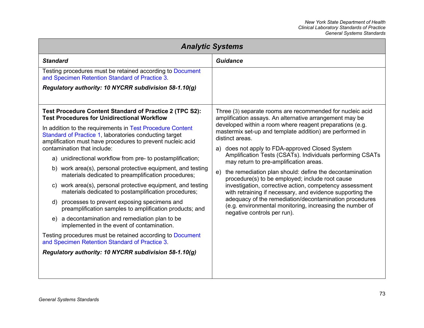| <b>Analytic Systems</b>                                                                                                                                                           |                                                                                                                                                   |  |
|-----------------------------------------------------------------------------------------------------------------------------------------------------------------------------------|---------------------------------------------------------------------------------------------------------------------------------------------------|--|
| <b>Standard</b>                                                                                                                                                                   | <b>Guidance</b>                                                                                                                                   |  |
| Testing procedures must be retained according to Document<br>and Specimen Retention Standard of Practice 3.                                                                       |                                                                                                                                                   |  |
| Regulatory authority: 10 NYCRR subdivision 58-1.10(g)                                                                                                                             |                                                                                                                                                   |  |
|                                                                                                                                                                                   |                                                                                                                                                   |  |
| Test Procedure Content Standard of Practice 2 (TPC S2):<br><b>Test Procedures for Unidirectional Workflow</b>                                                                     | Three (3) separate rooms are recommended for nucleic acid<br>amplification assays. An alternative arrangement may be                              |  |
| In addition to the requirements in Test Procedure Content<br>Standard of Practice 1, laboratories conducting target<br>amplification must have procedures to prevent nucleic acid | developed within a room where reagent preparations (e.g.<br>mastermix set-up and template addition) are performed in<br>distinct areas.           |  |
| contamination that include:                                                                                                                                                       | a) does not apply to FDA-approved Closed System<br>Amplification Tests (CSATs). Individuals performing CSATs                                      |  |
| a) unidirectional workflow from pre- to postamplification;                                                                                                                        | may return to pre-amplification areas.                                                                                                            |  |
| b) work area(s), personal protective equipment, and testing<br>materials dedicated to preamplification procedures;                                                                | the remediation plan should: define the decontamination<br>e)<br>procedure(s) to be employed; include root cause                                  |  |
| c) work area(s), personal protective equipment, and testing<br>materials dedicated to postamplification procedures;                                                               | investigation, corrective action, competency assessment<br>with retraining if necessary, and evidence supporting the                              |  |
| d) processes to prevent exposing specimens and<br>preamplification samples to amplification products; and                                                                         | adequacy of the remediation/decontamination procedures<br>(e.g. environmental monitoring, increasing the number of<br>negative controls per run). |  |
| e) a decontamination and remediation plan to be<br>implemented in the event of contamination.                                                                                     |                                                                                                                                                   |  |
| Testing procedures must be retained according to Document<br>and Specimen Retention Standard of Practice 3.                                                                       |                                                                                                                                                   |  |
| Regulatory authority: 10 NYCRR subdivision 58-1.10(g)                                                                                                                             |                                                                                                                                                   |  |
|                                                                                                                                                                                   |                                                                                                                                                   |  |
|                                                                                                                                                                                   |                                                                                                                                                   |  |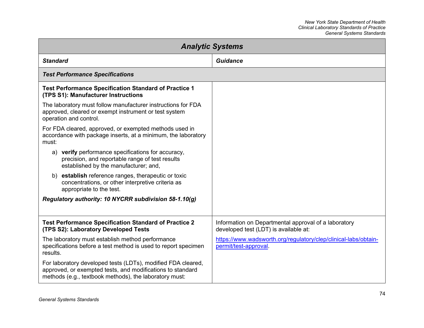<span id="page-80-1"></span><span id="page-80-0"></span>

| <b>Analytic Systems</b>                                                                                                                                                              |                                                                                               |  |
|--------------------------------------------------------------------------------------------------------------------------------------------------------------------------------------|-----------------------------------------------------------------------------------------------|--|
| <b>Standard</b>                                                                                                                                                                      | <b>Guidance</b>                                                                               |  |
| <b>Test Performance Specifications</b>                                                                                                                                               |                                                                                               |  |
| <b>Test Performance Specification Standard of Practice 1</b><br>(TPS S1): Manufacturer Instructions                                                                                  |                                                                                               |  |
| The laboratory must follow manufacturer instructions for FDA<br>approved, cleared or exempt instrument or test system<br>operation and control.                                      |                                                                                               |  |
| For FDA cleared, approved, or exempted methods used in<br>accordance with package inserts, at a minimum, the laboratory<br>must:                                                     |                                                                                               |  |
| a) verify performance specifications for accuracy,<br>precision, and reportable range of test results<br>established by the manufacturer; and,                                       |                                                                                               |  |
| b) establish reference ranges, therapeutic or toxic<br>concentrations, or other interpretive criteria as<br>appropriate to the test.                                                 |                                                                                               |  |
| Regulatory authority: 10 NYCRR subdivision 58-1.10(g)                                                                                                                                |                                                                                               |  |
|                                                                                                                                                                                      |                                                                                               |  |
| <b>Test Performance Specification Standard of Practice 2</b><br>(TPS S2): Laboratory Developed Tests                                                                                 | Information on Departmental approval of a laboratory<br>developed test (LDT) is available at: |  |
| The laboratory must establish method performance<br>specifications before a test method is used to report specimen<br>results.                                                       | https://www.wadsworth.org/regulatory/clep/clinical-labs/obtain-<br>permit/test-approval.      |  |
| For laboratory developed tests (LDTs), modified FDA cleared,<br>approved, or exempted tests, and modifications to standard<br>methods (e.g., textbook methods), the laboratory must: |                                                                                               |  |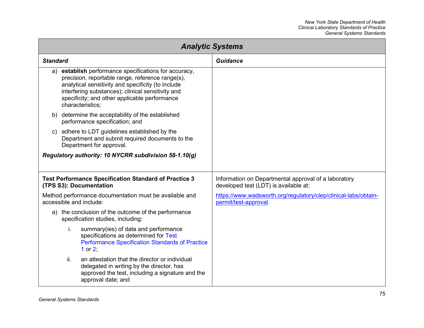| <b>Analytic Systems</b>                                                                                                                                                                                                                                                                      |                                                                                               |  |
|----------------------------------------------------------------------------------------------------------------------------------------------------------------------------------------------------------------------------------------------------------------------------------------------|-----------------------------------------------------------------------------------------------|--|
| <b>Standard</b>                                                                                                                                                                                                                                                                              | <b>Guidance</b>                                                                               |  |
| establish performance specifications for accuracy,<br>a)<br>precision, reportable range, reference range(s),<br>analytical sensitivity and specificity (to include<br>interfering substances); clinical sensitivity and<br>specificity; and other applicable performance<br>characteristics; |                                                                                               |  |
| determine the acceptability of the established<br>b)<br>performance specification; and                                                                                                                                                                                                       |                                                                                               |  |
| c) adhere to LDT guidelines established by the<br>Department and submit required documents to the<br>Department for approval.                                                                                                                                                                |                                                                                               |  |
| Regulatory authority: 10 NYCRR subdivision 58-1.10(g)                                                                                                                                                                                                                                        |                                                                                               |  |
| <b>Test Performance Specification Standard of Practice 3</b><br>(TPS S3): Documentation                                                                                                                                                                                                      | Information on Departmental approval of a laboratory<br>developed test (LDT) is available at: |  |
| Method performance documentation must be available and<br>accessible and include:                                                                                                                                                                                                            | https://www.wadsworth.org/regulatory/clep/clinical-labs/obtain-<br>permit/test-approval.      |  |
| the conclusion of the outcome of the performance<br>a)<br>specification studies, including:                                                                                                                                                                                                  |                                                                                               |  |
| summary(ies) of data and performance<br>i.<br>specifications as determined for Test<br><b>Performance Specification Standards of Practice</b><br>1 or $21$                                                                                                                                   |                                                                                               |  |
| ii.<br>an attestation that the director or individual<br>delegated in writing by the director, has<br>approved the test, including a signature and the<br>approval date; and                                                                                                                 |                                                                                               |  |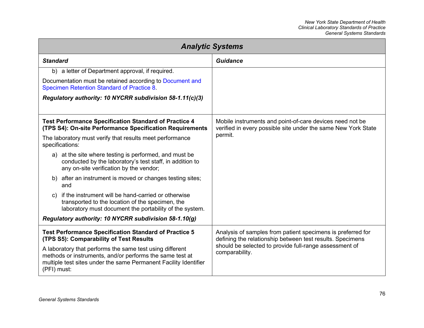| <b>Analytic Systems</b>                                                                                                                                                                                 |                                                                                                                           |  |
|---------------------------------------------------------------------------------------------------------------------------------------------------------------------------------------------------------|---------------------------------------------------------------------------------------------------------------------------|--|
| <b>Standard</b>                                                                                                                                                                                         | Guidance                                                                                                                  |  |
| b) a letter of Department approval, if required.                                                                                                                                                        |                                                                                                                           |  |
| Documentation must be retained according to Document and<br>Specimen Retention Standard of Practice 8.                                                                                                  |                                                                                                                           |  |
| Regulatory authority: 10 NYCRR subdivision 58-1.11(c)(3)                                                                                                                                                |                                                                                                                           |  |
|                                                                                                                                                                                                         |                                                                                                                           |  |
| <b>Test Performance Specification Standard of Practice 4</b><br>(TPS S4): On-site Performance Specification Requirements                                                                                | Mobile instruments and point-of-care devices need not be<br>verified in every possible site under the same New York State |  |
| The laboratory must verify that results meet performance<br>specifications:                                                                                                                             | permit.                                                                                                                   |  |
| a) at the site where testing is performed, and must be<br>conducted by the laboratory's test staff, in addition to<br>any on-site verification by the vendor;                                           |                                                                                                                           |  |
| b) after an instrument is moved or changes testing sites;<br>and                                                                                                                                        |                                                                                                                           |  |
| if the instrument will be hand-carried or otherwise<br>C)<br>transported to the location of the specimen, the<br>laboratory must document the portability of the system.                                |                                                                                                                           |  |
| Regulatory authority: 10 NYCRR subdivision 58-1.10(g)                                                                                                                                                   |                                                                                                                           |  |
| <b>Test Performance Specification Standard of Practice 5</b><br>(TPS S5): Comparability of Test Results                                                                                                 | Analysis of samples from patient specimens is preferred for<br>defining the relationship between test results. Specimens  |  |
| A laboratory that performs the same test using different<br>methods or instruments, and/or performs the same test at<br>multiple test sites under the same Permanent Facility Identifier<br>(PFI) must: | should be selected to provide full-range assessment of<br>comparability.                                                  |  |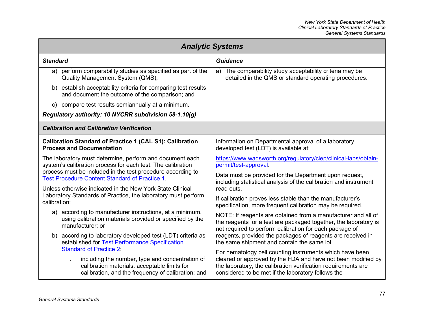| <b>Analytic Systems</b>                                                                                                                                                                       |                                                                                                                                                                                                                                                 |  |
|-----------------------------------------------------------------------------------------------------------------------------------------------------------------------------------------------|-------------------------------------------------------------------------------------------------------------------------------------------------------------------------------------------------------------------------------------------------|--|
| <b>Standard</b>                                                                                                                                                                               | <b>Guidance</b>                                                                                                                                                                                                                                 |  |
| perform comparability studies as specified as part of the<br>a)<br>Quality Management System (QMS);                                                                                           | a) The comparability study acceptability criteria may be<br>detailed in the QMS or standard operating procedures.                                                                                                                               |  |
| establish acceptability criteria for comparing test results<br>b)<br>and document the outcome of the comparison; and                                                                          |                                                                                                                                                                                                                                                 |  |
| compare test results semiannually at a minimum.<br>C)                                                                                                                                         |                                                                                                                                                                                                                                                 |  |
| Regulatory authority: 10 NYCRR subdivision 58-1.10(g)                                                                                                                                         |                                                                                                                                                                                                                                                 |  |
| <b>Calibration and Calibration Verification</b>                                                                                                                                               |                                                                                                                                                                                                                                                 |  |
| <b>Calibration Standard of Practice 1 (CAL S1): Calibration</b><br><b>Process and Documentation</b>                                                                                           | Information on Departmental approval of a laboratory<br>developed test (LDT) is available at:                                                                                                                                                   |  |
| The laboratory must determine, perform and document each<br>system's calibration process for each test. The calibration                                                                       | https://www.wadsworth.org/regulatory/clep/clinical-labs/obtain-<br>permit/test-approval.                                                                                                                                                        |  |
| process must be included in the test procedure according to<br><b>Test Procedure Content Standard of Practice 1</b>                                                                           | Data must be provided for the Department upon request,<br>including statistical analysis of the calibration and instrument                                                                                                                      |  |
| Unless otherwise indicated in the New York State Clinical                                                                                                                                     | read outs.                                                                                                                                                                                                                                      |  |
| Laboratory Standards of Practice, the laboratory must perform<br>calibration:                                                                                                                 | If calibration proves less stable than the manufacturer's<br>specification, more frequent calibration may be required.                                                                                                                          |  |
| a) according to manufacturer instructions, at a minimum,<br>using calibration materials provided or specified by the<br>manufacturer; or                                                      | NOTE: If reagents are obtained from a manufacturer and all of<br>the reagents for a test are packaged together, the laboratory is<br>not required to perform calibration for each package of                                                    |  |
| according to laboratory developed test (LDT) criteria as<br>b)<br>established for Test Performance Specification                                                                              | reagents, provided the packages of reagents are received in<br>the same shipment and contain the same lot.                                                                                                                                      |  |
| <b>Standard of Practice 2:</b><br>i.<br>including the number, type and concentration of<br>calibration materials, acceptable limits for<br>calibration, and the frequency of calibration; and | For hematology cell counting instruments which have been<br>cleared or approved by the FDA and have not been modified by<br>the laboratory, the calibration verification requirements are<br>considered to be met if the laboratory follows the |  |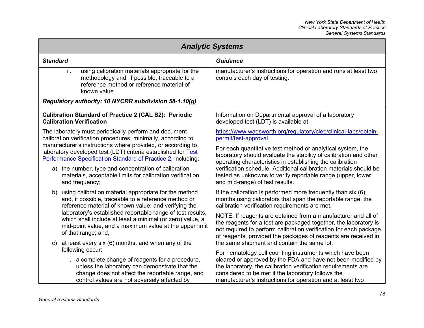| <b>Analytic Systems</b>                                                                                                                                                                                                                                                                                                                                                                  |                                                                                                                                                                                                                                                                                                               |  |
|------------------------------------------------------------------------------------------------------------------------------------------------------------------------------------------------------------------------------------------------------------------------------------------------------------------------------------------------------------------------------------------|---------------------------------------------------------------------------------------------------------------------------------------------------------------------------------------------------------------------------------------------------------------------------------------------------------------|--|
| <b>Standard</b>                                                                                                                                                                                                                                                                                                                                                                          | <b>Guidance</b>                                                                                                                                                                                                                                                                                               |  |
| ii.<br>using calibration materials appropriate for the<br>methodology and, if possible, traceable to a<br>reference method or reference material of<br>known value.                                                                                                                                                                                                                      | manufacturer's instructions for operation and runs at least two<br>controls each day of testing.                                                                                                                                                                                                              |  |
| Regulatory authority: 10 NYCRR subdivision 58-1.10(g)                                                                                                                                                                                                                                                                                                                                    |                                                                                                                                                                                                                                                                                                               |  |
| <b>Calibration Standard of Practice 2 (CAL S2): Periodic</b><br><b>Calibration Verification</b>                                                                                                                                                                                                                                                                                          | Information on Departmental approval of a laboratory<br>developed test (LDT) is available at:                                                                                                                                                                                                                 |  |
| The laboratory must periodically perform and document<br>calibration verification procedures, minimally, according to                                                                                                                                                                                                                                                                    | https://www.wadsworth.org/regulatory/clep/clinical-labs/obtain-<br>permit/test-approval.                                                                                                                                                                                                                      |  |
| manufacturer's instructions where provided, or according to<br>laboratory developed test (LDT) criteria established for Test<br>Performance Specification Standard of Practice 2, including:                                                                                                                                                                                             | For each quantitative test method or analytical system, the<br>laboratory should evaluate the stability of calibration and other<br>operating characteristics in establishing the calibration                                                                                                                 |  |
| the number, type and concentration of calibration<br>a)<br>materials, acceptable limits for calibration verification<br>and frequency;                                                                                                                                                                                                                                                   | verification schedule. Additional calibration materials should be<br>tested as unknowns to verify reportable range (upper, lower<br>and mid-range) of test results.                                                                                                                                           |  |
| using calibration material appropriate for the method<br>b)<br>and, if possible, traceable to a reference method or<br>reference material of known value; and verifying the<br>laboratory's established reportable range of test results,<br>which shall include at least a minimal (or zero) value, a<br>mid-point value, and a maximum value at the upper limit<br>of that range; and, | If the calibration is performed more frequently than six (6)<br>months using calibrators that span the reportable range, the<br>calibration verification requirements are met.                                                                                                                                |  |
|                                                                                                                                                                                                                                                                                                                                                                                          | NOTE: If reagents are obtained from a manufacturer and all of<br>the reagents for a test are packaged together, the laboratory is<br>not required to perform calibration verification for each package<br>of reagents, provided the packages of reagents are received in                                      |  |
| at least every six (6) months, and when any of the<br>C)<br>following occur:                                                                                                                                                                                                                                                                                                             | the same shipment and contain the same lot.                                                                                                                                                                                                                                                                   |  |
| i. a complete change of reagents for a procedure,<br>unless the laboratory can demonstrate that the<br>change does not affect the reportable range, and<br>control values are not adversely affected by                                                                                                                                                                                  | For hematology cell counting instruments which have been<br>cleared or approved by the FDA and have not been modified by<br>the laboratory, the calibration verification requirements are<br>considered to be met if the laboratory follows the<br>manufacturer's instructions for operation and at least two |  |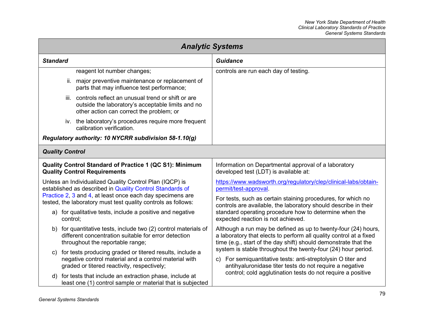<span id="page-85-0"></span>

| <b>Analytic Systems</b>                                                                                             |                                                                                                                                                                  |                                                                                                                                                                                                         |
|---------------------------------------------------------------------------------------------------------------------|------------------------------------------------------------------------------------------------------------------------------------------------------------------|---------------------------------------------------------------------------------------------------------------------------------------------------------------------------------------------------------|
| <b>Standard</b>                                                                                                     |                                                                                                                                                                  | <b>Guidance</b>                                                                                                                                                                                         |
|                                                                                                                     | reagent lot number changes;                                                                                                                                      | controls are run each day of testing.                                                                                                                                                                   |
|                                                                                                                     | ii. major preventive maintenance or replacement of<br>parts that may influence test performance;                                                                 |                                                                                                                                                                                                         |
|                                                                                                                     | controls reflect an unusual trend or shift or are<br>iii.<br>outside the laboratory's acceptable limits and no<br>other action can correct the problem; or       |                                                                                                                                                                                                         |
|                                                                                                                     | iv. the laboratory's procedures require more frequent<br>calibration verification.                                                                               |                                                                                                                                                                                                         |
|                                                                                                                     | Regulatory authority: 10 NYCRR subdivision 58-1.10(g)                                                                                                            |                                                                                                                                                                                                         |
| <b>Quality Control</b>                                                                                              |                                                                                                                                                                  |                                                                                                                                                                                                         |
| Quality Control Standard of Practice 1 (QC S1): Minimum<br><b>Quality Control Requirements</b>                      |                                                                                                                                                                  | Information on Departmental approval of a laboratory<br>developed test (LDT) is available at:                                                                                                           |
| Unless an Individualized Quality Control Plan (IQCP) is<br>established as described in Quality Control Standards of |                                                                                                                                                                  | https://www.wadsworth.org/regulatory/clep/clinical-labs/obtain-<br>permit/test-approval                                                                                                                 |
|                                                                                                                     | Practice 2, 3 and 4, at least once each day specimens are<br>tested, the laboratory must test quality controls as follows:                                       | For tests, such as certain staining procedures, for which no<br>controls are available, the laboratory should describe in their                                                                         |
|                                                                                                                     | a) for qualitative tests, include a positive and negative<br>control;                                                                                            | standard operating procedure how to determine when the<br>expected reaction is not achieved.                                                                                                            |
| b)                                                                                                                  | for quantitative tests, include two (2) control materials of<br>different concentration suitable for error detection<br>throughout the reportable range;         | Although a run may be defined as up to twenty-four (24) hours,<br>a laboratory that elects to perform all quality control at a fixed<br>time (e.g., start of the day shift) should demonstrate that the |
| C)                                                                                                                  | for tests producing graded or titered results, include a<br>negative control material and a control material with<br>graded or titered reactivity, respectively; | system is stable throughout the twenty-four (24) hour period.<br>For semiquantitative tests: anti-streptolysin O titer and<br>C)<br>antihyaluronidase titer tests do not require a negative             |
|                                                                                                                     | d) for tests that include an extraction phase, include at<br>least one (1) control sample or material that is subjected                                          | control; cold agglutination tests do not require a positive                                                                                                                                             |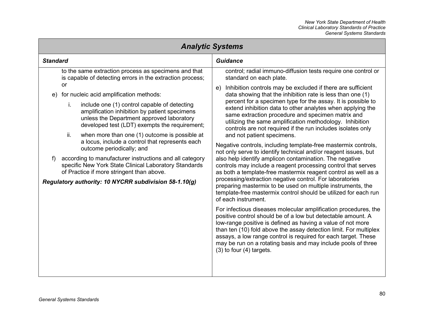| <b>Analytic Systems</b>    |                                                                                                                                                                                                                                                                                                                                                                                                                                                                                                                                                                                                                                                                                                                                           |                                                                                                                                                                                                                                                                                                                                                                                                                                                                                                                                                                                                                                                                                                                                                                                                                                                                                                                                                                                                                                                                                                                                                                                                                                                                                                                                                                                                                                                                                                                                                                           |
|----------------------------|-------------------------------------------------------------------------------------------------------------------------------------------------------------------------------------------------------------------------------------------------------------------------------------------------------------------------------------------------------------------------------------------------------------------------------------------------------------------------------------------------------------------------------------------------------------------------------------------------------------------------------------------------------------------------------------------------------------------------------------------|---------------------------------------------------------------------------------------------------------------------------------------------------------------------------------------------------------------------------------------------------------------------------------------------------------------------------------------------------------------------------------------------------------------------------------------------------------------------------------------------------------------------------------------------------------------------------------------------------------------------------------------------------------------------------------------------------------------------------------------------------------------------------------------------------------------------------------------------------------------------------------------------------------------------------------------------------------------------------------------------------------------------------------------------------------------------------------------------------------------------------------------------------------------------------------------------------------------------------------------------------------------------------------------------------------------------------------------------------------------------------------------------------------------------------------------------------------------------------------------------------------------------------------------------------------------------------|
| <b>Standard</b>            |                                                                                                                                                                                                                                                                                                                                                                                                                                                                                                                                                                                                                                                                                                                                           | <b>Guidance</b>                                                                                                                                                                                                                                                                                                                                                                                                                                                                                                                                                                                                                                                                                                                                                                                                                                                                                                                                                                                                                                                                                                                                                                                                                                                                                                                                                                                                                                                                                                                                                           |
| e)<br>$\ddot{\phantom{1}}$ | to the same extraction process as specimens and that<br>is capable of detecting errors in the extraction process;<br>or<br>for nucleic acid amplification methods:<br>i.<br>include one (1) control capable of detecting<br>amplification inhibition by patient specimens<br>unless the Department approved laboratory<br>developed test (LDT) exempts the requirement;<br>ii.<br>when more than one (1) outcome is possible at<br>a locus, include a control that represents each<br>outcome periodically; and<br>according to manufacturer instructions and all category<br>specific New York State Clinical Laboratory Standards<br>of Practice if more stringent than above.<br>Regulatory authority: 10 NYCRR subdivision 58-1.10(g) | control; radial immuno-diffusion tests require one control or<br>standard on each plate.<br>Inhibition controls may be excluded if there are sufficient<br>e)<br>data showing that the inhibition rate is less than one (1)<br>percent for a specimen type for the assay. It is possible to<br>extend inhibition data to other analytes when applying the<br>same extraction procedure and specimen matrix and<br>utilizing the same amplification methodology. Inhibition<br>controls are not required if the run includes isolates only<br>and not patient specimens.<br>Negative controls, including template-free mastermix controls,<br>not only serve to identify technical and/or reagent issues, but<br>also help identify amplicon contamination. The negative<br>controls may include a reagent processing control that serves<br>as both a template-free mastermix reagent control as well as a<br>processing/extraction negative control. For laboratories<br>preparing mastermix to be used on multiple instruments, the<br>template-free mastermix control should be utilized for each run<br>of each instrument.<br>For infectious diseases molecular amplification procedures, the<br>positive control should be of a low but detectable amount. A<br>low-range positive is defined as having a value of not more<br>than ten (10) fold above the assay detection limit. For multiplex<br>assays, a low range control is required for each target. These<br>may be run on a rotating basis and may include pools of three<br>$(3)$ to four $(4)$ targets. |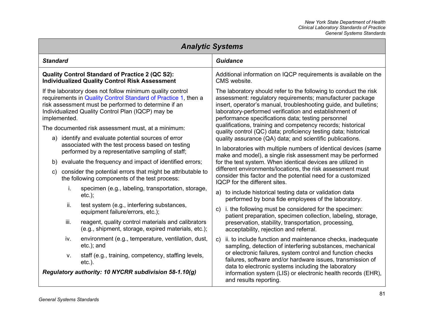## *New York State Department of Health Clinical Laboratory Standards of Practice General Systems Standards*

<span id="page-87-0"></span>

| <b>Analytic Systems</b>                                                                                                                                                                                                                                                                                                                                               |                                                                                                                                                                                                                                                                                                                                                                                                                                                                                                                                                                                                                                                                                                                                                                                                                                                                                  |  |  |
|-----------------------------------------------------------------------------------------------------------------------------------------------------------------------------------------------------------------------------------------------------------------------------------------------------------------------------------------------------------------------|----------------------------------------------------------------------------------------------------------------------------------------------------------------------------------------------------------------------------------------------------------------------------------------------------------------------------------------------------------------------------------------------------------------------------------------------------------------------------------------------------------------------------------------------------------------------------------------------------------------------------------------------------------------------------------------------------------------------------------------------------------------------------------------------------------------------------------------------------------------------------------|--|--|
| <b>Standard</b>                                                                                                                                                                                                                                                                                                                                                       | <b>Guidance</b>                                                                                                                                                                                                                                                                                                                                                                                                                                                                                                                                                                                                                                                                                                                                                                                                                                                                  |  |  |
| <b>Quality Control Standard of Practice 2 (QC S2):</b><br><b>Individualized Quality Control Risk Assessment</b>                                                                                                                                                                                                                                                       | Additional information on IQCP requirements is available on the<br>CMS website.                                                                                                                                                                                                                                                                                                                                                                                                                                                                                                                                                                                                                                                                                                                                                                                                  |  |  |
| If the laboratory does not follow minimum quality control<br>requirements in Quality Control Standard of Practice 1, then a<br>risk assessment must be performed to determine if an<br>Individualized Quality Control Plan (IQCP) may be<br>implemented.<br>The documented risk assessment must, at a minimum:<br>a) identify and evaluate potential sources of error | The laboratory should refer to the following to conduct the risk<br>assessment: regulatory requirements; manufacturer package<br>insert, operator's manual, troubleshooting guide, and bulletins;<br>laboratory-performed verification and establishment of<br>performance specifications data; testing personnel<br>qualifications, training and competency records; historical<br>quality control (QC) data; proficiency testing data; historical<br>quality assurance (QA) data; and scientific publications.<br>In laboratories with multiple numbers of identical devices (same<br>make and model), a single risk assessment may be performed<br>for the test system. When identical devices are utilized in<br>different environments/locations, the risk assessment must<br>consider this factor and the potential need for a customized<br>IQCP for the different sites. |  |  |
| associated with the test process based on testing<br>performed by a representative sampling of staff;<br>b) evaluate the frequency and impact of identified errors;<br>consider the potential errors that might be attributable to<br>$\mathsf{c}$<br>the following components of the test process:                                                                   |                                                                                                                                                                                                                                                                                                                                                                                                                                                                                                                                                                                                                                                                                                                                                                                                                                                                                  |  |  |
| i.<br>specimen (e.g., labeling, transportation, storage,<br>$etc.$ );                                                                                                                                                                                                                                                                                                 | a) to include historical testing data or validation data<br>performed by bona fide employees of the laboratory.                                                                                                                                                                                                                                                                                                                                                                                                                                                                                                                                                                                                                                                                                                                                                                  |  |  |
| ii.<br>test system (e.g., interfering substances,<br>equipment failure/errors, etc.);                                                                                                                                                                                                                                                                                 | i. the following must be considered for the specimen:<br>$\mathsf{C}$<br>patient preparation, specimen collection, labeling, storage,                                                                                                                                                                                                                                                                                                                                                                                                                                                                                                                                                                                                                                                                                                                                            |  |  |
| iii.<br>reagent, quality control materials and calibrators<br>(e.g., shipment, storage, expired materials, etc.);                                                                                                                                                                                                                                                     | preservation, stability, transportation, processing,<br>acceptability, rejection and referral.                                                                                                                                                                                                                                                                                                                                                                                                                                                                                                                                                                                                                                                                                                                                                                                   |  |  |
| iv.<br>environment (e.g., temperature, ventilation, dust,<br>etc.); and                                                                                                                                                                                                                                                                                               | ii. to include function and maintenance checks, inadequate<br>$\mathsf{c}$<br>sampling, detection of interfering substances, mechanical                                                                                                                                                                                                                                                                                                                                                                                                                                                                                                                                                                                                                                                                                                                                          |  |  |
| staff (e.g., training, competency, staffing levels,<br>٧.<br>$etc.$ ).<br>Regulatory authority: 10 NYCRR subdivision 58-1.10(g)                                                                                                                                                                                                                                       | or electronic failures, system control and function checks<br>failures, software and/or hardware issues, transmission of<br>data to electronic systems including the laboratory<br>information system (LIS) or electronic health records (EHR),<br>and results reporting.                                                                                                                                                                                                                                                                                                                                                                                                                                                                                                                                                                                                        |  |  |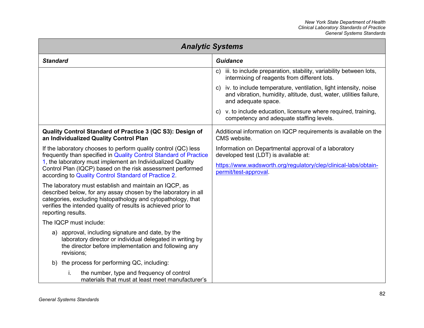<span id="page-88-0"></span>

| <b>Analytic Systems</b>                                                                                                                                                                                                                                                         |                                                                                                                                                                    |  |
|---------------------------------------------------------------------------------------------------------------------------------------------------------------------------------------------------------------------------------------------------------------------------------|--------------------------------------------------------------------------------------------------------------------------------------------------------------------|--|
| <b>Standard</b>                                                                                                                                                                                                                                                                 | <b>Guidance</b>                                                                                                                                                    |  |
|                                                                                                                                                                                                                                                                                 | iii. to include preparation, stability, variability between lots,<br>C)<br>intermixing of reagents from different lots.                                            |  |
|                                                                                                                                                                                                                                                                                 | iv. to include temperature, ventilation, light intensity, noise<br>C)<br>and vibration, humidity, altitude, dust, water, utilities failure,<br>and adequate space. |  |
|                                                                                                                                                                                                                                                                                 | c) v. to include education, licensure where required, training,<br>competency and adequate staffing levels.                                                        |  |
| Quality Control Standard of Practice 3 (QC S3): Design of<br>an Individualized Quality Control Plan                                                                                                                                                                             | Additional information on IQCP requirements is available on the<br>CMS website.                                                                                    |  |
| If the laboratory chooses to perform quality control (QC) less<br>frequently than specified in Quality Control Standard of Practice                                                                                                                                             | Information on Departmental approval of a laboratory<br>developed test (LDT) is available at:                                                                      |  |
| 1, the laboratory must implement an Individualized Quality<br>Control Plan (IQCP) based on the risk assessment performed<br>according to Quality Control Standard of Practice 2.                                                                                                | https://www.wadsworth.org/regulatory/clep/clinical-labs/obtain-<br>permit/test-approval.                                                                           |  |
| The laboratory must establish and maintain an IQCP, as<br>described below, for any assay chosen by the laboratory in all<br>categories, excluding histopathology and cytopathology, that<br>verifies the intended quality of results is achieved prior to<br>reporting results. |                                                                                                                                                                    |  |
| The IQCP must include:                                                                                                                                                                                                                                                          |                                                                                                                                                                    |  |
| a) approval, including signature and date, by the<br>laboratory director or individual delegated in writing by<br>the director before implementation and following any<br>revisions;                                                                                            |                                                                                                                                                                    |  |
| b) the process for performing QC, including:                                                                                                                                                                                                                                    |                                                                                                                                                                    |  |
| the number, type and frequency of control<br>i.<br>materials that must at least meet manufacturer's                                                                                                                                                                             |                                                                                                                                                                    |  |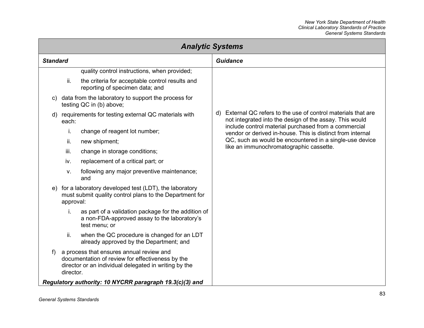| <b>Analytic Systems</b> |           |                                                                                                                                                       |                 |                                                                                                                        |
|-------------------------|-----------|-------------------------------------------------------------------------------------------------------------------------------------------------------|-----------------|------------------------------------------------------------------------------------------------------------------------|
| <b>Standard</b>         |           |                                                                                                                                                       | <b>Guidance</b> |                                                                                                                        |
|                         |           | quality control instructions, when provided;                                                                                                          |                 |                                                                                                                        |
|                         | ii.       | the criteria for acceptable control results and<br>reporting of specimen data; and                                                                    |                 |                                                                                                                        |
| C)                      |           | data from the laboratory to support the process for<br>testing QC in (b) above;                                                                       |                 |                                                                                                                        |
|                         | each:     | d) requirements for testing external QC materials with                                                                                                | d)              | External QC refers to the use of control materials that are<br>not integrated into the design of the assay. This would |
|                         | i.        | change of reagent lot number;                                                                                                                         |                 | include control material purchased from a commercial<br>vendor or derived in-house. This is distinct from internal     |
|                         | ii.       | new shipment;                                                                                                                                         |                 | QC, such as would be encountered in a single-use device<br>like an immunochromatographic cassette.                     |
|                         | iii.      | change in storage conditions;                                                                                                                         |                 |                                                                                                                        |
|                         | iv.       | replacement of a critical part; or                                                                                                                    |                 |                                                                                                                        |
|                         | V.        | following any major preventive maintenance;<br>and                                                                                                    |                 |                                                                                                                        |
| e)                      | approval: | for a laboratory developed test (LDT), the laboratory<br>must submit quality control plans to the Department for                                      |                 |                                                                                                                        |
|                         | i.        | as part of a validation package for the addition of<br>a non-FDA-approved assay to the laboratory's<br>test menu; or                                  |                 |                                                                                                                        |
|                         | ii.       | when the QC procedure is changed for an LDT<br>already approved by the Department; and                                                                |                 |                                                                                                                        |
| f)                      | director. | a process that ensures annual review and<br>documentation of review for effectiveness by the<br>director or an individual delegated in writing by the |                 |                                                                                                                        |
|                         |           | Regulatory authority: 10 NYCRR paragraph 19.3(c)(3) and                                                                                               |                 |                                                                                                                        |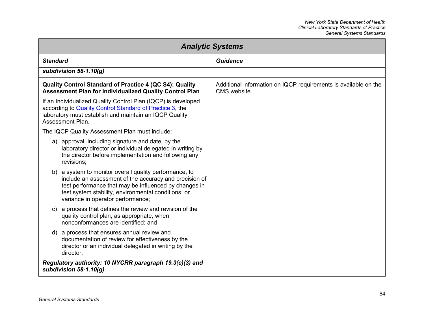<span id="page-90-0"></span>

| <b>Analytic Systems</b>                                                                                                                                                                                                                                               |                                                                                 |  |
|-----------------------------------------------------------------------------------------------------------------------------------------------------------------------------------------------------------------------------------------------------------------------|---------------------------------------------------------------------------------|--|
| <b>Standard</b>                                                                                                                                                                                                                                                       | <b>Guidance</b>                                                                 |  |
| subdivision 58-1.10(g)                                                                                                                                                                                                                                                |                                                                                 |  |
| Quality Control Standard of Practice 4 (QC S4): Quality<br><b>Assessment Plan for Individualized Quality Control Plan</b>                                                                                                                                             | Additional information on IQCP requirements is available on the<br>CMS website. |  |
| If an Individualized Quality Control Plan (IQCP) is developed<br>according to Quality Control Standard of Practice 3, the<br>laboratory must establish and maintain an IQCP Quality<br>Assessment Plan.                                                               |                                                                                 |  |
| The IQCP Quality Assessment Plan must include:                                                                                                                                                                                                                        |                                                                                 |  |
| a) approval, including signature and date, by the<br>laboratory director or individual delegated in writing by<br>the director before implementation and following any<br>revisions;                                                                                  |                                                                                 |  |
| b) a system to monitor overall quality performance, to<br>include an assessment of the accuracy and precision of<br>test performance that may be influenced by changes in<br>test system stability, environmental conditions, or<br>variance in operator performance; |                                                                                 |  |
| a process that defines the review and revision of the<br>$\mathsf{C}$<br>quality control plan, as appropriate, when<br>nonconformances are identified; and                                                                                                            |                                                                                 |  |
| d) a process that ensures annual review and<br>documentation of review for effectiveness by the<br>director or an individual delegated in writing by the<br>director.                                                                                                 |                                                                                 |  |
| Regulatory authority: 10 NYCRR paragraph 19.3(c)(3) and<br>subdivision 58-1.10(g)                                                                                                                                                                                     |                                                                                 |  |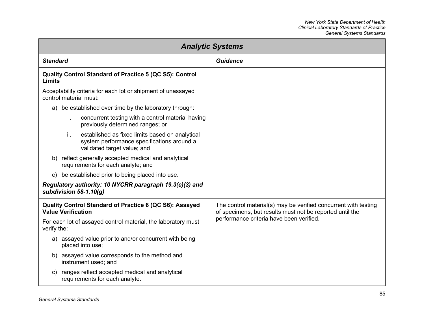| <b>Analytic Systems</b>                                                                                                             |                                                                                                                             |  |
|-------------------------------------------------------------------------------------------------------------------------------------|-----------------------------------------------------------------------------------------------------------------------------|--|
| <b>Standard</b>                                                                                                                     | <b>Guidance</b>                                                                                                             |  |
| Quality Control Standard of Practice 5 (QC S5): Control<br><b>Limits</b>                                                            |                                                                                                                             |  |
| Acceptability criteria for each lot or shipment of unassayed<br>control material must:                                              |                                                                                                                             |  |
| be established over time by the laboratory through:<br>a)                                                                           |                                                                                                                             |  |
| i.<br>concurrent testing with a control material having<br>previously determined ranges; or                                         |                                                                                                                             |  |
| ii.<br>established as fixed limits based on analytical<br>system performance specifications around a<br>validated target value; and |                                                                                                                             |  |
| b) reflect generally accepted medical and analytical<br>requirements for each analyte; and                                          |                                                                                                                             |  |
| be established prior to being placed into use.<br>C)                                                                                |                                                                                                                             |  |
| Regulatory authority: 10 NYCRR paragraph 19.3(c)(3) and<br>subdivision $58-1.10(q)$                                                 |                                                                                                                             |  |
| Quality Control Standard of Practice 6 (QC S6): Assayed<br><b>Value Verification</b>                                                | The control material(s) may be verified concurrent with testing<br>of specimens, but results must not be reported until the |  |
| For each lot of assayed control material, the laboratory must<br>verify the:                                                        | performance criteria have been verified.                                                                                    |  |
| a) assayed value prior to and/or concurrent with being<br>placed into use;                                                          |                                                                                                                             |  |
| b) assayed value corresponds to the method and<br>instrument used; and                                                              |                                                                                                                             |  |
| ranges reflect accepted medical and analytical<br>C)<br>requirements for each analyte.                                              |                                                                                                                             |  |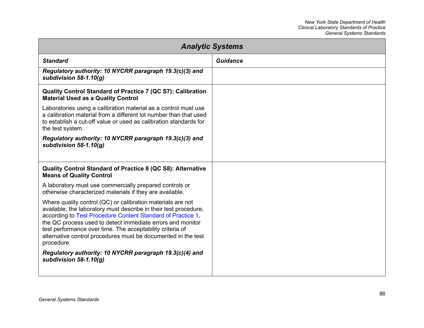| <b>Analytic Systems</b>                                                                                                                                                                                                                                                                                                                                                                                  |          |  |
|----------------------------------------------------------------------------------------------------------------------------------------------------------------------------------------------------------------------------------------------------------------------------------------------------------------------------------------------------------------------------------------------------------|----------|--|
| <b>Standard</b>                                                                                                                                                                                                                                                                                                                                                                                          | Guidance |  |
| Regulatory authority: 10 NYCRR paragraph 19.3(c)(3) and<br>subdivision $58-1.10(q)$                                                                                                                                                                                                                                                                                                                      |          |  |
| Quality Control Standard of Practice 7 (QC S7): Calibration<br><b>Material Used as a Quality Control</b>                                                                                                                                                                                                                                                                                                 |          |  |
| Laboratories using a calibration material as a control must use<br>a calibration material from a different lot number than that used<br>to establish a cut-off value or used as calibration standards for<br>the test system.                                                                                                                                                                            |          |  |
| Regulatory authority: 10 NYCRR paragraph 19.3(c)(3) and<br>subdivision $58-1.10(q)$                                                                                                                                                                                                                                                                                                                      |          |  |
| Quality Control Standard of Practice 8 (QC S8): Alternative<br><b>Means of Quality Control</b>                                                                                                                                                                                                                                                                                                           |          |  |
| A laboratory must use commercially prepared controls or<br>otherwise characterized materials if they are available.                                                                                                                                                                                                                                                                                      |          |  |
| Where quality control (QC) or calibration materials are not<br>available, the laboratory must describe in their test procedure,<br>according to Test Procedure Content Standard of Practice 1,<br>the QC process used to detect immediate errors and monitor<br>test performance over time. The acceptability criteria of<br>alternative control procedures must be documented in the test<br>procedure. |          |  |
| Regulatory authority: 10 NYCRR paragraph 19.3(c)(4) and<br>subdivision $58-1.10(q)$                                                                                                                                                                                                                                                                                                                      |          |  |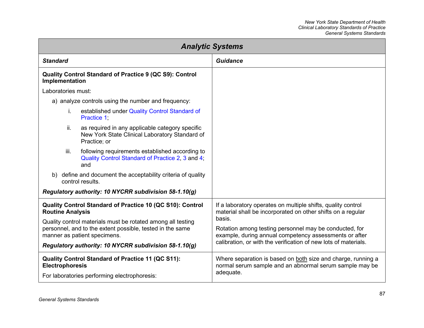| <b>Analytic Systems</b>                                                                                                                                  |                                                                                                                                       |  |
|----------------------------------------------------------------------------------------------------------------------------------------------------------|---------------------------------------------------------------------------------------------------------------------------------------|--|
| <b>Standard</b>                                                                                                                                          | <b>Guidance</b>                                                                                                                       |  |
| Quality Control Standard of Practice 9 (QC S9): Control<br>Implementation                                                                                |                                                                                                                                       |  |
| Laboratories must:                                                                                                                                       |                                                                                                                                       |  |
| a) analyze controls using the number and frequency:                                                                                                      |                                                                                                                                       |  |
| established under Quality Control Standard of<br>i.<br>Practice 1:                                                                                       |                                                                                                                                       |  |
| ii.<br>as required in any applicable category specific<br>New York State Clinical Laboratory Standard of<br>Practice; or                                 |                                                                                                                                       |  |
| iii.<br>following requirements established according to<br>Quality Control Standard of Practice 2, 3 and 4;<br>and                                       |                                                                                                                                       |  |
| b) define and document the acceptability criteria of quality<br>control results.                                                                         |                                                                                                                                       |  |
| Regulatory authority: 10 NYCRR subdivision 58-1.10(g)                                                                                                    |                                                                                                                                       |  |
| Quality Control Standard of Practice 10 (QC S10): Control<br><b>Routine Analysis</b>                                                                     | If a laboratory operates on multiple shifts, quality control<br>material shall be incorporated on other shifts on a regular<br>basis. |  |
| Quality control materials must be rotated among all testing<br>personnel, and to the extent possible, tested in the same<br>manner as patient specimens. | Rotation among testing personnel may be conducted, for<br>example, during annual competency assessments or after                      |  |
| Regulatory authority: 10 NYCRR subdivision 58-1.10(g)                                                                                                    | calibration, or with the verification of new lots of materials.                                                                       |  |
| Quality Control Standard of Practice 11 (QC S11):<br><b>Electrophoresis</b>                                                                              | Where separation is based on both size and charge, running a<br>normal serum sample and an abnormal serum sample may be               |  |
| For laboratories performing electrophoresis:                                                                                                             | adequate.                                                                                                                             |  |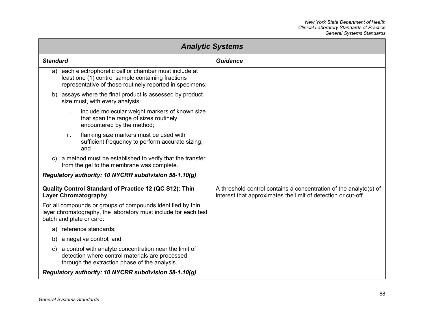| <b>Analytic Systems</b>                                                                                                                                                  |                                                                                                                                    |  |
|--------------------------------------------------------------------------------------------------------------------------------------------------------------------------|------------------------------------------------------------------------------------------------------------------------------------|--|
| <b>Standard</b>                                                                                                                                                          | Guidance                                                                                                                           |  |
| a) each electrophoretic cell or chamber must include at<br>least one (1) control sample containing fractions<br>representative of those routinely reported in specimens; |                                                                                                                                    |  |
| assays where the final product is assessed by product<br>b)<br>size must, with every analysis:                                                                           |                                                                                                                                    |  |
| i.<br>include molecular weight markers of known size<br>that span the range of sizes routinely<br>encountered by the method;                                             |                                                                                                                                    |  |
| ii.<br>flanking size markers must be used with<br>sufficient frequency to perform accurate sizing;<br>and                                                                |                                                                                                                                    |  |
| a method must be established to verify that the transfer<br>from the gel to the membrane was complete.                                                                   |                                                                                                                                    |  |
| Regulatory authority: 10 NYCRR subdivision 58-1.10(g)                                                                                                                    |                                                                                                                                    |  |
| Quality Control Standard of Practice 12 (QC S12): Thin<br><b>Layer Chromatography</b>                                                                                    | A threshold control contains a concentration of the analyte(s) of<br>interest that approximates the limit of detection or cut-off. |  |
| For all compounds or groups of compounds identified by thin<br>layer chromatography, the laboratory must include for each test<br>batch and plate or card:               |                                                                                                                                    |  |
| a) reference standards;                                                                                                                                                  |                                                                                                                                    |  |
| a negative control; and<br>b)                                                                                                                                            |                                                                                                                                    |  |
| a control with analyte concentration near the limit of<br>C)<br>detection where control materials are processed<br>through the extraction phase of the analysis.         |                                                                                                                                    |  |
| Regulatory authority: 10 NYCRR subdivision 58-1.10(g)                                                                                                                    |                                                                                                                                    |  |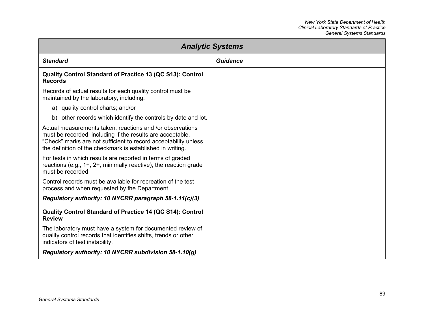| <b>Analytic Systems</b>                                                                                                                                                                                                                                  |                 |  |
|----------------------------------------------------------------------------------------------------------------------------------------------------------------------------------------------------------------------------------------------------------|-----------------|--|
| <b>Standard</b>                                                                                                                                                                                                                                          | <b>Guidance</b> |  |
| Quality Control Standard of Practice 13 (QC S13): Control<br><b>Records</b>                                                                                                                                                                              |                 |  |
| Records of actual results for each quality control must be<br>maintained by the laboratory, including:                                                                                                                                                   |                 |  |
| a) quality control charts; and/or                                                                                                                                                                                                                        |                 |  |
| b) other records which identify the controls by date and lot.                                                                                                                                                                                            |                 |  |
| Actual measurements taken, reactions and /or observations<br>must be recorded, including if the results are acceptable.<br>"Check" marks are not sufficient to record acceptability unless<br>the definition of the checkmark is established in writing. |                 |  |
| For tests in which results are reported in terms of graded<br>reactions (e.g., 1+, 2+, minimally reactive), the reaction grade<br>must be recorded.                                                                                                      |                 |  |
| Control records must be available for recreation of the test<br>process and when requested by the Department.                                                                                                                                            |                 |  |
| Regulatory authority: 10 NYCRR paragraph 58-1.11(c)(3)                                                                                                                                                                                                   |                 |  |
| Quality Control Standard of Practice 14 (QC S14): Control<br><b>Review</b>                                                                                                                                                                               |                 |  |
| The laboratory must have a system for documented review of<br>quality control records that identifies shifts, trends or other<br>indicators of test instability.                                                                                         |                 |  |
| Regulatory authority: 10 NYCRR subdivision 58-1.10(g)                                                                                                                                                                                                    |                 |  |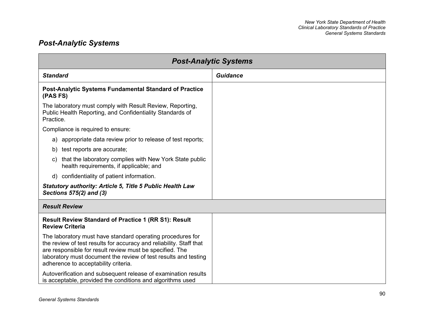## *Post-Analytic Systems*

| <b>Post-Analytic Systems</b>                                                                                                                                                                                                                                                                             |                 |  |
|----------------------------------------------------------------------------------------------------------------------------------------------------------------------------------------------------------------------------------------------------------------------------------------------------------|-----------------|--|
| <b>Standard</b>                                                                                                                                                                                                                                                                                          | <b>Guidance</b> |  |
| Post-Analytic Systems Fundamental Standard of Practice<br>(PAS FS)                                                                                                                                                                                                                                       |                 |  |
| The laboratory must comply with Result Review, Reporting,<br>Public Health Reporting, and Confidentiality Standards of<br>Practice.                                                                                                                                                                      |                 |  |
| Compliance is required to ensure:                                                                                                                                                                                                                                                                        |                 |  |
| a) appropriate data review prior to release of test reports;                                                                                                                                                                                                                                             |                 |  |
| b) test reports are accurate;                                                                                                                                                                                                                                                                            |                 |  |
| that the laboratory complies with New York State public<br>C)<br>health requirements, if applicable; and                                                                                                                                                                                                 |                 |  |
| d) confidentiality of patient information.                                                                                                                                                                                                                                                               |                 |  |
| <b>Statutory authority: Article 5, Title 5 Public Health Law</b><br>Sections 575(2) and (3)                                                                                                                                                                                                              |                 |  |
| <b>Result Review</b>                                                                                                                                                                                                                                                                                     |                 |  |
| <b>Result Review Standard of Practice 1 (RR S1): Result</b><br><b>Review Criteria</b>                                                                                                                                                                                                                    |                 |  |
| The laboratory must have standard operating procedures for<br>the review of test results for accuracy and reliability. Staff that<br>are responsible for result review must be specified. The<br>laboratory must document the review of test results and testing<br>adherence to acceptability criteria. |                 |  |
| Autoverification and subsequent release of examination results<br>is acceptable, provided the conditions and algorithms used                                                                                                                                                                             |                 |  |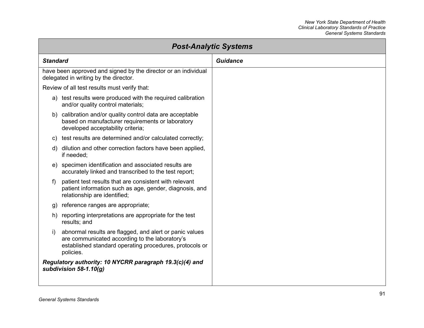| <b>Post-Analytic Systems</b>                 |                                                                                                                                                                      |                 |
|----------------------------------------------|----------------------------------------------------------------------------------------------------------------------------------------------------------------------|-----------------|
| <b>Standard</b>                              |                                                                                                                                                                      | <b>Guidance</b> |
| delegated in writing by the director.        | have been approved and signed by the director or an individual                                                                                                       |                 |
| Review of all test results must verify that: |                                                                                                                                                                      |                 |
| and/or quality control materials;            | a) test results were produced with the required calibration                                                                                                          |                 |
| developed acceptability criteria;            | b) calibration and/or quality control data are acceptable<br>based on manufacturer requirements or laboratory                                                        |                 |
|                                              | c) test results are determined and/or calculated correctly;                                                                                                          |                 |
| d)<br>if needed;                             | dilution and other correction factors have been applied,                                                                                                             |                 |
|                                              | e) specimen identification and associated results are<br>accurately linked and transcribed to the test report;                                                       |                 |
| f)<br>relationship are identified;           | patient test results that are consistent with relevant<br>patient information such as age, gender, diagnosis, and                                                    |                 |
| g) reference ranges are appropriate;         |                                                                                                                                                                      |                 |
| results; and                                 | h) reporting interpretations are appropriate for the test                                                                                                            |                 |
| i)<br>policies.                              | abnormal results are flagged, and alert or panic values<br>are communicated according to the laboratory's<br>established standard operating procedures, protocols or |                 |
| subdivision 58-1.10(g)                       | Regulatory authority: 10 NYCRR paragraph 19.3(c)(4) and                                                                                                              |                 |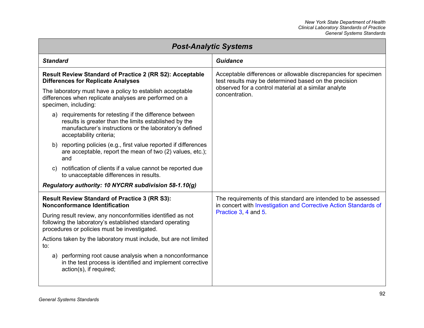| <b>Post-Analytic Systems</b>                                                                                                                                                                           |                                                                                                                                   |  |
|--------------------------------------------------------------------------------------------------------------------------------------------------------------------------------------------------------|-----------------------------------------------------------------------------------------------------------------------------------|--|
| <b>Standard</b>                                                                                                                                                                                        | <b>Guidance</b>                                                                                                                   |  |
| Result Review Standard of Practice 2 (RR S2): Acceptable<br><b>Differences for Replicate Analyses</b>                                                                                                  | Acceptable differences or allowable discrepancies for specimen<br>test results may be determined based on the precision           |  |
| The laboratory must have a policy to establish acceptable<br>differences when replicate analyses are performed on a<br>specimen, including:                                                            | observed for a control material at a similar analyte<br>concentration.                                                            |  |
| a) requirements for retesting if the difference between<br>results is greater than the limits established by the<br>manufacturer's instructions or the laboratory's defined<br>acceptability criteria; |                                                                                                                                   |  |
| b) reporting policies (e.g., first value reported if differences<br>are acceptable, report the mean of two (2) values, etc.);<br>and                                                                   |                                                                                                                                   |  |
| notification of clients if a value cannot be reported due<br>to unacceptable differences in results.                                                                                                   |                                                                                                                                   |  |
| Regulatory authority: 10 NYCRR subdivision 58-1.10(g)                                                                                                                                                  |                                                                                                                                   |  |
| <b>Result Review Standard of Practice 3 (RR S3):</b><br>Nonconformance Identification                                                                                                                  | The requirements of this standard are intended to be assessed<br>in concert with Investigation and Corrective Action Standards of |  |
| During result review, any nonconformities identified as not<br>following the laboratory's established standard operating<br>procedures or policies must be investigated.                               | Practice 3, 4 and 5.                                                                                                              |  |
| Actions taken by the laboratory must include, but are not limited<br>to:                                                                                                                               |                                                                                                                                   |  |
| a) performing root cause analysis when a nonconformance<br>in the test process is identified and implement corrective<br>action(s), if required;                                                       |                                                                                                                                   |  |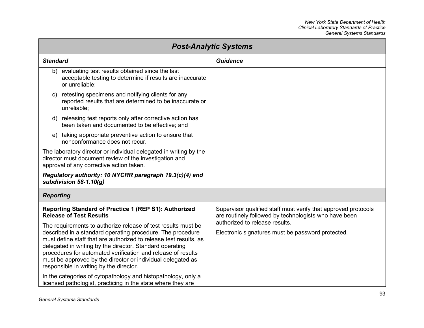<span id="page-99-0"></span>

| <b>Post-Analytic Systems</b>                                                                                                                                                                                                                                                                                                                                                                                                           |                                                                                                                         |
|----------------------------------------------------------------------------------------------------------------------------------------------------------------------------------------------------------------------------------------------------------------------------------------------------------------------------------------------------------------------------------------------------------------------------------------|-------------------------------------------------------------------------------------------------------------------------|
| <b>Standard</b>                                                                                                                                                                                                                                                                                                                                                                                                                        | <b>Guidance</b>                                                                                                         |
| evaluating test results obtained since the last<br>b)<br>acceptable testing to determine if results are inaccurate<br>or unreliable:                                                                                                                                                                                                                                                                                                   |                                                                                                                         |
| retesting specimens and notifying clients for any<br>C)<br>reported results that are determined to be inaccurate or<br>unreliable;                                                                                                                                                                                                                                                                                                     |                                                                                                                         |
| d) releasing test reports only after corrective action has<br>been taken and documented to be effective; and                                                                                                                                                                                                                                                                                                                           |                                                                                                                         |
| taking appropriate preventive action to ensure that<br>e)<br>nonconformance does not recur.                                                                                                                                                                                                                                                                                                                                            |                                                                                                                         |
| The laboratory director or individual delegated in writing by the<br>director must document review of the investigation and<br>approval of any corrective action taken.                                                                                                                                                                                                                                                                |                                                                                                                         |
| Regulatory authority: 10 NYCRR paragraph 19.3(c)(4) and<br>subdivision $58-1.10(q)$                                                                                                                                                                                                                                                                                                                                                    |                                                                                                                         |
| <b>Reporting</b>                                                                                                                                                                                                                                                                                                                                                                                                                       |                                                                                                                         |
| Reporting Standard of Practice 1 (REP S1): Authorized<br><b>Release of Test Results</b>                                                                                                                                                                                                                                                                                                                                                | Supervisor qualified staff must verify that approved protocols<br>are routinely followed by technologists who have been |
| The requirements to authorize release of test results must be<br>described in a standard operating procedure. The procedure<br>must define staff that are authorized to release test results, as<br>delegated in writing by the director. Standard operating<br>procedures for automated verification and release of results<br>must be approved by the director or individual delegated as<br>responsible in writing by the director. | authorized to release results.<br>Electronic signatures must be password protected.                                     |
| In the categories of cytopathology and histopathology, only a<br>licensed pathologist, practicing in the state where they are                                                                                                                                                                                                                                                                                                          |                                                                                                                         |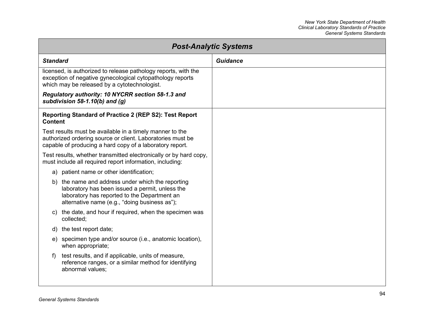| <b>Post-Analytic Systems</b> |                                                                                                                                                                                                       |                 |
|------------------------------|-------------------------------------------------------------------------------------------------------------------------------------------------------------------------------------------------------|-----------------|
| <b>Standard</b>              |                                                                                                                                                                                                       | <b>Guidance</b> |
|                              | licensed, is authorized to release pathology reports, with the<br>exception of negative gynecological cytopathology reports<br>which may be released by a cytotechnologist.                           |                 |
|                              | Regulatory authority: 10 NYCRR section 58-1.3 and<br>subdivision 58-1.10(b) and $(g)$                                                                                                                 |                 |
| <b>Content</b>               | Reporting Standard of Practice 2 (REP S2): Test Report                                                                                                                                                |                 |
|                              | Test results must be available in a timely manner to the<br>authorized ordering source or client. Laboratories must be<br>capable of producing a hard copy of a laboratory report.                    |                 |
|                              | Test results, whether transmitted electronically or by hard copy,<br>must include all required report information, including:                                                                         |                 |
| a)                           | patient name or other identification;                                                                                                                                                                 |                 |
|                              | b) the name and address under which the reporting<br>laboratory has been issued a permit, unless the<br>laboratory has reported to the Department an<br>alternative name (e.g., "doing business as"); |                 |
| C)                           | the date, and hour if required, when the specimen was<br>collected;                                                                                                                                   |                 |
| d)                           | the test report date;                                                                                                                                                                                 |                 |
| e)                           | specimen type and/or source (i.e., anatomic location),<br>when appropriate;                                                                                                                           |                 |
| f)                           | test results, and if applicable, units of measure,<br>reference ranges, or a similar method for identifying<br>abnormal values;                                                                       |                 |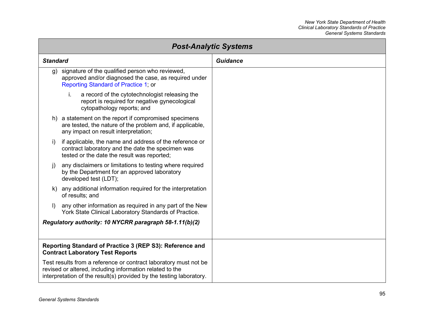| <b>Post-Analytic Systems</b> |                                                                                                                                                                                                     |          |
|------------------------------|-----------------------------------------------------------------------------------------------------------------------------------------------------------------------------------------------------|----------|
| <b>Standard</b>              |                                                                                                                                                                                                     | Guidance |
|                              | g) signature of the qualified person who reviewed,<br>approved and/or diagnosed the case, as required under<br>Reporting Standard of Practice 1; or                                                 |          |
|                              | i.<br>a record of the cytotechnologist releasing the<br>report is required for negative gynecological<br>cytopathology reports; and                                                                 |          |
|                              | h) a statement on the report if compromised specimens<br>are tested, the nature of the problem and, if applicable,<br>any impact on result interpretation;                                          |          |
| i)                           | if applicable, the name and address of the reference or<br>contract laboratory and the date the specimen was<br>tested or the date the result was reported;                                         |          |
| $\vert$ )                    | any disclaimers or limitations to testing where required<br>by the Department for an approved laboratory<br>developed test (LDT);                                                                   |          |
|                              | k) any additional information required for the interpretation<br>of results; and                                                                                                                    |          |
| $\vert$                      | any other information as required in any part of the New<br>York State Clinical Laboratory Standards of Practice.                                                                                   |          |
|                              | Regulatory authority: 10 NYCRR paragraph 58-1.11(b)(2)                                                                                                                                              |          |
|                              | Reporting Standard of Practice 3 (REP S3): Reference and<br><b>Contract Laboratory Test Reports</b>                                                                                                 |          |
|                              | Test results from a reference or contract laboratory must not be<br>revised or altered, including information related to the<br>interpretation of the result(s) provided by the testing laboratory. |          |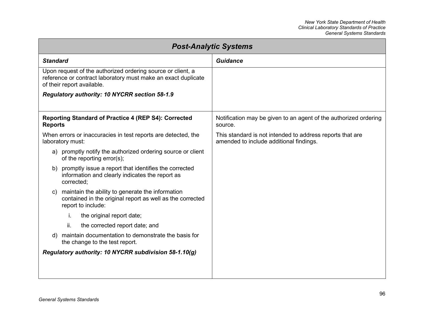| <b>Post-Analytic Systems</b>                                                                                                                               |                                                                                                      |  |
|------------------------------------------------------------------------------------------------------------------------------------------------------------|------------------------------------------------------------------------------------------------------|--|
| <b>Standard</b>                                                                                                                                            | Guidance                                                                                             |  |
| Upon request of the authorized ordering source or client, a<br>reference or contract laboratory must make an exact duplicate<br>of their report available. |                                                                                                      |  |
| Regulatory authority: 10 NYCRR section 58-1.9                                                                                                              |                                                                                                      |  |
| Reporting Standard of Practice 4 (REP S4): Corrected<br><b>Reports</b>                                                                                     | Notification may be given to an agent of the authorized ordering<br>source.                          |  |
| When errors or inaccuracies in test reports are detected, the<br>laboratory must:                                                                          | This standard is not intended to address reports that are<br>amended to include additional findings. |  |
| a) promptly notify the authorized ordering source or client<br>of the reporting error(s);                                                                  |                                                                                                      |  |
| promptly issue a report that identifies the corrected<br>b)<br>information and clearly indicates the report as<br>corrected;                               |                                                                                                      |  |
| maintain the ability to generate the information<br>C)<br>contained in the original report as well as the corrected<br>report to include:                  |                                                                                                      |  |
| İ.<br>the original report date;                                                                                                                            |                                                                                                      |  |
| ii.<br>the corrected report date; and                                                                                                                      |                                                                                                      |  |
| maintain documentation to demonstrate the basis for<br>the change to the test report.                                                                      |                                                                                                      |  |
| Regulatory authority: 10 NYCRR subdivision 58-1.10(g)                                                                                                      |                                                                                                      |  |
|                                                                                                                                                            |                                                                                                      |  |
|                                                                                                                                                            |                                                                                                      |  |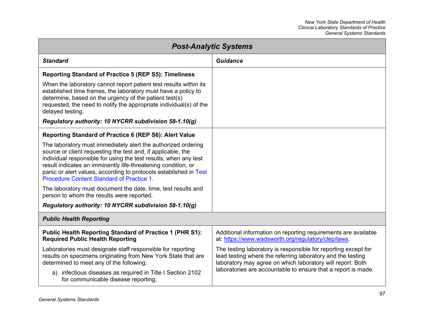| <b>Post-Analytic Systems</b>                                                                                                                                                                                                                                                                                                                                                                |                                                                                                                                                                                             |
|---------------------------------------------------------------------------------------------------------------------------------------------------------------------------------------------------------------------------------------------------------------------------------------------------------------------------------------------------------------------------------------------|---------------------------------------------------------------------------------------------------------------------------------------------------------------------------------------------|
| <b>Standard</b>                                                                                                                                                                                                                                                                                                                                                                             | <b>Guidance</b>                                                                                                                                                                             |
| <b>Reporting Standard of Practice 5 (REP S5): Timeliness</b>                                                                                                                                                                                                                                                                                                                                |                                                                                                                                                                                             |
| When the laboratory cannot report patient test results within its<br>established time frames, the laboratory must have a policy to<br>determine, based on the urgency of the patient test(s)<br>requested, the need to notify the appropriate individual(s) of the<br>delayed testing.                                                                                                      |                                                                                                                                                                                             |
| Regulatory authority: 10 NYCRR subdivision 58-1.10(g)                                                                                                                                                                                                                                                                                                                                       |                                                                                                                                                                                             |
| Reporting Standard of Practice 6 (REP S6): Alert Value                                                                                                                                                                                                                                                                                                                                      |                                                                                                                                                                                             |
| The laboratory must immediately alert the authorized ordering<br>source or client requesting the test and, if applicable, the<br>individual responsible for using the test results, when any test<br>result indicates an imminently life-threatening condition, or<br>panic or alert values, according to protocols established in Test<br><b>Procedure Content Standard of Practice 1.</b> |                                                                                                                                                                                             |
| The laboratory must document the date, time, test results and<br>person to whom the results were reported.                                                                                                                                                                                                                                                                                  |                                                                                                                                                                                             |
| Regulatory authority: 10 NYCRR subdivision 58-1.10(g)                                                                                                                                                                                                                                                                                                                                       |                                                                                                                                                                                             |
| <b>Public Health Reporting</b>                                                                                                                                                                                                                                                                                                                                                              |                                                                                                                                                                                             |
| <b>Public Health Reporting Standard of Practice 1 (PHR S1):</b><br><b>Required Public Health Reporting</b>                                                                                                                                                                                                                                                                                  | Additional information on reporting requirements are available<br>at: https://www.wadsworth.org/regulatory/clep/laws.                                                                       |
| Laboratories must designate staff responsible for reporting<br>results on specimens originating from New York State that are<br>determined to meet any of the following:                                                                                                                                                                                                                    | The testing laboratory is responsible for reporting except for<br>lead testing where the referring laboratory and the testing<br>laboratory may agree on which laboratory will report. Both |
| infectious diseases as required in Title I Section 2102<br>a)<br>for communicable disease reporting;                                                                                                                                                                                                                                                                                        | laboratories are accountable to ensure that a report is made.                                                                                                                               |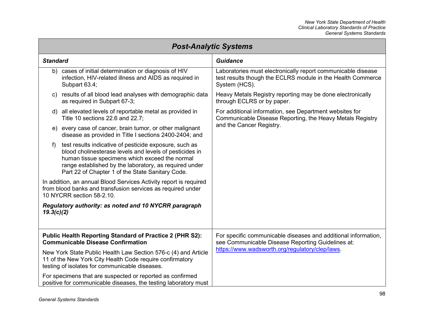| <b>Post-Analytic Systems</b> |                                                                                                                                                                                                                                                                                   |                                                                                                                                              |
|------------------------------|-----------------------------------------------------------------------------------------------------------------------------------------------------------------------------------------------------------------------------------------------------------------------------------|----------------------------------------------------------------------------------------------------------------------------------------------|
| <b>Standard</b>              |                                                                                                                                                                                                                                                                                   | <b>Guidance</b>                                                                                                                              |
| b)                           | cases of initial determination or diagnosis of HIV<br>infection, HIV-related illness and AIDS as required in<br>Subpart 63.4;                                                                                                                                                     | Laboratories must electronically report communicable disease<br>test results though the ECLRS module in the Health Commerce<br>System (HCS). |
| C)                           | results of all blood lead analyses with demographic data<br>as required in Subpart 67-3;                                                                                                                                                                                          | Heavy Metals Registry reporting may be done electronically<br>through ECLRS or by paper.                                                     |
|                              | d) all elevated levels of reportable metal as provided in<br>Title 10 sections 22.6 and 22.7;                                                                                                                                                                                     | For additional information, see Department websites for<br>Communicable Disease Reporting, the Heavy Metals Registry                         |
|                              | e) every case of cancer, brain tumor, or other malignant<br>disease as provided in Title I sections 2400-2404; and                                                                                                                                                                | and the Cancer Registry.                                                                                                                     |
| f)                           | test results indicative of pesticide exposure, such as<br>blood cholinesterase levels and levels of pesticides in<br>human tissue specimens which exceed the normal<br>range established by the laboratory, as required under<br>Part 22 of Chapter 1 of the State Sanitary Code. |                                                                                                                                              |
|                              | In addition, an annual Blood Services Activity report is required<br>from blood banks and transfusion services as required under<br>10 NYCRR section 58-2.10.                                                                                                                     |                                                                                                                                              |
| 19.3(c)(2)                   | Regulatory authority: as noted and 10 NYCRR paragraph                                                                                                                                                                                                                             |                                                                                                                                              |
|                              | <b>Public Health Reporting Standard of Practice 2 (PHR S2):</b><br><b>Communicable Disease Confirmation</b>                                                                                                                                                                       | For specific communicable diseases and additional information,<br>see Communicable Disease Reporting Guidelines at:                          |
|                              | New York State Public Health Law Section 576-c (4) and Article<br>11 of the New York City Health Code require confirmatory<br>testing of isolates for communicable diseases.                                                                                                      | https://www.wadsworth.org/regulatory/clep/laws.                                                                                              |
|                              | For specimens that are suspected or reported as confirmed<br>positive for communicable diseases, the testing laboratory must                                                                                                                                                      |                                                                                                                                              |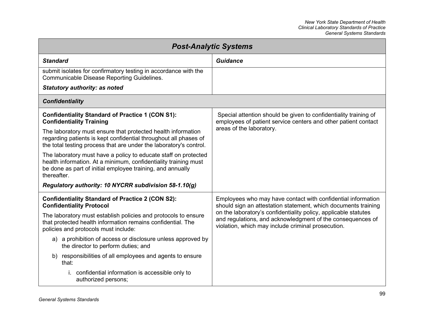| <b>Post-Analytic Systems</b>                                                                                                                                                                                    |                                                                                                                                                                                     |
|-----------------------------------------------------------------------------------------------------------------------------------------------------------------------------------------------------------------|-------------------------------------------------------------------------------------------------------------------------------------------------------------------------------------|
| <b>Standard</b>                                                                                                                                                                                                 | Guidance                                                                                                                                                                            |
| submit isolates for confirmatory testing in accordance with the<br><b>Communicable Disease Reporting Guidelines.</b>                                                                                            |                                                                                                                                                                                     |
| <b>Statutory authority: as noted</b>                                                                                                                                                                            |                                                                                                                                                                                     |
| <b>Confidentiality</b>                                                                                                                                                                                          |                                                                                                                                                                                     |
| <b>Confidentiality Standard of Practice 1 (CON S1):</b><br><b>Confidentiality Training</b>                                                                                                                      | Special attention should be given to confidentiality training of<br>employees of patient service centers and other patient contact                                                  |
| The laboratory must ensure that protected health information<br>regarding patients is kept confidential throughout all phases of<br>the total testing process that are under the laboratory's control.          | areas of the laboratory.                                                                                                                                                            |
| The laboratory must have a policy to educate staff on protected<br>health information. At a minimum, confidentiality training must<br>be done as part of initial employee training, and annually<br>thereafter. |                                                                                                                                                                                     |
| Regulatory authority: 10 NYCRR subdivision 58-1.10(g)                                                                                                                                                           |                                                                                                                                                                                     |
| <b>Confidentiality Standard of Practice 2 (CON S2):</b><br><b>Confidentiality Protocol</b>                                                                                                                      | Employees who may have contact with confidential information<br>should sign an attestation statement, which documents training                                                      |
| The laboratory must establish policies and protocols to ensure<br>that protected health information remains confidential. The<br>policies and protocols must include:                                           | on the laboratory's confidentiality policy, applicable statutes<br>and regulations, and acknowledgment of the consequences of<br>violation, which may include criminal prosecution. |
| a) a prohibition of access or disclosure unless approved by<br>the director to perform duties; and                                                                                                              |                                                                                                                                                                                     |
| b) responsibilities of all employees and agents to ensure<br>that:                                                                                                                                              |                                                                                                                                                                                     |
| i. confidential information is accessible only to<br>authorized persons;                                                                                                                                        |                                                                                                                                                                                     |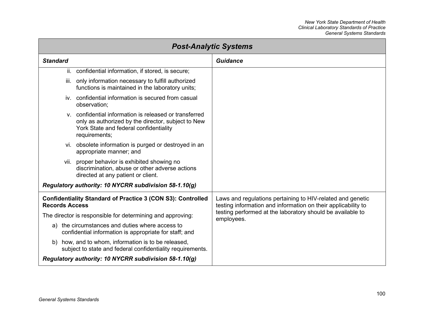| <b>Post-Analytic Systems</b>                                                                                                                                            |                                                                                                                             |
|-------------------------------------------------------------------------------------------------------------------------------------------------------------------------|-----------------------------------------------------------------------------------------------------------------------------|
| <b>Standard</b>                                                                                                                                                         | <b>Guidance</b>                                                                                                             |
| ii. confidential information, if stored, is secure;                                                                                                                     |                                                                                                                             |
| iii. only information necessary to fulfill authorized<br>functions is maintained in the laboratory units;                                                               |                                                                                                                             |
| iv. confidential information is secured from casual<br>observation;                                                                                                     |                                                                                                                             |
| y. confidential information is released or transferred<br>only as authorized by the director, subject to New<br>York State and federal confidentiality<br>requirements; |                                                                                                                             |
| vi. obsolete information is purged or destroyed in an<br>appropriate manner; and                                                                                        |                                                                                                                             |
| vii. proper behavior is exhibited showing no<br>discrimination, abuse or other adverse actions<br>directed at any patient or client.                                    |                                                                                                                             |
| Regulatory authority: 10 NYCRR subdivision 58-1.10(g)                                                                                                                   |                                                                                                                             |
| <b>Confidentiality Standard of Practice 3 (CON S3): Controlled</b><br><b>Records Access</b>                                                                             | Laws and regulations pertaining to HIV-related and genetic<br>testing information and information on their applicability to |
| The director is responsible for determining and approving:                                                                                                              | testing performed at the laboratory should be available to<br>employees.                                                    |
| a) the circumstances and duties where access to<br>confidential information is appropriate for staff; and                                                               |                                                                                                                             |
| b) how, and to whom, information is to be released,<br>subject to state and federal confidentiality requirements.                                                       |                                                                                                                             |
| Regulatory authority: 10 NYCRR subdivision 58-1.10(g)                                                                                                                   |                                                                                                                             |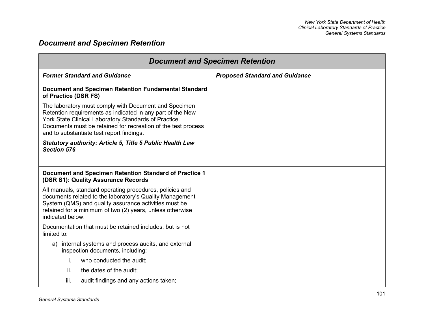## *Document and Specimen Retention*

| <b>Document and Specimen Retention</b>                                                                                                                                                                                                                                                     |                                       |  |
|--------------------------------------------------------------------------------------------------------------------------------------------------------------------------------------------------------------------------------------------------------------------------------------------|---------------------------------------|--|
| <b>Former Standard and Guidance</b>                                                                                                                                                                                                                                                        | <b>Proposed Standard and Guidance</b> |  |
| Document and Specimen Retention Fundamental Standard<br>of Practice (DSR FS)                                                                                                                                                                                                               |                                       |  |
| The laboratory must comply with Document and Specimen<br>Retention requirements as indicated in any part of the New<br>York State Clinical Laboratory Standards of Practice.<br>Documents must be retained for recreation of the test process<br>and to substantiate test report findings. |                                       |  |
| Statutory authority: Article 5, Title 5 Public Health Law<br><b>Section 576</b>                                                                                                                                                                                                            |                                       |  |
| Document and Specimen Retention Standard of Practice 1<br>(DSR S1): Quality Assurance Records                                                                                                                                                                                              |                                       |  |
| All manuals, standard operating procedures, policies and<br>documents related to the laboratory's Quality Management<br>System (QMS) and quality assurance activities must be<br>retained for a minimum of two (2) years, unless otherwise<br>indicated below.                             |                                       |  |
| Documentation that must be retained includes, but is not<br>limited to:                                                                                                                                                                                                                    |                                       |  |
| internal systems and process audits, and external<br>a)<br>inspection documents, including:                                                                                                                                                                                                |                                       |  |
| i.<br>who conducted the audit;                                                                                                                                                                                                                                                             |                                       |  |
| ii.<br>the dates of the audit;                                                                                                                                                                                                                                                             |                                       |  |
| iii.<br>audit findings and any actions taken;                                                                                                                                                                                                                                              |                                       |  |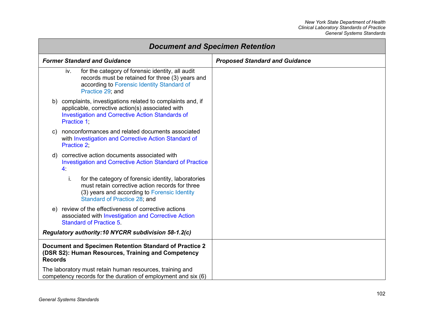| <b>Document and Specimen Retention</b>                                                                                                                                                          |                                       |
|-------------------------------------------------------------------------------------------------------------------------------------------------------------------------------------------------|---------------------------------------|
| <b>Former Standard and Guidance</b>                                                                                                                                                             | <b>Proposed Standard and Guidance</b> |
| for the category of forensic identity, all audit<br>iv.<br>records must be retained for three (3) years and<br>according to Forensic Identity Standard of<br>Practice 29; and                   |                                       |
| b) complaints, investigations related to complaints and, if<br>applicable, corrective action(s) associated with<br><b>Investigation and Corrective Action Standards of</b><br><b>Practice 1</b> |                                       |
| nonconformances and related documents associated<br>C)<br>with Investigation and Corrective Action Standard of<br>Practice 2,                                                                   |                                       |
| d) corrective action documents associated with<br><b>Investigation and Corrective Action Standard of Practice</b><br>$\overline{4}$ .                                                           |                                       |
| for the category of forensic identity, laboratories<br>i.<br>must retain corrective action records for three<br>(3) years and according to Forensic Identity<br>Standard of Practice 28; and    |                                       |
| review of the effectiveness of corrective actions<br>e)<br>associated with Investigation and Corrective Action<br><b>Standard of Practice 5.</b>                                                |                                       |
| Regulatory authority:10 NYCRR subdivision 58-1.2(c)                                                                                                                                             |                                       |
| Document and Specimen Retention Standard of Practice 2<br>(DSR S2): Human Resources, Training and Competency<br><b>Records</b>                                                                  |                                       |
| The laboratory must retain human resources, training and<br>competency records for the duration of employment and six (6)                                                                       |                                       |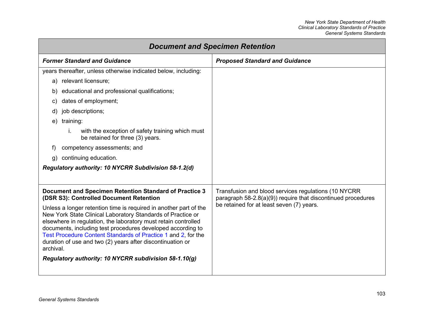| <b>Document and Specimen Retention</b>                                                                                                                                                                                                                                                                                                                                                                        |                                                                                                                      |
|---------------------------------------------------------------------------------------------------------------------------------------------------------------------------------------------------------------------------------------------------------------------------------------------------------------------------------------------------------------------------------------------------------------|----------------------------------------------------------------------------------------------------------------------|
| <b>Former Standard and Guidance</b>                                                                                                                                                                                                                                                                                                                                                                           | <b>Proposed Standard and Guidance</b>                                                                                |
| years thereafter, unless otherwise indicated below, including:                                                                                                                                                                                                                                                                                                                                                |                                                                                                                      |
| a) relevant licensure;                                                                                                                                                                                                                                                                                                                                                                                        |                                                                                                                      |
| educational and professional qualifications;<br>b)                                                                                                                                                                                                                                                                                                                                                            |                                                                                                                      |
| dates of employment;<br>C)                                                                                                                                                                                                                                                                                                                                                                                    |                                                                                                                      |
| job descriptions;<br>d)                                                                                                                                                                                                                                                                                                                                                                                       |                                                                                                                      |
| training:<br>e)                                                                                                                                                                                                                                                                                                                                                                                               |                                                                                                                      |
| with the exception of safety training which must<br>i.<br>be retained for three (3) years.                                                                                                                                                                                                                                                                                                                    |                                                                                                                      |
| competency assessments; and<br>f)                                                                                                                                                                                                                                                                                                                                                                             |                                                                                                                      |
| continuing education.<br>q)                                                                                                                                                                                                                                                                                                                                                                                   |                                                                                                                      |
| Regulatory authority: 10 NYCRR Subdivision 58-1.2(d)                                                                                                                                                                                                                                                                                                                                                          |                                                                                                                      |
|                                                                                                                                                                                                                                                                                                                                                                                                               |                                                                                                                      |
| Document and Specimen Retention Standard of Practice 3<br>(DSR S3): Controlled Document Retention                                                                                                                                                                                                                                                                                                             | Transfusion and blood services regulations (10 NYCRR<br>paragraph 58-2.8(a)(9)) require that discontinued procedures |
| Unless a longer retention time is required in another part of the<br>New York State Clinical Laboratory Standards of Practice or<br>elsewhere in regulation, the laboratory must retain controlled<br>documents, including test procedures developed according to<br>Test Procedure Content Standards of Practice 1 and 2, for the<br>duration of use and two (2) years after discontinuation or<br>archival. | be retained for at least seven (7) years.                                                                            |
| Regulatory authority: 10 NYCRR subdivision 58-1.10(g)                                                                                                                                                                                                                                                                                                                                                         |                                                                                                                      |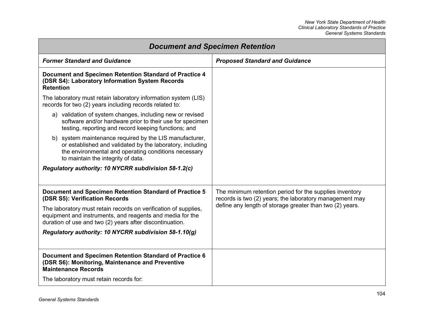| <b>Document and Specimen Retention</b>                                                                                                                                                                             |                                                                                                                    |
|--------------------------------------------------------------------------------------------------------------------------------------------------------------------------------------------------------------------|--------------------------------------------------------------------------------------------------------------------|
| <b>Former Standard and Guidance</b>                                                                                                                                                                                | <b>Proposed Standard and Guidance</b>                                                                              |
| Document and Specimen Retention Standard of Practice 4<br>(DSR S4): Laboratory Information System Records<br><b>Retention</b>                                                                                      |                                                                                                                    |
| The laboratory must retain laboratory information system (LIS)<br>records for two (2) years including records related to:                                                                                          |                                                                                                                    |
| a) validation of system changes, including new or revised<br>software and/or hardware prior to their use for specimen<br>testing, reporting and record keeping functions; and                                      |                                                                                                                    |
| b) system maintenance required by the LIS manufacturer,<br>or established and validated by the laboratory, including<br>the environmental and operating conditions necessary<br>to maintain the integrity of data. |                                                                                                                    |
| Regulatory authority: 10 NYCRR subdivision 58-1.2(c)                                                                                                                                                               |                                                                                                                    |
| Document and Specimen Retention Standard of Practice 5<br>(DSR S5): Verification Records                                                                                                                           | The minimum retention period for the supplies inventory<br>records is two (2) years; the laboratory management may |
| The laboratory must retain records on verification of supplies,<br>equipment and instruments, and reagents and media for the<br>duration of use and two (2) years after discontinuation.                           | define any length of storage greater than two (2) years.                                                           |
| Regulatory authority: 10 NYCRR subdivision 58-1.10(g)                                                                                                                                                              |                                                                                                                    |
| Document and Specimen Retention Standard of Practice 6<br>(DSR S6): Monitoring, Maintenance and Preventive<br><b>Maintenance Records</b>                                                                           |                                                                                                                    |
| The laboratory must retain records for:                                                                                                                                                                            |                                                                                                                    |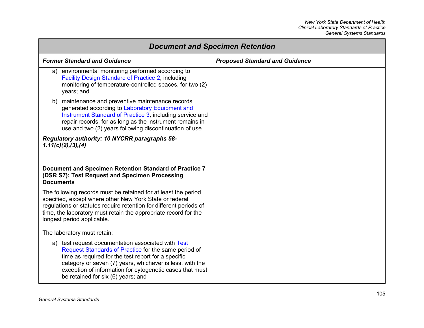| <b>Document and Specimen Retention</b>                                                                                                                                                                                                                                                                                          |                                       |
|---------------------------------------------------------------------------------------------------------------------------------------------------------------------------------------------------------------------------------------------------------------------------------------------------------------------------------|---------------------------------------|
| <b>Former Standard and Guidance</b>                                                                                                                                                                                                                                                                                             | <b>Proposed Standard and Guidance</b> |
| environmental monitoring performed according to<br>a)<br><b>Facility Design Standard of Practice 2, including</b><br>monitoring of temperature-controlled spaces, for two (2)<br>years; and                                                                                                                                     |                                       |
| maintenance and preventive maintenance records<br>b)<br>generated according to Laboratory Equipment and<br>Instrument Standard of Practice 3, including service and<br>repair records, for as long as the instrument remains in<br>use and two (2) years following discontinuation of use.                                      |                                       |
| Regulatory authority: 10 NYCRR paragraphs 58-<br>1.11(c)(2), (3), (4)                                                                                                                                                                                                                                                           |                                       |
| Document and Specimen Retention Standard of Practice 7<br>(DSR S7): Test Request and Specimen Processing<br><b>Documents</b>                                                                                                                                                                                                    |                                       |
| The following records must be retained for at least the period<br>specified, except where other New York State or federal<br>regulations or statutes require retention for different periods of<br>time, the laboratory must retain the appropriate record for the<br>longest period applicable.                                |                                       |
| The laboratory must retain:                                                                                                                                                                                                                                                                                                     |                                       |
| a) test request documentation associated with Test<br>Request Standards of Practice for the same period of<br>time as required for the test report for a specific<br>category or seven (7) years, whichever is less, with the<br>exception of information for cytogenetic cases that must<br>be retained for six (6) years; and |                                       |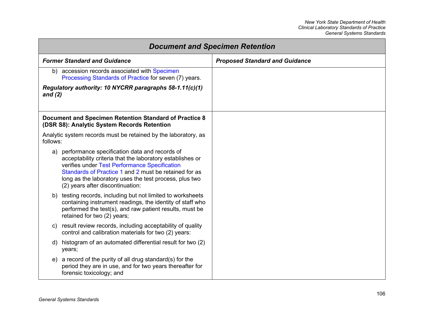<span id="page-112-0"></span>

| <b>Document and Specimen Retention</b> |                                                                                                                                                                                                                                                                                                                       |                                       |
|----------------------------------------|-----------------------------------------------------------------------------------------------------------------------------------------------------------------------------------------------------------------------------------------------------------------------------------------------------------------------|---------------------------------------|
|                                        | <b>Former Standard and Guidance</b>                                                                                                                                                                                                                                                                                   | <b>Proposed Standard and Guidance</b> |
|                                        | b) accession records associated with Specimen<br>Processing Standards of Practice for seven (7) years.                                                                                                                                                                                                                |                                       |
| and $(2)$                              | Regulatory authority: 10 NYCRR paragraphs 58-1.11(c)(1)                                                                                                                                                                                                                                                               |                                       |
|                                        | Document and Specimen Retention Standard of Practice 8<br>(DSR S8): Analytic System Records Retention                                                                                                                                                                                                                 |                                       |
| follows:                               | Analytic system records must be retained by the laboratory, as                                                                                                                                                                                                                                                        |                                       |
|                                        | a) performance specification data and records of<br>acceptability criteria that the laboratory establishes or<br>verifies under Test Performance Specification<br>Standards of Practice 1 and 2 must be retained for as<br>long as the laboratory uses the test process, plus two<br>(2) years after discontinuation: |                                       |
|                                        | b) testing records, including but not limited to worksheets<br>containing instrument readings, the identity of staff who<br>performed the test(s), and raw patient results, must be<br>retained for two (2) years;                                                                                                    |                                       |
| C)                                     | result review records, including acceptability of quality<br>control and calibration materials for two (2) years:                                                                                                                                                                                                     |                                       |
| d)<br>years;                           | histogram of an automated differential result for two (2)                                                                                                                                                                                                                                                             |                                       |
|                                        | e) a record of the purity of all drug standard(s) for the<br>period they are in use, and for two years thereafter for<br>forensic toxicology; and                                                                                                                                                                     |                                       |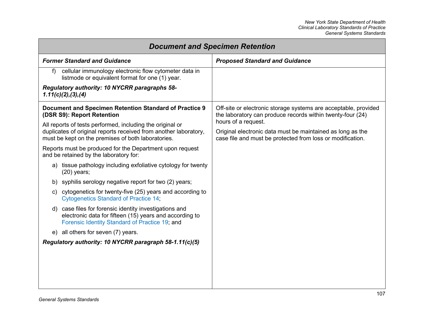| <b>Document and Specimen Retention</b>                                                                                                                              |                                                                                                                               |
|---------------------------------------------------------------------------------------------------------------------------------------------------------------------|-------------------------------------------------------------------------------------------------------------------------------|
| <b>Former Standard and Guidance</b>                                                                                                                                 | <b>Proposed Standard and Guidance</b>                                                                                         |
| cellular immunology electronic flow cytometer data in<br>f<br>listmode or equivalent format for one (1) year.                                                       |                                                                                                                               |
| Regulatory authority: 10 NYCRR paragraphs 58-<br>1.11(c)(2), (3), (4)                                                                                               |                                                                                                                               |
| Document and Specimen Retention Standard of Practice 9<br>(DSR S9): Report Retention                                                                                | Off-site or electronic storage systems are acceptable, provided<br>the laboratory can produce records within twenty-four (24) |
| All reports of tests performed, including the original or                                                                                                           | hours of a request.                                                                                                           |
| duplicates of original reports received from another laboratory,<br>must be kept on the premises of both laboratories.                                              | Original electronic data must be maintained as long as the<br>case file and must be protected from loss or modification.      |
| Reports must be produced for the Department upon request<br>and be retained by the laboratory for:                                                                  |                                                                                                                               |
| a) tissue pathology including exfoliative cytology for twenty<br>$(20)$ years;                                                                                      |                                                                                                                               |
| b) syphilis serology negative report for two (2) years;                                                                                                             |                                                                                                                               |
| c) cytogenetics for twenty-five (25) years and according to<br><b>Cytogenetics Standard of Practice 14;</b>                                                         |                                                                                                                               |
| d) case files for forensic identity investigations and<br>electronic data for fifteen (15) years and according to<br>Forensic Identity Standard of Practice 19; and |                                                                                                                               |
| all others for seven (7) years.<br>e)                                                                                                                               |                                                                                                                               |
| Regulatory authority: 10 NYCRR paragraph 58-1.11(c)(5)                                                                                                              |                                                                                                                               |
|                                                                                                                                                                     |                                                                                                                               |
|                                                                                                                                                                     |                                                                                                                               |
|                                                                                                                                                                     |                                                                                                                               |
|                                                                                                                                                                     |                                                                                                                               |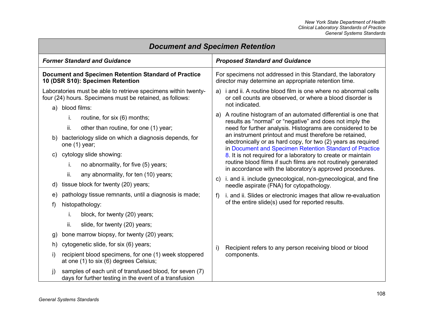| <b>Document and Specimen Retention</b>                                                                                                           |                                                                                                                                                                                              |  |
|--------------------------------------------------------------------------------------------------------------------------------------------------|----------------------------------------------------------------------------------------------------------------------------------------------------------------------------------------------|--|
| <b>Former Standard and Guidance</b>                                                                                                              | <b>Proposed Standard and Guidance</b>                                                                                                                                                        |  |
| <b>Document and Specimen Retention Standard of Practice</b><br>10 (DSR S10): Specimen Retention                                                  | For specimens not addressed in this Standard, the laboratory<br>director may determine an appropriate retention time.                                                                        |  |
| Laboratories must be able to retrieve specimens within twenty-<br>four (24) hours. Specimens must be retained, as follows:<br>blood films:<br>a) | a) i and ii. A routine blood film is one where no abnormal cells<br>or cell counts are observed, or where a blood disorder is<br>not indicated.                                              |  |
| i.<br>routine, for six (6) months;<br>ii.<br>other than routine, for one (1) year;                                                               | A routine histogram of an automated differential is one that<br>a)<br>results as "normal" or "negative" and does not imply the<br>need for further analysis. Histograms are considered to be |  |
| bacteriology slide on which a diagnosis depends, for<br>one (1) year;                                                                            | an instrument printout and must therefore be retained,<br>electronically or as hard copy, for two (2) years as required<br>in Document and Specimen Retention Standard of Practice           |  |
| cytology slide showing:<br>C)<br>no abnormality, for five (5) years;<br>i.                                                                       | 8. It is not required for a laboratory to create or maintain<br>routine blood films if such films are not routinely generated<br>in accordance with the laboratory's approved procedures.    |  |
| ii.<br>any abnormality, for ten (10) years;<br>tissue block for twenty (20) years;<br>d)                                                         | i. and ii. include gynecological, non-gynecological, and fine<br>C)<br>needle aspirate (FNA) for cytopathology.                                                                              |  |
| pathology tissue remnants, until a diagnosis is made;<br>e)<br>histopathology:<br>f)                                                             | i. and ii. Slides or electronic images that allow re-evaluation<br>f)<br>of the entire slide(s) used for reported results.                                                                   |  |
| i.<br>block, for twenty (20) years;<br>ii.<br>slide, for twenty (20) years;                                                                      |                                                                                                                                                                                              |  |
| bone marrow biopsy, for twenty (20) years;<br>g)                                                                                                 |                                                                                                                                                                                              |  |
| cytogenetic slide, for six (6) years;<br>h)                                                                                                      | i)<br>Recipient refers to any person receiving blood or blood                                                                                                                                |  |
| recipient blood specimens, for one (1) week stoppered<br>I)<br>at one (1) to six (6) degrees Celsius;                                            | components.                                                                                                                                                                                  |  |
| samples of each unit of transfused blood, for seven (7)<br>j)<br>days for further testing in the event of a transfusion                          |                                                                                                                                                                                              |  |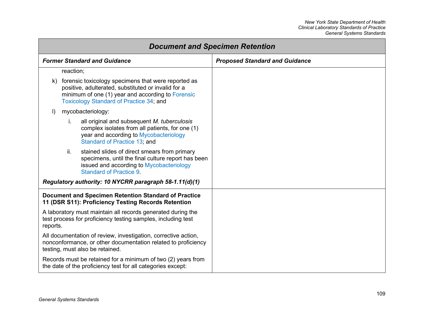<span id="page-115-0"></span>

| <b>Document and Specimen Retention</b>                                                                                                                                                                                  |                                       |
|-------------------------------------------------------------------------------------------------------------------------------------------------------------------------------------------------------------------------|---------------------------------------|
| <b>Former Standard and Guidance</b>                                                                                                                                                                                     | <b>Proposed Standard and Guidance</b> |
| reaction;                                                                                                                                                                                                               |                                       |
| forensic toxicology specimens that were reported as<br>k)<br>positive, adulterated, substituted or invalid for a<br>minimum of one (1) year and according to Forensic<br><b>Toxicology Standard of Practice 34; and</b> |                                       |
| mycobacteriology:<br>$\vert$                                                                                                                                                                                            |                                       |
| all original and subsequent M. tuberculosis<br>i.<br>complex isolates from all patients, for one (1)<br>year and according to Mycobacteriology<br>Standard of Practice 13; and                                          |                                       |
| ii.<br>stained slides of direct smears from primary<br>specimens, until the final culture report has been<br>issued and according to Mycobacteriology<br><b>Standard of Practice 9.</b>                                 |                                       |
| Regulatory authority: 10 NYCRR paragraph 58-1.11(d)(1)                                                                                                                                                                  |                                       |
| <b>Document and Specimen Retention Standard of Practice</b><br>11 (DSR S11): Proficiency Testing Records Retention                                                                                                      |                                       |
| A laboratory must maintain all records generated during the<br>test process for proficiency testing samples, including test<br>reports.                                                                                 |                                       |
| All documentation of review, investigation, corrective action,<br>nonconformance, or other documentation related to proficiency<br>testing, must also be retained.                                                      |                                       |
| Records must be retained for a minimum of two (2) years from<br>the date of the proficiency test for all categories except:                                                                                             |                                       |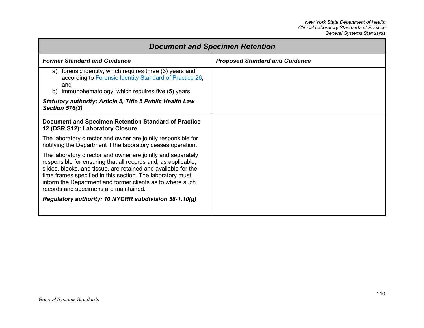| <b>Document and Specimen Retention</b>                                                                                                                                                                                                                                                                                                                                                                                       |                                       |
|------------------------------------------------------------------------------------------------------------------------------------------------------------------------------------------------------------------------------------------------------------------------------------------------------------------------------------------------------------------------------------------------------------------------------|---------------------------------------|
| <b>Former Standard and Guidance</b>                                                                                                                                                                                                                                                                                                                                                                                          | <b>Proposed Standard and Guidance</b> |
| forensic identity, which requires three (3) years and<br>a)<br>according to Forensic Identity Standard of Practice 26;<br>and<br>b) immunohematology, which requires five (5) years.                                                                                                                                                                                                                                         |                                       |
| <b>Statutory authority: Article 5, Title 5 Public Health Law</b><br><b>Section 576(3)</b>                                                                                                                                                                                                                                                                                                                                    |                                       |
| Document and Specimen Retention Standard of Practice<br>12 (DSR S12): Laboratory Closure                                                                                                                                                                                                                                                                                                                                     |                                       |
| The laboratory director and owner are jointly responsible for<br>notifying the Department if the laboratory ceases operation.                                                                                                                                                                                                                                                                                                |                                       |
| The laboratory director and owner are jointly and separately<br>responsible for ensuring that all records and, as applicable,<br>slides, blocks, and tissue, are retained and available for the<br>time frames specified in this section. The laboratory must<br>inform the Department and former clients as to where such<br>records and specimens are maintained.<br>Regulatory authority: 10 NYCRR subdivision 58-1.10(g) |                                       |
|                                                                                                                                                                                                                                                                                                                                                                                                                              |                                       |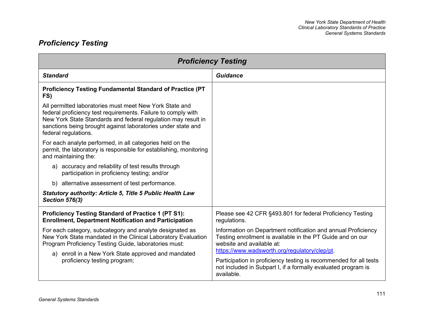## *Proficiency Testing*

| <b>Proficiency Testing</b>                                                                                                                                                                                                                                                        |                                                                                                                                                                                                   |
|-----------------------------------------------------------------------------------------------------------------------------------------------------------------------------------------------------------------------------------------------------------------------------------|---------------------------------------------------------------------------------------------------------------------------------------------------------------------------------------------------|
| <b>Standard</b>                                                                                                                                                                                                                                                                   | <b>Guidance</b>                                                                                                                                                                                   |
| <b>Proficiency Testing Fundamental Standard of Practice (PT</b><br>FS)                                                                                                                                                                                                            |                                                                                                                                                                                                   |
| All permitted laboratories must meet New York State and<br>federal proficiency test requirements. Failure to comply with<br>New York State Standards and federal regulation may result in<br>sanctions being brought against laboratories under state and<br>federal regulations. |                                                                                                                                                                                                   |
| For each analyte performed, in all categories held on the<br>permit, the laboratory is responsible for establishing, monitoring<br>and maintaining the:                                                                                                                           |                                                                                                                                                                                                   |
| a) accuracy and reliability of test results through<br>participation in proficiency testing; and/or                                                                                                                                                                               |                                                                                                                                                                                                   |
| b) alternative assessment of test performance.                                                                                                                                                                                                                                    |                                                                                                                                                                                                   |
| <b>Statutory authority: Article 5, Title 5 Public Health Law</b><br><b>Section 576(3)</b>                                                                                                                                                                                         |                                                                                                                                                                                                   |
| <b>Proficiency Testing Standard of Practice 1 (PT S1):</b><br><b>Enrollment, Department Notification and Participation</b>                                                                                                                                                        | Please see 42 CFR §493.801 for federal Proficiency Testing<br>regulations.                                                                                                                        |
| For each category, subcategory and analyte designated as<br>New York State mandated in the Clinical Laboratory Evaluation<br>Program Proficiency Testing Guide, laboratories must:                                                                                                | Information on Department notification and annual Proficiency<br>Testing enrollment is available in the PT Guide and on our<br>website and available at:                                          |
| a) enroll in a New York State approved and mandated<br>proficiency testing program;                                                                                                                                                                                               | https://www.wadsworth.org/regulatory/clep/pt.<br>Participation in proficiency testing is recommended for all tests<br>not included in Subpart I, if a formally evaluated program is<br>available. |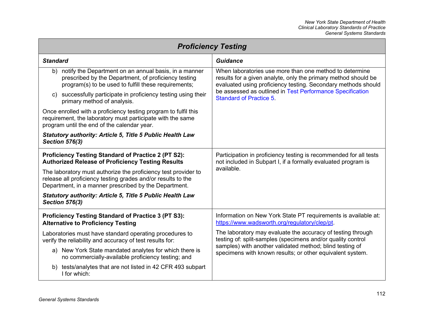<span id="page-118-0"></span>

| <b>Proficiency Testing</b>                                                                                                                                                              |                                                                                                                                                                                            |  |
|-----------------------------------------------------------------------------------------------------------------------------------------------------------------------------------------|--------------------------------------------------------------------------------------------------------------------------------------------------------------------------------------------|--|
| <b>Standard</b>                                                                                                                                                                         | <b>Guidance</b>                                                                                                                                                                            |  |
| notify the Department on an annual basis, in a manner<br>b)<br>prescribed by the Department, of proficiency testing<br>program(s) to be used to fulfill these requirements;             | When laboratories use more than one method to determine<br>results for a given analyte, only the primary method should be<br>evaluated using proficiency testing. Secondary methods should |  |
| c) successfully participate in proficiency testing using their<br>primary method of analysis.                                                                                           | be assessed as outlined in Test Performance Specification<br><b>Standard of Practice 5.</b>                                                                                                |  |
| Once enrolled with a proficiency testing program to fulfil this<br>requirement, the laboratory must participate with the same<br>program until the end of the calendar year.            |                                                                                                                                                                                            |  |
| <b>Statutory authority: Article 5, Title 5 Public Health Law</b><br><b>Section 576(3)</b>                                                                                               |                                                                                                                                                                                            |  |
| <b>Proficiency Testing Standard of Practice 2 (PT S2):</b><br><b>Authorized Release of Proficiency Testing Results</b>                                                                  | Participation in proficiency testing is recommended for all tests<br>not included in Subpart I, if a formally evaluated program is                                                         |  |
| The laboratory must authorize the proficiency test provider to<br>release all proficiency testing grades and/or results to the<br>Department, in a manner prescribed by the Department. | available.                                                                                                                                                                                 |  |
| <b>Statutory authority: Article 5, Title 5 Public Health Law</b><br><b>Section 576(3)</b>                                                                                               |                                                                                                                                                                                            |  |
| <b>Proficiency Testing Standard of Practice 3 (PT S3):</b><br><b>Alternative to Proficiency Testing</b>                                                                                 | Information on New York State PT requirements is available at:<br>https://www.wadsworth.org/regulatory/clep/pt.                                                                            |  |
| Laboratories must have standard operating procedures to<br>verify the reliability and accuracy of test results for:                                                                     | The laboratory may evaluate the accuracy of testing through<br>testing of: split-samples (specimens and/or quality control                                                                 |  |
| a) New York State mandated analytes for which there is<br>no commercially-available proficiency testing; and                                                                            | samples) with another validated method; blind testing of<br>specimens with known results; or other equivalent system.                                                                      |  |
| b) tests/analytes that are not listed in 42 CFR 493 subpart<br>I for which:                                                                                                             |                                                                                                                                                                                            |  |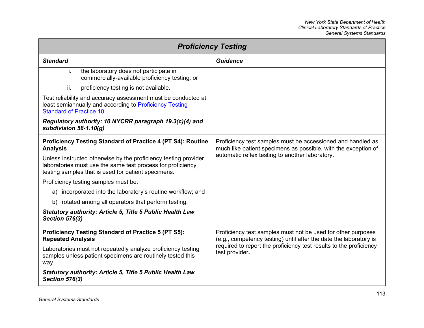| <b>Proficiency Testing</b>                                                                                                                                                             |                                                                                                                                                                                                                           |
|----------------------------------------------------------------------------------------------------------------------------------------------------------------------------------------|---------------------------------------------------------------------------------------------------------------------------------------------------------------------------------------------------------------------------|
| <b>Standard</b>                                                                                                                                                                        | Guidance                                                                                                                                                                                                                  |
| the laboratory does not participate in<br>i.<br>commercially-available proficiency testing; or                                                                                         |                                                                                                                                                                                                                           |
| ii.<br>proficiency testing is not available.                                                                                                                                           |                                                                                                                                                                                                                           |
| Test reliability and accuracy assessment must be conducted at<br>least semiannually and according to Proficiency Testing<br><b>Standard of Practice 10</b>                             |                                                                                                                                                                                                                           |
| Regulatory authority: 10 NYCRR paragraph 19.3(c)(4) and<br>subdivision $58-1.10(q)$                                                                                                    |                                                                                                                                                                                                                           |
| <b>Proficiency Testing Standard of Practice 4 (PT S4): Routine</b><br><b>Analysis</b>                                                                                                  | Proficiency test samples must be accessioned and handled as<br>much like patient specimens as possible, with the exception of                                                                                             |
| Unless instructed otherwise by the proficiency testing provider,<br>laboratories must use the same test process for proficiency<br>testing samples that is used for patient specimens. | automatic reflex testing to another laboratory.                                                                                                                                                                           |
| Proficiency testing samples must be:                                                                                                                                                   |                                                                                                                                                                                                                           |
| incorporated into the laboratory's routine workflow; and<br>a)                                                                                                                         |                                                                                                                                                                                                                           |
| b) rotated among all operators that perform testing.                                                                                                                                   |                                                                                                                                                                                                                           |
| <b>Statutory authority: Article 5, Title 5 Public Health Law</b><br><b>Section 576(3)</b>                                                                                              |                                                                                                                                                                                                                           |
| <b>Proficiency Testing Standard of Practice 5 (PT S5):</b><br><b>Repeated Analysis</b>                                                                                                 | Proficiency test samples must not be used for other purposes<br>(e.g., competency testing) until after the date the laboratory is<br>required to report the proficiency test results to the proficiency<br>test provider. |
| Laboratories must not repeatedly analyze proficiency testing<br>samples unless patient specimens are routinely tested this<br>way.                                                     |                                                                                                                                                                                                                           |
| <b>Statutory authority: Article 5, Title 5 Public Health Law</b><br><b>Section 576(3)</b>                                                                                              |                                                                                                                                                                                                                           |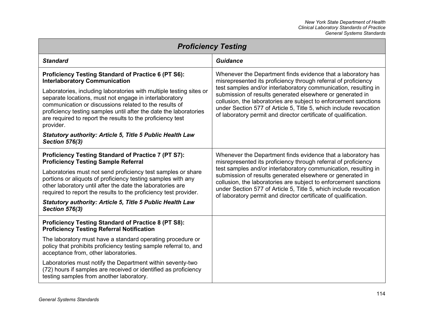| <b>Proficiency Testing</b>                                                                                                                                                                                                                                                                                                              |                                                                                                                                                                                                                                                                                                                                          |
|-----------------------------------------------------------------------------------------------------------------------------------------------------------------------------------------------------------------------------------------------------------------------------------------------------------------------------------------|------------------------------------------------------------------------------------------------------------------------------------------------------------------------------------------------------------------------------------------------------------------------------------------------------------------------------------------|
| <b>Standard</b>                                                                                                                                                                                                                                                                                                                         | Guidance                                                                                                                                                                                                                                                                                                                                 |
| <b>Proficiency Testing Standard of Practice 6 (PT S6):</b><br><b>Interlaboratory Communication</b>                                                                                                                                                                                                                                      | Whenever the Department finds evidence that a laboratory has<br>misrepresented its proficiency through referral of proficiency                                                                                                                                                                                                           |
| Laboratories, including laboratories with multiple testing sites or<br>separate locations, must not engage in interlaboratory<br>communication or discussions related to the results of<br>proficiency testing samples until after the date the laboratories<br>are required to report the results to the proficiency test<br>provider. | test samples and/or interlaboratory communication, resulting in<br>submission of results generated elsewhere or generated in<br>collusion, the laboratories are subject to enforcement sanctions<br>under Section 577 of Article 5, Title 5, which include revocation<br>of laboratory permit and director certificate of qualification. |
| <b>Statutory authority: Article 5, Title 5 Public Health Law</b><br><b>Section 576(3)</b>                                                                                                                                                                                                                                               |                                                                                                                                                                                                                                                                                                                                          |
| <b>Proficiency Testing Standard of Practice 7 (PT S7):</b><br><b>Proficiency Testing Sample Referral</b>                                                                                                                                                                                                                                | Whenever the Department finds evidence that a laboratory has<br>misrepresented its proficiency through referral of proficiency                                                                                                                                                                                                           |
| Laboratories must not send proficiency test samples or share<br>portions or aliquots of proficiency testing samples with any<br>other laboratory until after the date the laboratories are<br>required to report the results to the proficiency test provider.                                                                          | test samples and/or interlaboratory communication, resulting in<br>submission of results generated elsewhere or generated in<br>collusion, the laboratories are subject to enforcement sanctions<br>under Section 577 of Article 5, Title 5, which include revocation<br>of laboratory permit and director certificate of qualification. |
| Statutory authority: Article 5, Title 5 Public Health Law<br><b>Section 576(3)</b>                                                                                                                                                                                                                                                      |                                                                                                                                                                                                                                                                                                                                          |
| <b>Proficiency Testing Standard of Practice 8 (PT S8):</b><br><b>Proficiency Testing Referral Notification</b>                                                                                                                                                                                                                          |                                                                                                                                                                                                                                                                                                                                          |
| The laboratory must have a standard operating procedure or<br>policy that prohibits proficiency testing sample referral to, and<br>acceptance from, other laboratories.                                                                                                                                                                 |                                                                                                                                                                                                                                                                                                                                          |
| Laboratories must notify the Department within seventy-two<br>(72) hours if samples are received or identified as proficiency<br>testing samples from another laboratory.                                                                                                                                                               |                                                                                                                                                                                                                                                                                                                                          |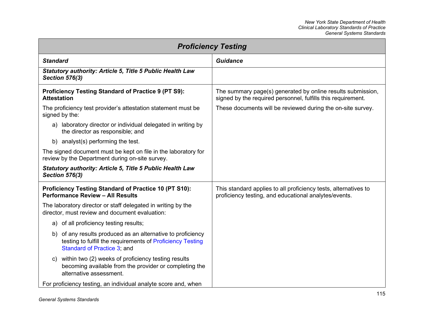<span id="page-121-0"></span>

| <b>Proficiency Testing</b>                                                                                                                                  |                                                                                                                             |
|-------------------------------------------------------------------------------------------------------------------------------------------------------------|-----------------------------------------------------------------------------------------------------------------------------|
| <b>Standard</b>                                                                                                                                             | Guidance                                                                                                                    |
| <b>Statutory authority: Article 5, Title 5 Public Health Law</b><br><b>Section 576(3)</b>                                                                   |                                                                                                                             |
| <b>Proficiency Testing Standard of Practice 9 (PT S9):</b><br><b>Attestation</b>                                                                            | The summary page(s) generated by online results submission,<br>signed by the required personnel, fulfills this requirement. |
| The proficiency test provider's attestation statement must be<br>signed by the:                                                                             | These documents will be reviewed during the on-site survey.                                                                 |
| a) laboratory director or individual delegated in writing by<br>the director as responsible; and                                                            |                                                                                                                             |
| b) analyst(s) performing the test.                                                                                                                          |                                                                                                                             |
| The signed document must be kept on file in the laboratory for<br>review by the Department during on-site survey.                                           |                                                                                                                             |
| <b>Statutory authority: Article 5, Title 5 Public Health Law</b><br><b>Section 576(3)</b>                                                                   |                                                                                                                             |
| <b>Proficiency Testing Standard of Practice 10 (PT S10):</b><br><b>Performance Review - All Results</b>                                                     | This standard applies to all proficiency tests, alternatives to<br>proficiency testing, and educational analytes/events.    |
| The laboratory director or staff delegated in writing by the<br>director, must review and document evaluation:                                              |                                                                                                                             |
| a) of all proficiency testing results;                                                                                                                      |                                                                                                                             |
| of any results produced as an alternative to proficiency<br>b)<br>testing to fulfill the requirements of Proficiency Testing<br>Standard of Practice 3; and |                                                                                                                             |
| c) within two (2) weeks of proficiency testing results<br>becoming available from the provider or completing the<br>alternative assessment.                 |                                                                                                                             |
| For proficiency testing, an individual analyte score and, when                                                                                              |                                                                                                                             |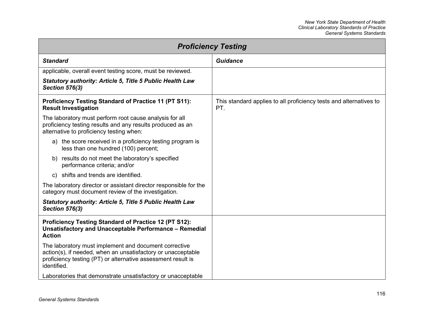<span id="page-122-0"></span>

| <b>Proficiency Testing</b>                                                                                                                                                                           |                                                                           |
|------------------------------------------------------------------------------------------------------------------------------------------------------------------------------------------------------|---------------------------------------------------------------------------|
| <b>Standard</b>                                                                                                                                                                                      | <b>Guidance</b>                                                           |
| applicable, overall event testing score, must be reviewed.                                                                                                                                           |                                                                           |
| <b>Statutory authority: Article 5, Title 5 Public Health Law</b><br><b>Section 576(3)</b>                                                                                                            |                                                                           |
| <b>Proficiency Testing Standard of Practice 11 (PT S11):</b><br><b>Result Investigation</b>                                                                                                          | This standard applies to all proficiency tests and alternatives to<br>PT. |
| The laboratory must perform root cause analysis for all<br>proficiency testing results and any results produced as an<br>alternative to proficiency testing when:                                    |                                                                           |
| a) the score received in a proficiency testing program is<br>less than one hundred (100) percent;                                                                                                    |                                                                           |
| b) results do not meet the laboratory's specified<br>performance criteria; and/or                                                                                                                    |                                                                           |
| shifts and trends are identified.<br>C)                                                                                                                                                              |                                                                           |
| The laboratory director or assistant director responsible for the<br>category must document review of the investigation.                                                                             |                                                                           |
| <b>Statutory authority: Article 5, Title 5 Public Health Law</b><br><b>Section 576(3)</b>                                                                                                            |                                                                           |
| <b>Proficiency Testing Standard of Practice 12 (PT S12):</b><br>Unsatisfactory and Unacceptable Performance - Remedial<br><b>Action</b>                                                              |                                                                           |
| The laboratory must implement and document corrective<br>action(s), if needed, when an unsatisfactory or unacceptable<br>proficiency testing (PT) or alternative assessment result is<br>identified. |                                                                           |
| Laboratories that demonstrate unsatisfactory or unacceptable                                                                                                                                         |                                                                           |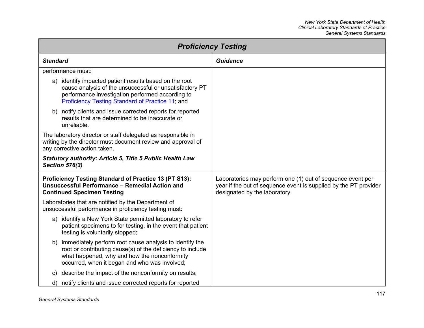<span id="page-123-0"></span>

| <b>Proficiency Testing</b>                                                                                                                                                                                                   |                                                                                                                                                                 |
|------------------------------------------------------------------------------------------------------------------------------------------------------------------------------------------------------------------------------|-----------------------------------------------------------------------------------------------------------------------------------------------------------------|
| <b>Standard</b>                                                                                                                                                                                                              | <b>Guidance</b>                                                                                                                                                 |
| performance must:                                                                                                                                                                                                            |                                                                                                                                                                 |
| a) identify impacted patient results based on the root<br>cause analysis of the unsuccessful or unsatisfactory PT<br>performance investigation performed according to<br>Proficiency Testing Standard of Practice 11; and    |                                                                                                                                                                 |
| b) notify clients and issue corrected reports for reported<br>results that are determined to be inaccurate or<br>unreliable.                                                                                                 |                                                                                                                                                                 |
| The laboratory director or staff delegated as responsible in<br>writing by the director must document review and approval of<br>any corrective action taken.                                                                 |                                                                                                                                                                 |
| <b>Statutory authority: Article 5, Title 5 Public Health Law</b><br><b>Section 576(3)</b>                                                                                                                                    |                                                                                                                                                                 |
| Proficiency Testing Standard of Practice 13 (PT S13):<br><b>Unsuccessful Performance - Remedial Action and</b><br><b>Continued Specimen Testing</b>                                                                          | Laboratories may perform one (1) out of sequence event per<br>year if the out of sequence event is supplied by the PT provider<br>designated by the laboratory. |
| Laboratories that are notified by the Department of<br>unsuccessful performance in proficiency testing must:                                                                                                                 |                                                                                                                                                                 |
| a) identify a New York State permitted laboratory to refer<br>patient specimens to for testing, in the event that patient<br>testing is voluntarily stopped;                                                                 |                                                                                                                                                                 |
| immediately perform root cause analysis to identify the<br>b)<br>root or contributing cause(s) of the deficiency to include<br>what happened, why and how the nonconformity<br>occurred, when it began and who was involved; |                                                                                                                                                                 |
| describe the impact of the nonconformity on results;<br>C)                                                                                                                                                                   |                                                                                                                                                                 |
| notify clients and issue corrected reports for reported<br>d)                                                                                                                                                                |                                                                                                                                                                 |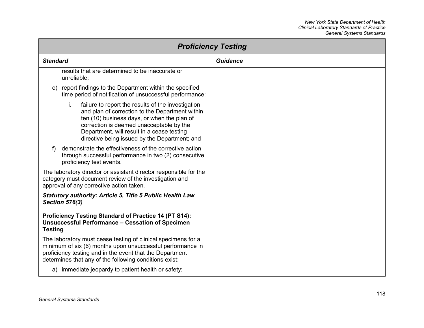<span id="page-124-0"></span>

| <b>Proficiency Testing</b>                                                                                                                                                                                                                                                                            |                 |
|-------------------------------------------------------------------------------------------------------------------------------------------------------------------------------------------------------------------------------------------------------------------------------------------------------|-----------------|
| <b>Standard</b>                                                                                                                                                                                                                                                                                       | <b>Guidance</b> |
| results that are determined to be inaccurate or<br>unreliable;                                                                                                                                                                                                                                        |                 |
| report findings to the Department within the specified<br>e)<br>time period of notification of unsuccessful performance:                                                                                                                                                                              |                 |
| i.<br>failure to report the results of the investigation<br>and plan of correction to the Department within<br>ten (10) business days, or when the plan of<br>correction is deemed unacceptable by the<br>Department, will result in a cease testing<br>directive being issued by the Department; and |                 |
| demonstrate the effectiveness of the corrective action<br>f<br>through successful performance in two (2) consecutive<br>proficiency test events.                                                                                                                                                      |                 |
| The laboratory director or assistant director responsible for the<br>category must document review of the investigation and<br>approval of any corrective action taken.                                                                                                                               |                 |
| <b>Statutory authority: Article 5, Title 5 Public Health Law</b><br><b>Section 576(3)</b>                                                                                                                                                                                                             |                 |
| Proficiency Testing Standard of Practice 14 (PT S14):<br><b>Unsuccessful Performance - Cessation of Specimen</b><br><b>Testing</b>                                                                                                                                                                    |                 |
| The laboratory must cease testing of clinical specimens for a<br>minimum of six (6) months upon unsuccessful performance in<br>proficiency testing and in the event that the Department<br>determines that any of the following conditions exist:                                                     |                 |
| a) immediate jeopardy to patient health or safety;                                                                                                                                                                                                                                                    |                 |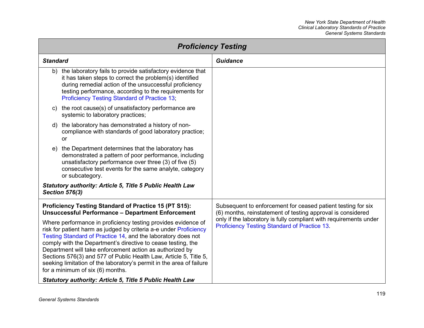| <b>Proficiency Testing</b>                                                                                                  |  |  |
|-----------------------------------------------------------------------------------------------------------------------------|--|--|
| <b>Guidance</b>                                                                                                             |  |  |
|                                                                                                                             |  |  |
|                                                                                                                             |  |  |
|                                                                                                                             |  |  |
|                                                                                                                             |  |  |
|                                                                                                                             |  |  |
| Subsequent to enforcement for ceased patient testing for six<br>(6) months, reinstatement of testing approval is considered |  |  |
| only if the laboratory is fully compliant with requirements under<br><b>Proficiency Testing Standard of Practice 13.</b>    |  |  |
|                                                                                                                             |  |  |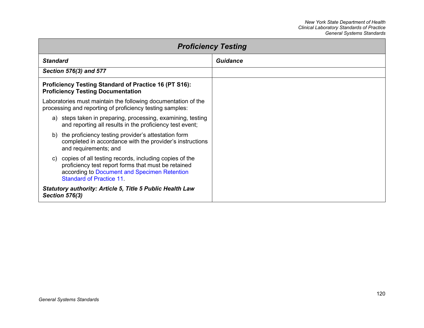| <b>Proficiency Testing</b>                                                                                                                                                                         |          |
|----------------------------------------------------------------------------------------------------------------------------------------------------------------------------------------------------|----------|
| <b>Standard</b>                                                                                                                                                                                    | Guidance |
| Section 576(3) and 577                                                                                                                                                                             |          |
| <b>Proficiency Testing Standard of Practice 16 (PT S16):</b><br><b>Proficiency Testing Documentation</b>                                                                                           |          |
| Laboratories must maintain the following documentation of the<br>processing and reporting of proficiency testing samples:                                                                          |          |
| a) steps taken in preparing, processing, examining, testing<br>and reporting all results in the proficiency test event;                                                                            |          |
| b) the proficiency testing provider's attestation form<br>completed in accordance with the provider's instructions<br>and requirements; and                                                        |          |
| c) copies of all testing records, including copies of the<br>proficiency test report forms that must be retained<br>according to Document and Specimen Retention<br><b>Standard of Practice 11</b> |          |
| <b>Statutory authority: Article 5, Title 5 Public Health Law</b><br><b>Section 576(3)</b>                                                                                                          |          |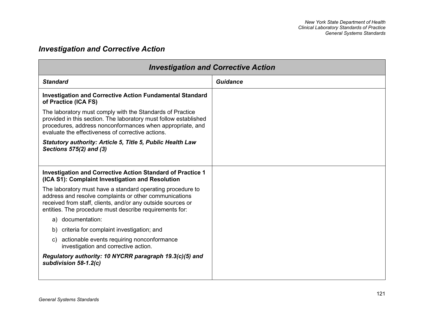## *Investigation and Corrective Action*

<span id="page-127-0"></span>

| <b>Investigation and Corrective Action</b>                                                                                                                                                                                                      |                 |
|-------------------------------------------------------------------------------------------------------------------------------------------------------------------------------------------------------------------------------------------------|-----------------|
| <b>Standard</b>                                                                                                                                                                                                                                 | <b>Guidance</b> |
| <b>Investigation and Corrective Action Fundamental Standard</b><br>of Practice (ICA FS)                                                                                                                                                         |                 |
| The laboratory must comply with the Standards of Practice<br>provided in this section. The laboratory must follow established<br>procedures, address nonconformances when appropriate, and<br>evaluate the effectiveness of corrective actions. |                 |
| Statutory authority: Article 5, Title 5, Public Health Law<br>Sections 575(2) and (3)                                                                                                                                                           |                 |
| <b>Investigation and Corrective Action Standard of Practice 1</b><br>(ICA S1): Complaint Investigation and Resolution                                                                                                                           |                 |
| The laboratory must have a standard operating procedure to<br>address and resolve complaints or other communications<br>received from staff, clients, and/or any outside sources or<br>entities. The procedure must describe requirements for:  |                 |
| documentation:<br>a)                                                                                                                                                                                                                            |                 |
| b) criteria for complaint investigation; and                                                                                                                                                                                                    |                 |
| c) actionable events requiring nonconformance<br>investigation and corrective action.                                                                                                                                                           |                 |
| Regulatory authority: 10 NYCRR paragraph 19.3(c)(5) and<br>subdivision $58-1.2(c)$                                                                                                                                                              |                 |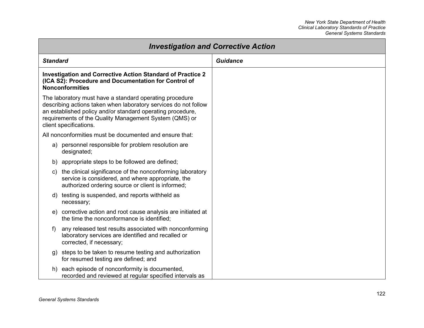<span id="page-128-0"></span>

| <b>Investigation and Corrective Action</b> |                                                                                                                                                                                                                                                                              |                 |
|--------------------------------------------|------------------------------------------------------------------------------------------------------------------------------------------------------------------------------------------------------------------------------------------------------------------------------|-----------------|
| <b>Standard</b>                            |                                                                                                                                                                                                                                                                              | <b>Guidance</b> |
|                                            | Investigation and Corrective Action Standard of Practice 2<br>(ICA S2): Procedure and Documentation for Control of<br><b>Nonconformities</b>                                                                                                                                 |                 |
|                                            | The laboratory must have a standard operating procedure<br>describing actions taken when laboratory services do not follow<br>an established policy and/or standard operating procedure,<br>requirements of the Quality Management System (QMS) or<br>client specifications. |                 |
|                                            | All nonconformities must be documented and ensure that:                                                                                                                                                                                                                      |                 |
|                                            | a) personnel responsible for problem resolution are<br>designated;                                                                                                                                                                                                           |                 |
| b)                                         | appropriate steps to be followed are defined;                                                                                                                                                                                                                                |                 |
| C)                                         | the clinical significance of the nonconforming laboratory<br>service is considered, and where appropriate, the<br>authorized ordering source or client is informed;                                                                                                          |                 |
| d)                                         | testing is suspended, and reports withheld as<br>necessary;                                                                                                                                                                                                                  |                 |
| e)                                         | corrective action and root cause analysis are initiated at<br>the time the nonconformance is identified;                                                                                                                                                                     |                 |
| f                                          | any released test results associated with nonconforming<br>laboratory services are identified and recalled or<br>corrected, if necessary;                                                                                                                                    |                 |
|                                            | g) steps to be taken to resume testing and authorization<br>for resumed testing are defined; and                                                                                                                                                                             |                 |
| h)                                         | each episode of nonconformity is documented,<br>recorded and reviewed at regular specified intervals as                                                                                                                                                                      |                 |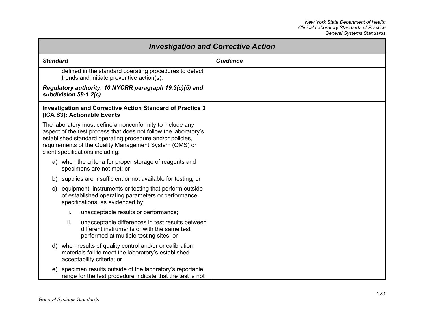| <b>Investigation and Corrective Action</b>                                                                                                                                                                                                                                               |                 |
|------------------------------------------------------------------------------------------------------------------------------------------------------------------------------------------------------------------------------------------------------------------------------------------|-----------------|
| <b>Standard</b>                                                                                                                                                                                                                                                                          | <b>Guidance</b> |
| defined in the standard operating procedures to detect<br>trends and initiate preventive action(s).                                                                                                                                                                                      |                 |
| Regulatory authority: 10 NYCRR paragraph 19.3(c)(5) and<br>subdivision 58-1.2(c)                                                                                                                                                                                                         |                 |
| <b>Investigation and Corrective Action Standard of Practice 3</b><br>(ICA S3): Actionable Events                                                                                                                                                                                         |                 |
| The laboratory must define a nonconformity to include any<br>aspect of the test process that does not follow the laboratory's<br>established standard operating procedure and/or policies,<br>requirements of the Quality Management System (QMS) or<br>client specifications including: |                 |
| a) when the criteria for proper storage of reagents and<br>specimens are not met; or                                                                                                                                                                                                     |                 |
| b) supplies are insufficient or not available for testing; or                                                                                                                                                                                                                            |                 |
| equipment, instruments or testing that perform outside<br>C)<br>of established operating parameters or performance<br>specifications, as evidenced by:                                                                                                                                   |                 |
| i.<br>unacceptable results or performance;                                                                                                                                                                                                                                               |                 |
| ii.<br>unacceptable differences in test results between<br>different instruments or with the same test<br>performed at multiple testing sites; or                                                                                                                                        |                 |
| when results of quality control and/or or calibration<br>d)<br>materials fail to meet the laboratory's established<br>acceptability criteria; or                                                                                                                                         |                 |
| specimen results outside of the laboratory's reportable<br>e)<br>range for the test procedure indicate that the test is not                                                                                                                                                              |                 |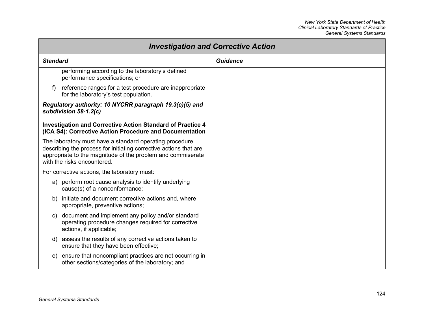<span id="page-130-0"></span>

|                                                                                                                                                                                                                            | <b>Investigation and Corrective Action</b> |
|----------------------------------------------------------------------------------------------------------------------------------------------------------------------------------------------------------------------------|--------------------------------------------|
| <b>Standard</b>                                                                                                                                                                                                            | <b>Guidance</b>                            |
| performing according to the laboratory's defined<br>performance specifications; or                                                                                                                                         |                                            |
| reference ranges for a test procedure are inappropriate<br>T)<br>for the laboratory's test population.                                                                                                                     |                                            |
| Regulatory authority: 10 NYCRR paragraph 19.3(c)(5) and<br>subdivision $58-1.2(c)$                                                                                                                                         |                                            |
| <b>Investigation and Corrective Action Standard of Practice 4</b><br>(ICA S4): Corrective Action Procedure and Documentation                                                                                               |                                            |
| The laboratory must have a standard operating procedure<br>describing the process for initiating corrective actions that are<br>appropriate to the magnitude of the problem and commiserate<br>with the risks encountered. |                                            |
| For corrective actions, the laboratory must:                                                                                                                                                                               |                                            |
| a) perform root cause analysis to identify underlying<br>cause(s) of a nonconformance;                                                                                                                                     |                                            |
| b) initiate and document corrective actions and, where<br>appropriate, preventive actions;                                                                                                                                 |                                            |
| document and implement any policy and/or standard<br>C)<br>operating procedure changes required for corrective<br>actions, if applicable;                                                                                  |                                            |
| assess the results of any corrective actions taken to<br>d)<br>ensure that they have been effective;                                                                                                                       |                                            |
| ensure that noncompliant practices are not occurring in<br>e)<br>other sections/categories of the laboratory; and                                                                                                          |                                            |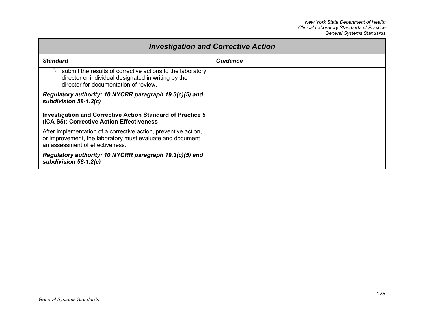<span id="page-131-0"></span>

| <b>Investigation and Corrective Action</b>                                                                                                                       |          |
|------------------------------------------------------------------------------------------------------------------------------------------------------------------|----------|
| <b>Standard</b>                                                                                                                                                  | Guidance |
| submit the results of corrective actions to the laboratory<br>f)<br>director or individual designated in writing by the<br>director for documentation of review. |          |
| Regulatory authority: 10 NYCRR paragraph 19.3(c)(5) and<br>subdivision $58-1.2(c)$                                                                               |          |
| Investigation and Corrective Action Standard of Practice 5<br>(ICA S5): Corrective Action Effectiveness                                                          |          |
| After implementation of a corrective action, preventive action,<br>or improvement, the laboratory must evaluate and document<br>an assessment of effectiveness.  |          |
| Regulatory authority: 10 NYCRR paragraph 19.3(c)(5) and<br>subdivision 58-1.2(c)                                                                                 |          |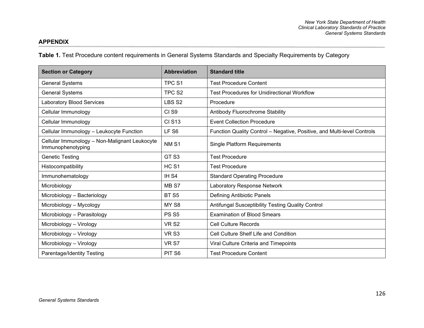## **APPENDIX**

**Table 1.** Test Procedure content requirements in General Systems Standards and Specialty Requirements by Category

| <b>Section or Category</b>                                         | <b>Abbreviation</b> | <b>Standard title</b>                                                   |
|--------------------------------------------------------------------|---------------------|-------------------------------------------------------------------------|
| <b>General Systems</b>                                             | TPC <sub>S1</sub>   | <b>Test Procedure Content</b>                                           |
| <b>General Systems</b>                                             | TPC <sub>S2</sub>   | <b>Test Procedures for Unidirectional Workflow</b>                      |
| <b>Laboratory Blood Services</b>                                   | LBS <sub>S2</sub>   | Procedure                                                               |
| Cellular Immunology                                                | CI <sub>S9</sub>    | Antibody Fluorochrome Stability                                         |
| Cellular Immunology                                                | <b>CI S13</b>       | <b>Event Collection Procedure</b>                                       |
| Cellular Immunology - Leukocyte Function                           | LF <sub>S6</sub>    | Function Quality Control - Negative, Positive, and Multi-level Controls |
| Cellular Immunology - Non-Malignant Leukocyte<br>Immunophenotyping | NM <sub>S1</sub>    | <b>Single Platform Requirements</b>                                     |
| <b>Genetic Testing</b>                                             | GT <sub>S3</sub>    | <b>Test Procedure</b>                                                   |
| Histocompatibility                                                 | HC <sub>S1</sub>    | <b>Test Procedure</b>                                                   |
| Immunohematology                                                   | IH <sub>S4</sub>    | <b>Standard Operating Procedure</b>                                     |
| Microbiology                                                       | MB <sub>S7</sub>    | Laboratory Response Network                                             |
| Microbiology - Bacteriology                                        | <b>BT S5</b>        | Defining Antibiotic Panels                                              |
| Microbiology - Mycology                                            | MY <sub>S8</sub>    | Antifungal Susceptibility Testing Quality Control                       |
| Microbiology - Parasitology                                        | <b>PS S5</b>        | <b>Examination of Blood Smears</b>                                      |
| Microbiology - Virology                                            | <b>VR S2</b>        | <b>Cell Culture Records</b>                                             |
| Microbiology - Virology                                            | VR <sub>S3</sub>    | Cell Culture Shelf Life and Condition                                   |
| Microbiology - Virology                                            | VR S7               | Viral Culture Criteria and Timepoints                                   |
| Parentage/Identity Testing                                         | PIT <sub>S6</sub>   | <b>Test Procedure Content</b>                                           |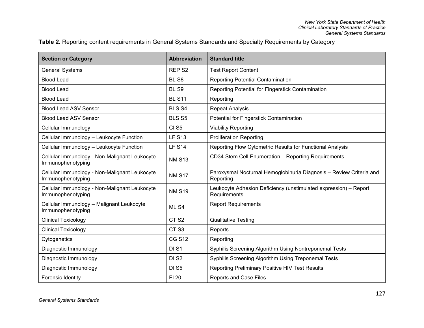## **Table 2.** Reporting content requirements in General Systems Standards and Specialty Requirements by Category

| <b>Section or Category</b>                                         | <b>Abbreviation</b> | <b>Standard title</b>                                                            |
|--------------------------------------------------------------------|---------------------|----------------------------------------------------------------------------------|
| <b>General Systems</b>                                             | REP <sub>S2</sub>   | <b>Test Report Content</b>                                                       |
| <b>Blood Lead</b>                                                  | BL <sub>S8</sub>    | <b>Reporting Potential Contamination</b>                                         |
| <b>Blood Lead</b>                                                  | BL <sub>S9</sub>    | Reporting Potential for Fingerstick Contamination                                |
| <b>Blood Lead</b>                                                  | <b>BL S11</b>       | Reporting                                                                        |
| <b>Blood Lead ASV Sensor</b>                                       | <b>BLS S4</b>       | <b>Repeat Analysis</b>                                                           |
| <b>Blood Lead ASV Sensor</b>                                       | <b>BLS S5</b>       | Potential for Fingerstick Contamination                                          |
| Cellular Immunology                                                | CI <sub>S5</sub>    | <b>Viability Reporting</b>                                                       |
| Cellular Immunology - Leukocyte Function                           | <b>LF S13</b>       | <b>Proliferation Reporting</b>                                                   |
| Cellular Immunology - Leukocyte Function                           | <b>LF S14</b>       | Reporting Flow Cytometric Results for Functional Analysis                        |
| Cellular Immunology - Non-Malignant Leukocyte<br>Immunophenotyping | <b>NM S13</b>       | CD34 Stem Cell Enumeration - Reporting Requirements                              |
| Cellular Immunology - Non-Malignant Leukocyte<br>Immunophenotyping | <b>NM S17</b>       | Paroxysmal Nocturnal Hemoglobinuria Diagnosis - Review Criteria and<br>Reporting |
| Cellular Immunology - Non-Malignant Leukocyte<br>Immunophenotyping | <b>NM S19</b>       | Leukocyte Adhesion Deficiency (unstimulated expression) - Report<br>Requirements |
| Cellular Immunology - Malignant Leukocyte<br>Immunophenotyping     | ML S4               | <b>Report Requirements</b>                                                       |
| <b>Clinical Toxicology</b>                                         | CT <sub>S2</sub>    | <b>Qualitative Testing</b>                                                       |
| <b>Clinical Toxicology</b>                                         | CT <sub>S3</sub>    | Reports                                                                          |
| Cytogenetics                                                       | <b>CG S12</b>       | Reporting                                                                        |
| Diagnostic Immunology                                              | DI S1               | Syphilis Screening Algorithm Using Nontreponemal Tests                           |
| Diagnostic Immunology                                              | DI <sub>S2</sub>    | Syphilis Screening Algorithm Using Treponemal Tests                              |
| Diagnostic Immunology                                              | <b>DI S5</b>        | Reporting Preliminary Positive HIV Test Results                                  |
| Forensic Identity                                                  | FI 20               | <b>Reports and Case Files</b>                                                    |